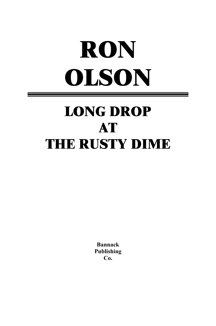# **RON OLSON LONG DROP AT THE RUSTY DIME**

**Bannack Publishing Co.**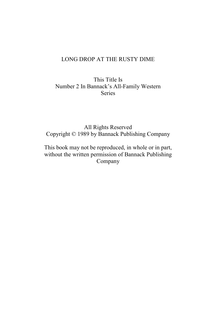#### LONG DROP AT THE RUSTY DIME

# This Title Is Number 2 In Bannack's All-Family Western Series

# All Rights Reserved Copyright © 1989 by Bannack Publishing Company

This book may not be reproduced, in whole or in part, without the written permission of Bannack Publishing Company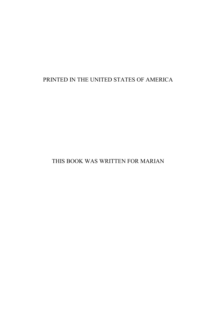# PRINTED IN THE UNITED STATES OF AMERICA

THIS BOOK WAS WRITTEN FOR MARIAN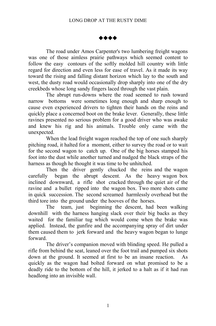# ◆◆◆◆

The road under Amos Carpenter's two lumbering freight wagons was one of those aimless prairie pathways which seemed content to follow the easy contours of the softly molded hill country with little regard for direction and even less for ease of travel. As it made its way toward the rising and falling distant horizon which lay to the south and west, the dusty road would occasionally drop sharply into one of the dry creekbeds whose long sandy fingers laced through the vast plain.

The abrupt run-downs where the road seemed to rush toward narrow bottoms were sometimes long enough and sharp enough to cause even experienced drivers to tighten their hands on the reins and quickly place a concerned boot on the brake lever. Generally, these little ravines presented no serious problem for a good driver who was awake and knew his rig and his animals. Trouble only came with the unexpected.

When the lead freight wagon reached the top of one such sharply pitching road, it halted for a moment, either to survey the road or to wait for the second wagon to catch up. One of the big horses stamped his foot into the dust while another turned and nudged the black straps of the harness as though he thought it was time to be unhitched.

Then the driver gently chucked the reins and the wagon carefully began the abrupt descent. As the heavy wagon box inclined downward, a rifle shot cracked through the quiet air of the ravine and a bullet ripped into the wagon box. Two more shots came in quick succession. The second screamed harmlessly overhead but the third tore into the ground under the hooves of the horses.

The team, just beginning the descent, had been walking downhill with the harness hanging slack over their big backs as they waited for the familiar tug which would come when the brake was applied. Instead, the gunfire and the accompanying spray of dirt under them caused them to jerk forward and the heavy wagon began to lunge forward.

The driver's companion moved with blinding speed. He pulled a rifle from behind the seat, leaned over the foot trail and pumped six shots down at the ground. It seemed at first to be an insane reaction. As quickly as the wagon had bolted forward on what promised to be a deadly ride to the bottom of the hill, it jerked to a halt as if it had run headlong into an invisible wall.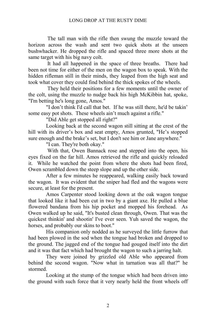The tall man with the rifle then swung the muzzle toward the horizon across the wash and sent two quick shots at the unseen bushwhacker. He dropped the rifle and spaced three more shots at the same target with his big navy colt.

 It had all happened in the space of three breaths. There had been not time for either of the men on the wagon box to speak. With the hidden rifleman still in their minds, they leaped from the high seat and took what cover they could find behind the thick spokes of the wheels.

 They held their positions for a few moments until the owner of the colt, using the muzzle to nudge back his high McKibbin hat, spoke, "I'm betting he's long gone, Amos."

"I don't think I'd call that bet. If he was still there, he'd be takin' some easy pot shots. These wheels ain't much against a rifle."

"Did Able get stopped all right?"

Looking back at the second wagon still sitting at the crest of the hill with its driver's box and seat empty, Amos grunted, "He's stopped sure enough and the brake's set, but I don't see him or Jane anywhere."

"I can. They're both okay."

 With that, Owen Bannack rose and stepped into the open, his eyes fixed on the far hill. Amos retrieved the rifle and quickly reloaded it. While he watched the point from where the shots had been fired, Owen scrambled down the steep slope and up the other side.

After a few minutes he reappeared, walking easily back toward the wagon. It was evident that the sniper had fled and the wagons were secure, at least for the present.

Amos Carpenter stood looking down at the oak wagon tongue that looked like it had been cut in two by a giant axe. He pulled a blue flowered bandana from his hip pocket and mopped his forehead. As Owen walked up he said, "It's busted clean through, Owen. That was the quickest thinkin' and shootin' I've ever seen. Yuh saved the wagon, the horses, and probably our skins to boot."

His companion only nodded as he surveyed the little furrow that had been plowed in the sod when the tongue had broken and dropped to the ground. The jagged end of the tongue had gouged itself into the dirt and it was that fact which had brought the wagon to such a jarring halt.

They were joined by grizzled old Able who appeared from behind the second wagon. "Now what in tarnation was all that?" he stormed.

Looking at the stump of the tongue which had been driven into the ground with such force that it very nearly held the front wheels off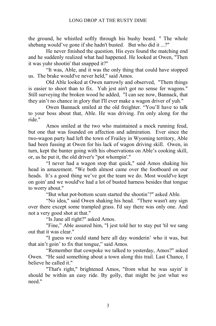the ground, he whistled softly through his bushy beard. " The whole shebang would've gone if she hadn't busted. But who did it ...?"

He never finished the question. His eyes found the matching end and he suddenly realized what had happened. He looked at Owen, "Then it was yuhr shootin' that snapped it?"

"It was, Able, and it was the only thing that could have stopped us. The brake would've never held," said Amos.

Old Able looked at Owen narrowly and observed, "Them things is easier to shoot than to fix. Yuh jest ain't got no sense fer wagons." Still surveying the broken wood he added, "I can see now, Bannack, that they ain't no chance in glory that I'll ever make a wagon driver of yuh."

Owen Bannack smiled at the old freighter. "You'll have to talk to your boss about that, Able. He was driving. I'm only along for the ride."

Amos smiled at the two who maintained a mock running feud, but one that was founded on affection and admiration. Ever since the two-wagon party had left the town of Frailey in Wyoming territory, Able had been fussing at Owen for his lack of wagon driving skill. Owen, in turn, kept the banter going with his observations on Able's cooking skill, or, as he put it, the old driver's "pot whompin'."

"I never had a wagon stop that quick," said Amos shaking his head in amazement. "We both almost came over the footboard on our heads. It's a good thing we've got the team we do. Most would've kept on goin' and we would've had a lot of busted harness besides that tongue to worry about."

"But what pot-bottom scum started the shootin'?" asked Able.

"No idea," said Owen shaking his head. "There wasn't any sign over there except some trampled grass. I'd say there was only one. And not a very good shot at that."

"Is Jane all right?" asked Amos.

"Fine," Able assured him, "I jest told her to stay put 'til we sang out that it was clear."

"I guess we could stand here all day wonderin' who it was, but that ain't goin' to fix that tongue," said Amos.

"Remember that cowpoke we talked to yesterday, Amos?" asked Owen. "He said something about a town along this trail. Last Chance, I believe he called it."

"That's right," brightened Amos, "from what he was sayin' it should be within an easy ride. By golly, that might be jest what we need."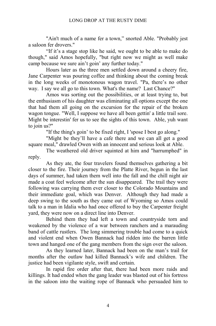"Ain't much of a name fer a town," snorted Able. "Probably jest a saloon fer drovers."

"If it's a stage stop like he said, we ought to be able to make do though," said Amos hopefully, "but right now we might as well make camp because we sure ain't goin' any further today."

Hours later as the three men settled down around a cheery fire, Jane Carpenter was pouring coffee and thinking about the coming break in the long weeks of monotonous wagon travel. "Pa, there's no other way. I say we all go to this town. What's the name? Last Chance?"

Amos was sorting out the possibilities, or at least trying to, but the enthusiasm of his daughter was eliminating all options except the one that had them all going on the excursion for the repair of the broken wagon tongue. "Well, I suppose we have all been gettin' a little trail sore. Might be interestin' fer us to see the sights of this town. Able, yuh want to join us?"

"If the thing's goin' to be fixed right, I 'spose I best go along."

"Might be they'll have a cafe there and we can all get a good square meal," drawled Owen with an innocent and serious look at Able.

The weathered old driver squinted at him and "harrumphed" in reply.

As they ate, the four travelers found themselves gathering a bit closer to the fire. Their journey from the Platte River, begun in the last days of summer, had taken them well into the fall and the chill night air made a coat feel welcome after the sun disappeared. The trail they were following was carrying them ever closer to the Colorado Mountains and their immediate goal, which was Denver. Although they had made a deep swing to the south as they came out of Wyoming so Amos could talk to a man in Idalia who had once offered to buy the Carpenter freight yard, they were now on a direct line into Denver.

Behind them they had left a town and countryside torn and weakened by the violence of a war between ranchers and a marauding band of cattle rustlers. The long simmering trouble had come to a quick and violent end when Owen Bannack had ridden into the barren little town and hanged one of the gang members from the sign over the saloon.

As they learned later, Bannack had been on the man's trail for months after the outlaw had killed Bannack's wife and children. The justice had been vigilante style, swift and certain.

In rapid fire order after that, there had been more raids and killings. It had ended when the gang leader was blasted out of his fortress in the saloon into the waiting rope of Bannack who persuaded him to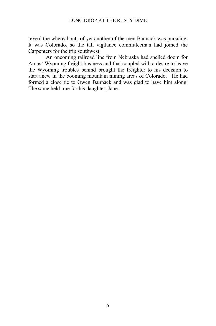reveal the whereabouts of yet another of the men Bannack was pursuing. It was Colorado, so the tall vigilance committeeman had joined the Carpenters for the trip southwest.

An oncoming railroad line from Nebraska had spelled doom for Amos' Wyoming freight business and that coupled with a desire to leave the Wyoming troubles behind brought the freighter to his decision to start anew in the booming mountain mining areas of Colorado. He had formed a close tie to Owen Bannack and was glad to have him along. The same held true for his daughter, Jane.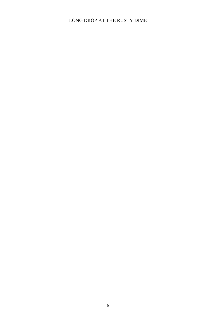#### LONG DROP AT THE RUSTY DIME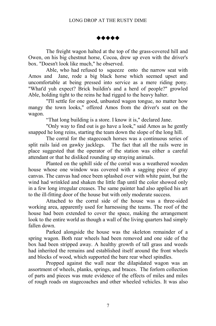◆◆◆◆◆

The freight wagon halted at the top of the grass-covered hill and Owen, on his big chestnut horse, Cocoa, drew up even with the driver's box. "Doesn't look like much," he observed.

Able, who had refused to squeeze onto the narrow seat with Amos and Jane, rode a big black horse which seemed upset and uncomfortable at being pressed into service as a mere riding pony. "What'd yuh expect? Brick buildin's and a herd of people?" growled Able, holding tight to the reins he had rigged to the heavy halter.

"I'll settle for one good, unbusted wagon tongue, no matter how mangy the town looks," offered Amos from the driver's seat on the wagon.

"That long building is a store. I know it is," declared Jane.

"Only way to find out is go have a look," said Amos as he gently snapped he long reins, starting the team down the slope of the long hill.

The corral for the stagecoach horses was a continuous series of split rails laid on gawky jacklegs. The fact that all the rails were in place suggested that the operator of the station was either a careful attendant or that he disliked rounding up straying animals.

Planted on the uphill side of the corral was a weathered wooden house whose one window was covered with a sagging piece of gray canvas. The canvas had once been splashed over with white paint, but the wind had wrinkled and shaken the little flap until the color showed only in a few long irregular creases. The same painter had also applied his art to the ill-fitting door of the house but with only moderate success.

Attached to the corral side of the house was a three-sided working area, apparently used for harnessing the teams. The roof of the house had been extended to cover the space, making the arrangement look to the entire world as though a wall of the living quarters had simply fallen down.

Parked alongside the house was the skeleton remainder of a spring wagon. Both rear wheels had been removed and one side of the box had been stripped away. A healthy growth of tall grass and weeds had inherited the remains and established itself around the front wheels and blocks of wood, which supported the bare rear wheel spindles.

Propped against the wall near the dilapidated wagon was an assortment of wheels, planks, springs, and braces. The forlorn collection of parts and pieces was mute evidence of the effects of miles and miles of rough roads on stagecoaches and other wheeled vehicles. It was also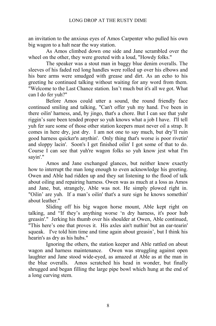an invitation to the anxious eyes of Amos Carpenter who pulled his own big wagon to a halt near the way station.

As Amos climbed down one side and Jane scrambled over the wheel on the other, they were greeted with a loud, "Howdy folks."

The speaker was a stout man in baggy blue denim overalls. The sleeves of his faded red long handles were rolled up over his elbows and his bare arms were smudged with grease and dirt. As an echo to his greeting he continued talking without waiting for any word from them. "Welcome to the Last Chance station. Isn't much but it's all we got. What can I do fer yuh?"

Before Amos could utter a sound, the round friendly face continued smiling and talking, "Can't offer yuh my hand. I've been in there oilin' harness, and, by jingo, that's a chore. But I can see that yuhr riggin's sure been tended proper so yuh knows what a job I have. I'll tell yuh fer sure some of those other station keepers must never oil a strap. It comes in here dry, jest dry. I am not one to say much, but dry'll ruin good harness quicker'n anythin'. Only thing that's worse is poor rivetin' and sloppy lacin'. Soon's I get finished oilin' I got some of that to do. Course I can see that yuh're wagon folks so yuh know jest what I'm sayin'."

Amos and Jane exchanged glances, but neither knew exactly how to interrupt the man long enough to even acknowledge his greeting. Owen and Able had ridden up and they sat listening to the flood of talk about oiling and repairing harness. Owen was as much at a loss as Amos and Jane, but, strangely, Able was not. He simply plowed right in. "Oilin' are yuh. If a man's oilin' that's a sure sign he knows somethin' about leather."

Sliding off his big wagon horse mount, Able kept right on talking, and "If they's anything worse 'n dry harness, it's poor hub greasin'." Jerking his thumb over his shoulder at Owen, Able continued, "This here's one that proves it. His axles ain't nuthin' but an ear-tearin' squeak. I've told him time and time again about greasin', but I think his hearin's as dry as his hubs."

Ignoring the others, the station keeper and Able rattled on about wagon and harness maintenance. Owen was struggling against open laughter and Jane stood wide-eyed, as amazed at Able as at the man in the blue overalls. Amos scratched his head in wonder, but finally shrugged and began filling the large pipe bowl which hung at the end of a long curving stem.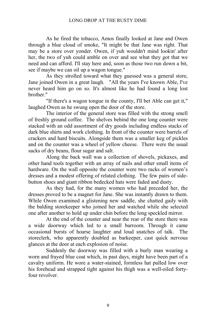As he fired the tobacco, Amos finally looked at Jane and Owen through a blue cloud of smoke, "It might be that Jane was right. That may be a store over yonder. Owen, if yuh wouldn't mind lookin' after her, the two of yuh could amble on over and see what they got that we need and can afford. I'll stay here and, soon as those two run down a bit, see if maybe we can oil up a wagon tongue."

As they strolled toward what they guessed was a general store, Jane joined Owen in a great laugh. "All the years I've known Able, I've never heard him go on so. It's almost like he had found a long lost hrother."

"If there's a wagon tongue in the county, I'll bet Able can get it," laughed Owen as he swung open the door of the store.

The interior of the general store was filled with the strong smell of freshly ground coffee. The shelves behind the one long counter were stacked with an odd assortment of dry goods including endless stacks of dark blue shirts and work clothing. In front of the counter were barrels of crackers and hard biscuits. Alongside them was a smaller keg of pickles and on the counter was a wheel of yellow cheese. There were the usual sacks of dry beans, flour sugar and salt.

Along the back wall was a collection of shovels, pickaxes, and other hand tools together with an array of nails and other small items of hardware. On the wall opposite the counter were two racks of women's dresses and a modest offering of related clothing. The few pairs of sidebutton shoes and giant ribbon bedecked hats were faded and dusty.

As they had, for the many women who had preceded her, the dresses proved to be a magnet for Jane. She was instantly drawn to them. While Owen examined a glistening new saddle, she chatted gaily with the balding storekeeper who joined her and watched while she selected one after another to hold up under chin before the long speckled mirror.

At the end of the counter and near the rear of the store there was a wide doorway which led to a small barroom. Through it came occasional bursts of hoarse laughter and loud snatches of talk. The storeclerk, who apparently doubled as barkeeper, cast quick nervous glances at the door at each explosion of noise.

Suddenly the doorway was filled with a burly man wearing a worn and frayed blue coat which, in past days, might have been part of a cavalry uniform. He wore a water-stained, formless hat pulled low over his forehead and strapped tight against his thigh was a well-oiled fortyfour revolver.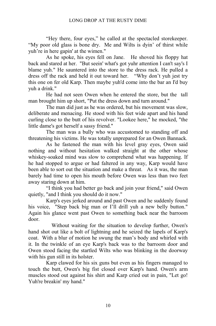"Hey there, four eyes," he called at the spectacled storekeeper. "My poor old glass is bone dry. Me and Wilts is dyin' of thirst while yuh're in here gapin' at the wimen."

As he spoke, his eyes fell on Jane. He shoved his floppy hat back and stared at her. "But seein' what's got yuhr attention I can't say's I blame yuh." He sauntered into the store to the dress rack. He pulled a dress off the rack and held it out toward her. "Why don't yuh jest try this one on fer old Karp. Then maybe yuh'd come into the bar an I'd buy yuh a drink."

He had not seen Owen when he entered the store, but the tall man brought him up short, "Put the dress down and turn around."

The man did just as he was ordered, but his movement was slow, deliberate and menacing. He stood with his feet wide apart and his hand curling close to the butt of his revolver. "Lookee here," he mocked, "the little dame's got herself a sassy friend."

The man was a bully who was accustomed to standing off and threatening his victims. He was totally unprepared for an Owen Bannack.

As he fastened the man with his level gray eyes, Owen said nothing and without hesitation walked straight at the other whose whiskey-soaked mind was slow to comprehend what was happening. If he had stopped to argue or had faltered in any way, Karp would have been able to sort out the situation and make a threat. As it was, the man barely had time to open his mouth before Owen was less than two feet away staring down at him.

"I think you had better go back and join your friend," said Owen quietly, "and I think you should do it now."

Karp's eyes jerked around and past Owen and he suddenly found his voice, "Step back big man or I'll drill yuh a new belly button." Again his glance went past Owen to something back near the barroom door.

 Without waiting for the situation to develop further, Owen's hand shot out like a bolt of lightning and he seized the lapels of Karp's coat. With a blur of motion he swung the man's body and whirled with it. In the twinkle of an eye Karp's back was to the barroom door and Owen stood facing the startled Wilts who was blinking in the doorway with his gun still in its holster.

Karp clawed for his six guns but even as his fingers managed to touch the butt, Owen's big fist closed over Karp's hand. Owen's arm muscles stood out against his shirt and Karp cried out in pain, "Let go! Yuh're breakin' my hand."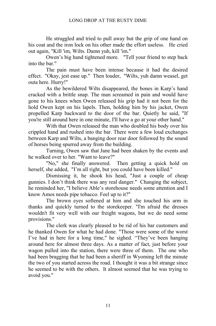He struggled and tried to pull away but the grip of one hand on his coat and the iron lock on his other made the effort useless. He cried out again, "Kill 'im, Wilts. Damn yuh, kill 'im."

Owen's big hand tightened more. "Tell your friend to step back into the bar."

The pain must have been intense because it had the desired effect. "Okay, jest ease up." Then louder, "Wilts, yuh damn weasel, get outa here. Hurry!"

As the bewildered Wilts disappeared, the bones in Karp's hand cracked with a brittle snap. The man screamed in pain and would have gone to his knees when Owen released his grip had it not been for the hold Owen kept on his lapels. Then, holding him by his jacket, Owen propelled Karp backward to the door of the bar. Quietly he said, "If you're still around here in one minute, I'll have a go at your other hand."

With that Owen released the man who doubled his body over his crippled hand and rushed into the bar. There were a few loud exchanges between Karp and Wilts, a banging door rear door followed by the sound of horses being spurred away from the building.

Turning, Owen saw that Jane had been shaken by the events and he walked over to her. "Want to leave?"

"No," she finally answered. Then getting a quick hold on herself, she added, "I'm all right, but you could have been killed."

Dismissing it, he shook his head, "Just a couple of cheap gunnies. I don't think there was any real danger." Changing the subject, he reminded her, "I believe Able's storehouse needs some attention and I know Amos needs pipe tobacco. Feel up to it?"

The brown eyes softened at him and she touched his arm in thanks and quickly turned to the storekeeper. "I'm afraid the dresses wouldn't fit very well with our freight wagons, but we do need some provisions."

The clerk was clearly pleased to be rid of his bar customers and he thanked Owen for what he had done. "Those were some of the worst I've had in here for a long time," he sighed. "They've been hanging around here for almost three days. As a matter of fact, just before your wagon pulled into the station, there were three of them. The one who had been bragging that he had been a sheriff in Wyoming left the minute the two of you started across the road. I thought it was a bit strange since he seemed to be with the others. It almost seemed that he was trying to avoid you."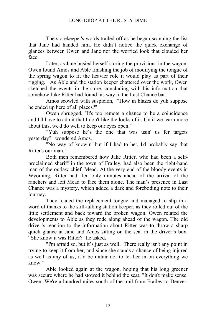The storekeeper's words trailed off as he began scanning the list that Jane had handed him. He didn't notice the quick exchange of glances between Owen and Jane nor the worried look that clouded her face.

Later, as Jane busied herself storing the provisions in the wagon, Owen found Amos and Able finishing the job of modifying the tongue of the spring wagon to fit the heavier role it would play as part of their rigging. As Able and the station keeper chattered over the work, Owen sketched the events in the store, concluding with his information that somehow Jake Ritter had found his way to the Last Chance bar.

Amos scowled with suspicion, "How in blazes do yuh suppose he ended up here of all places?"

Owen shrugged, "It's too remote a chance to be a coincidence and I'll have to admit that I don't like the looks of it. Until we learn more about this, we'd do well to keep our eyes open."

"Yuh suppose he's the one that was usin' us fer targets yesterday?" wondered Amos.

"No way of knowin' but if I had to bet, I'd probably say that Ritter's our man."

Both men remembered how Jake Ritter, who had been a selfproclaimed sheriff in the town of Frailey, had also been the right-hand man of the outlaw chief, Mead. At the very end of the bloody events in Wyoming, Ritter had fled only minutes ahead of the arrival of the ranchers and left Mead to face them alone. The man's presence in Last Chance was a mystery, which added a dark and foreboding note to their journey.

They loaded the replacement tongue and managed to slip in a word of thanks to the still-talking station keeper, as they rolled out of the little settlement and back toward the broken wagon. Owen related the developments to Able as they rode along ahead of the wagon. The old driver's reaction to the information about Ritter was to throw a sharp quick glance at Jane and Amos sitting on the seat in the driver's box. "She know it was Ritter?" he asked.

"I'm afraid so, but it's just as well. There really isn't any point in trying to keep it from her, and since she stands a chance of being injured as well as any of us, it'd be unfair not to let her in on everything we know."

Able looked again at the wagon, hoping that his long greener was secure where he had stowed it behind the seat. "It don't make sense, Owen. We're a hundred miles south of the trail from Frailey to Denver.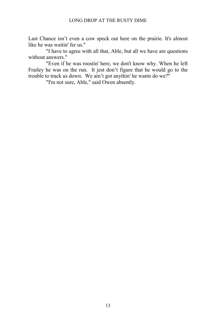Last Chance isn't even a cow speck out here on the prairie. It's almost like he was waitin' fer us."

"I have to agree with all that, Able, but all we have are questions without answers."

"Even if he was roostin' here, we don't know why. When he left Frailey he was on the run. It jest don't figure that he would go to the trouble to track us down. We ain't got anythin' he wants do we?"

"I'm not sure, Able," said Owen absently.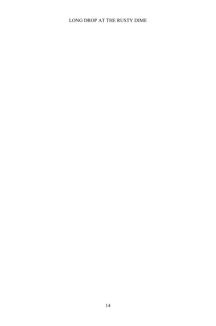#### LONG DROP AT THE RUSTY DIME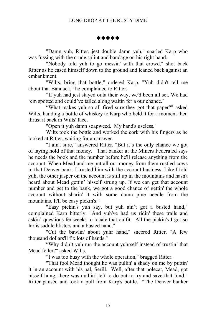

"Damn yuh, Ritter, jest double damn yuh," snarled Karp who was fussing with the crude splint and bandage on his right hand.

"Nobody told yuh to go messin' with that crowd," shot back Ritter as he eased himself down to the ground and leaned back against an embankment.

"Wilts, bring that bottle," ordered Karp. "Yuh didn't tell me about that Bannack," he complained to Ritter.

"If yuh had jest stayed outa their way, we'd been all set. We had 'em spotted and could've tailed along waitin fer a our chance."

"What makes yuh so all fired sure they got that paper?" asked Wilts, handing a bottle of whiskey to Karp who held it for a moment then thrust it back in Wilts' face.

"Open it yuh damn soapweed. My hand's useless."

Wilts took the bottle and worked the cork with his fingers as he looked at Ritter, waiting for an answer.

"I ain't sure," answered Ritter. "But it's the only chance we got of laying hold of that money. That banker at the Miners Federated says he needs the book and the number before he'll release anything from the account. When Mead and me put all our money from them rustled cows in that Denver bank, I trusted him with the account business. Like I told yuh, the other jasper on the account is still up in the mountains and hasn't heard about Mead gettin' hisself strung up. If we can get that account number and get to the bank, we got a good chance of gettin' the whole account without sharin' it with some damn pine needle from the mountains. It'll be easy pickin's."

"Easy pickin's yuh say, but yuh ain't got a busted hand," complained Karp bitterly. "And yuh've had us ridin' these trails and askin' questions fer weeks to locate that outfit. All the pickin's I got so far is saddle blisters and a busted hand."

"Cut the bawlin' about yuhr hand," sneered Ritter. "A few thousand dollars'll fix lots of hands."

"Why didn't yuh run the account yuhrself instead of trustin' that Mead feller?" asked Wilts.

"I was too busy with the whole operation," bragged Ritter.

"That fool Mead thought he was pullin' a shady on me by puttin' it in an account with his pal, Serill. Well, after that polecat, Mead, got hisself hung, there was nuthin' left to do but to try and save that fund." Ritter paused and took a pull from Karp's bottle. "The Denver banker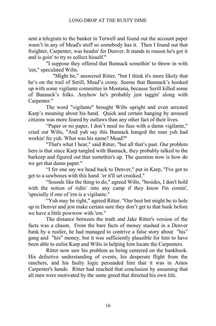sent a telegram to the banker in Terwell and found out the account paper wasn't in any of Mead's stuff so somebody has it. Then I found out that freighter, Carpenter, was headin' fer Denver. It stands to reason he's got it and is goin' to try to collect hisself."

"I suppose they offered that Bannack somethin' to throw in with 'em," speculated Wilts.

 "Might be," answered Ritter, "but I think it's more likely that he's on the trail of Serill, Mead's crony. Seems that Bannack's hooked up with some vigilante committee in Montana, because Serill killed some of Bannack's folks. Anyhow he's probably jest taggin' along with Carpenter."

The word "vigilante" brought Wilts upright and even arrested Karp's moaning about his hand. Quick and certain hanging by aroused citizens was more feared by outlaws than any other fact of their lives.

"Paper or no paper, I don't need no fuss with a damn vigilante," cried out Wilts, "And yuh say this Bannack hanged the man yuh had workin' fer yuh. What was his name? Mead?"

"That's what I hear," said Ritter, "but all that's past. Our problem here is that since Karp tangled with Bannack, they probably talked to the barkeep and figured out that somethin's up. The question now is how do we get that damn paper."

"I fer one say we head back to Denver," put in Karp, "I've got to get to a sawbones with this hand 'er it'll set crooked."

"Sounds like the thing to do," agreed Wilts, "besides, I don't hold with the notion of ridin' into any camp if they know I'm comin', 'specially if one of 'em is a vigilante."

"Yuh may be right," agreed Ritter. "Our best bet might be to hole up in Denver and jest make certain sure they don't get to that bank before we have a little powwow with 'em."

The distance between the truth and Jake Ritter's version of the facts was a chasm. From the bare facts of money stashed in a Denver bank by a rustler, he had managed to contrive a false story about "his" gang and "his" money, but it was sufficiently plausible for him to have been able to enlist Karp and Wilts in helping him locate the Carpenters.

Ritter now saw his problem as being centered on the bankbook. His defective understanding of events, his desperate flight from the ranchers, and his faulty logic persuaded him that it was in Amos Carpenter's hands. Ritter had reached that conclusion by assuming that all men were motivated by the same greed that directed his own life.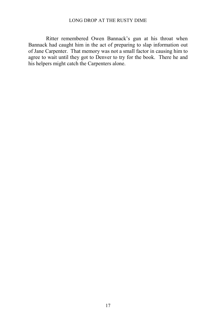#### LONG DROP AT THE RUSTY DIME

Ritter remembered Owen Bannack's gun at his throat when Bannack had caught him in the act of preparing to slap information out of Jane Carpenter. That memory was not a small factor in causing him to agree to wait until they got to Denver to try for the book. There he and his helpers might catch the Carpenters alone.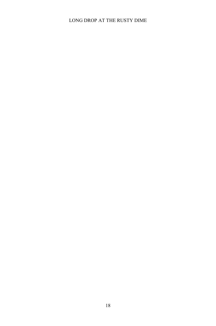#### LONG DROP AT THE RUSTY DIME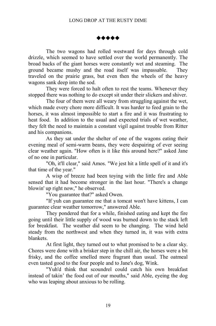

The two wagons had rolled westward for days through cold drizzle, which seemed to have settled over the world permanently. The broad backs of the giant horses were constantly wet and steaming. The ground became mushy and the road itself was impassable. They traveled on the prairie grass, but even then the wheels of the heavy wagons sank deep into the sod.

They were forced to halt often to rest the teams. Whenever they stopped there was nothing to do except sit under their slickers and shiver.

The four of them were all weary from struggling against the wet, which made every chore more difficult. It was harder to feed grain to the horses, it was almost impossible to start a fire and it was frustrating to heat food. In addition to the usual and expected trials of wet weather, they felt the need to maintain a constant vigil against trouble from Ritter and his companions.

As they sat under the shelter of one of the wagons eating their evening meal of semi-warm beans, they were despairing of ever seeing clear weather again. "How often is it like this around here?" asked Jane of no one in particular.

"Oh, it'll clear," said Amos. "We jest hit a little spell of it and it's that time of the year."

A wisp of breeze had been toying with the little fire and Able sensed that it had become stronger in the last hour. "There's a change blowin' up right now," he observed.

"You guarantee that?" asked Owen.

"If yuh can guarantee me that a tomcat won't have kittens, I can guarantee clear weather tomorrow," answered Able.

They pondered that for a while, finished eating and kept the fire going until their little supply of wood was burned down to the stack left for breakfast. The weather did seem to be changing. The wind held steady from the northwest and when they turned in, it was with extra blankets.

At first light, they turned out to what promised to be a clear sky. Chores were done with a brisker step in the chill air, the horses were a bit frisky, and the coffee smelled more fragrant than usual. The oatmeal even tasted good to the four people and to Jane's dog, Wink.

"Yuh'd think that scoundrel could catch his own breakfast instead of takin' the food out of our mouths," said Able, eyeing the dog who was leaping about anxious to be rolling.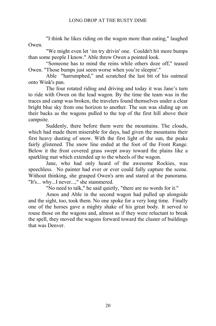"I think he likes riding on the wagon more than eating," laughed Owen.

"We might even let 'im try drivin' one. Couldn't hit more bumps than some people I know." Able threw Owen a pointed look.

"Someone has to mind the reins while others doze off," teased Owen. "Those bumps just seem worse when you're sleepin'."

Able "harrumphed," and scratched the last bit of his oatmeal onto Wink's pan.

The four rotated riding and driving and today it was Jane's turn to ride with Owen on the lead wagon. By the time the team was in the traces and camp was broken, the travelers found themselves under a clear bright blue sky from one horizon to another. The sun was sliding up on their backs as the wagons pulled to the top of the first hill above their campsite.

Suddenly, there before them were the mountains. The clouds, which had made them miserable for days, had given the mountains their first heavy dusting of snow. With the first light of the sun, the peaks fairly glistened. The snow line ended at the foot of the Front Range. Below it the frost covered grass swept away toward the plains like a sparkling mat which extended up to the wheels of the wagon.

Jane, who had only heard of the awesome Rockies, was speechless. No painter had ever or ever could fully capture the scene. Without thinking, she grasped Owen's arm and stared at the panorama. "It's... why...I never...," she stammered.

"No need to talk," he said quietly, "there are no words for it."

Amos and Able in the second wagon had pulled up alongside and the sight, too, took them. No one spoke for a very long time. Finally one of the horses gave a mighty shake of his great body. It served to rouse those on the wagons and, almost as if they were reluctant to break the spell, they moved the wagons forward toward the cluster of buildings that was Denver.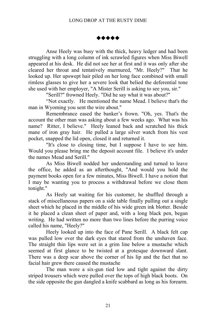## ◆◆◆◆◆

Anse Heely was busy with the thick, heavy ledger and had been struggling with a long column of ink scrawled figures when Miss Biwell appeared at his desk. He did not see her at first and it was only after she cleared her throat and tentatively murmured, "Mr. Heely?" That he looked up. Her upswept hair piled on her long face combined with small rimless glasses to give her a severe look that belied the deferential tone she used with her employer, "A Mister Serill is asking to see you, sir."

"Serill?" frowned Heely. "Did he say what it was about?"

"Not exactly. He mentioned the name Mead. I believe that's the man in Wyoming you sent the wire about."

Remembrance eased the banker's frown. "Oh, yes. That's the account the other man was asking about a few weeks ago. What was his name? Ritter, I believe." Heely leaned back and scratched his thick mane of iron gray hair. He pulled a large silver watch from his vest pocket, snapped the lid open, closed it and returned it.

"It's close to closing time, but I suppose I have to see him. Would you please bring me the deposit account file. I believe it's under the names Mead and Serill."

As Miss Biwell nodded her understanding and turned to leave the office, he added as an afterthought, "And would you hold the payment books open for a few minutes, Miss Biwell. I have a notion that I may be wanting you to process a withdrawal before we close them tonight."

As Heely sat waiting for his customer, he shuffled through a stack of miscellaneous papers on a side table finally pulling out a single sheet which he placed in the middle of his wide green ink blotter. Beside it he placed a clean sheet of paper and, with a long black pen, began writing. He had written no more than two lines before the purring voice called his name, "Heely?"

Heely looked up into the face of Pane Serill. A black felt cap was pulled low over the dark eyes that stared from the unshaven face. The straight thin lips were set in a grim line below a mustache which seemed at first glance to be twisted at a grotesque downward slant. There was a deep scar above the corner of his lip and the fact that no facial hair grew there caused the mustache

The man wore a six-gun tied low and tight against the dirty striped trousers which were pulled over the tops of high black boots. On the side opposite the gun dangled a knife scabbard as long as his forearm.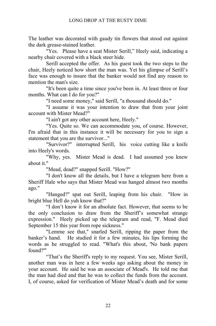The leather was decorated with gaudy tin flowers that stood out against the dark grease-stained leather.

"Yes. Please have a seat Mister Serill," Heely said, indicating a nearby chair covered with a black steer hide.

Serill accepted the offer. As his guest took the two steps to the chair, Heely noticed how short the man was. Yet his glimpse of Serill's face was enough to insure that the banker would not find any reason to mention the man's size.

"It's been quite a time since you've been in. At least three or four months. What can I do for you?"

"I need some money," said Serill, "a thousand should do."

"I assume it was your intention to draw that from your joint account with Mister Mead?"

"I ain't got any other account here, Heely."

"Yes. Quite so. We can accommodate you, of course. However, I'm afraid that in this instance it will be necessary for you to sign a statement that you are the survivor..."

"Survivor?" interrupted Serill, his voice cutting like a knife into Heely's words.

"Why, yes. Mister Mead is dead. I had assumed you knew about it."

"Mead, dead?" snapped Serill. "How?"

"I don't know all the details, but I have a telegram here from a Sheriff Hale who says that Mister Mead was hanged almost two months ago."

"Hanged?" spat out Serill, leaping from his chair. "How in bright blue Hell do yuh know that?"

"I don't know it for an absolute fact. However, that seems to be the only conclusion to draw from the Sheriff's somewhat strange expression." Heely picked up the telegram and read, "F. Mead died September 15 this year from rope sickness."

"Lemme see that," snarled Serill, ripping the paper from the banker's hand. He studied it for a few minutes, his lips forming the words as he struggled to read. "What's this about, 'No bank papers found?'"

"That's the Sheriff's reply to my request. You see, Mister Serill, another man was in here a few weeks ago asking about the money in your account. He said he was an associate of Mead's. He told me that the man had died and that he was to collect the funds from the account. I, of course, asked for verification of Mister Mead's death and for some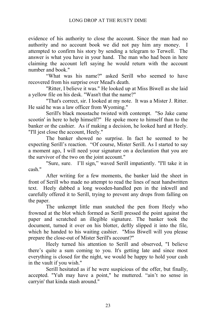evidence of his authority to close the account. Since the man had no authority and no account book we did not pay him any money. I attempted to confirm his story by sending a telegram to Terwell. The answer is what you have in your hand. The man who had been in here claiming the account left saying he would return with the account number and book."

"What was his name?" asked Serill who seemed to have recovered from his surprise over Mead's death.

"Ritter, I believe it was." He looked up at Miss Biwell as she laid a yellow file on his desk. "Wasn't that the name?"

"That's correct, sir. I looked at my note. It was a Mister J. Ritter. He said he was a law officer from Wyoming."

Serill's black moustache twisted with contempt. "So Jake came scootin' in here to help himself?" He spoke more to himself than to the banker or the cashier. As if making a decision, he looked hard at Heely. "I'll jest close the account, Heely."

The banker showed no surprise. In fact he seemed to be expecting Serill's reaction. "Of course, Mister Serill. As I started to say a moment ago, I will need your signature on a declaration that you are the survivor of the two on the joint account."

"Sure, sure. I'll sign," waved Serill impatiently. "I'll take it in cash."

After writing for a few moments, the banker laid the sheet in front of Serill who made no attempt to read the lines of neat handwritten text. Heely dabbed a long wooden-handled pen in the inkwell and carefully offered it to Serill, trying to prevent any drops from falling on the paper.

The unkempt little man snatched the pen from Heely who frowned at the blot which formed as Serill pressed the point against the paper and scratched an illegible signature. The banker took the document, turned it over on his blotter, deftly slipped it into the file, which he handed to his waiting cashier. "Miss Biwell will you please prepare the close-out of Mister Serill's account?"

Heely turned his attention to Serill and observed, "I believe there's quite a sum coming to you. It's getting late and since most everything is closed for the night, we would be happy to hold your cash in the vault if you wish."

Serill hesitated as if he were suspicious of the offer, but finally, accepted. "Yuh may have a point," he muttered. "ain't no sense in carryin' that kinda stash around."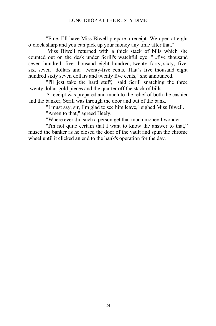"Fine, I'll have Miss Biwell prepare a receipt. We open at eight o'clock sharp and you can pick up your money any time after that."

 Miss Biwell returned with a thick stack of bills which she counted out on the desk under Serill's watchful eye. "...five thousand seven hundred, five thousand eight hundred, twenty, forty, sixty, five, six, seven dollars and twenty-five cents. That's five thousand eight hundred sixty seven dollars and twenty five cents," she announced.

"I'll jest take the hard stuff," said Serill snatching the three twenty dollar gold pieces and the quarter off the stack of bills.

A receipt was prepared and much to the relief of both the cashier and the banker, Serill was through the door and out of the bank.

"I must say, sir, I'm glad to see him leave," sighed Miss Biwell.

"Amen to that," agreed Heely.

"Where ever did such a person get that much money I wonder."

"I'm not quite certain that I want to know the answer to that," mused the banker as he closed the door of the vault and spun the chrome wheel until it clicked an end to the bank's operation for the day.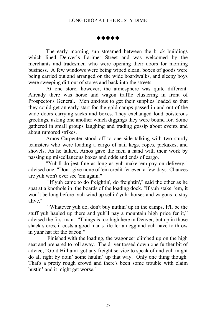#### ◆◆◆◆◆

The early morning sun streamed between the brick buildings which lined Denver's Larimer Street and was welcomed by the merchants and tradesmen who were opening their doors for morning business. A few windows were being wiped clean, boxes of goods were being carried out and arranged on the wide boardwalks, and sleepy boys were sweeping dirt out of stores and back into the streets.

At one store, however, the atmosphere was quite different. Already there was horse and wagon traffic clustering in front of Prospector's General. Men anxious to get their supplies loaded so that they could get an early start for the gold camps passed in and out of the wide doors carrying sacks and boxes. They exchanged loud boisterous greetings, asking one another which diggings they were bound for. Some gathered in small groups laughing and trading gossip about events and about rumored strikes.

Amos Carpenter stood off to one side talking with two sturdy teamsters who were loading a cargo of nail kegs, ropes, pickaxes, and shovels. As he talked, Amos gave the men a hand with their work by passing up miscellaneous boxes and odds and ends of cargo.

"Yuh'll do jest fine as long as yuh make 'em pay on delivery," advised one. "Don't give none of 'em credit fer even a few days. Chances are yuh won't ever see 'em again."

 "If yuh came to do freightin', do freightin'," said the other as he spat at a knothole in the boards of the loading dock. "If yuh stake 'em, it won't be long before yuh wind up sellin' yuhr horses and wagons to stay alive."

 "Whatever yuh do, don't buy nuthin' up in the camps. It'll be the stuff yuh hauled up there and yuh'll pay a mountain high price fer it," advised the first man. "Things is too high here in Denver, but up in those shack stores, it costs a good man's life fer an egg and yuh have to throw in yuhr hat fer the bacon."

 Finished with the loading, the wagoneer climbed up on the high seat and prepared to roll away. The driver tossed down one further bit of advice, "Gold Hill ain't got any freight service to speak of and yuh might do all right by doin' some haulin' up that way. Only one thing though. That's a pretty rough crowd and there's been some trouble with claim bustin' and it might get worse."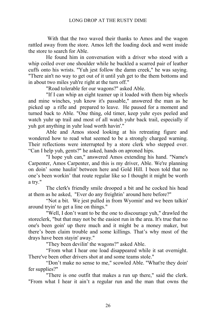With that the two waved their thanks to Amos and the wagon rattled away from the store. Amos left the loading dock and went inside the store to search for Able.

He found him in conversation with a driver who stood with a whip coiled over one shoulder while he buckled a scarred pair of leather cuffs onto his wrists. "Yuh jest follow the damn creek," he was saying. "There ain't no way to get out of it until yuh get to the them bottoms and in about two miles yuh're right at the turn off."

"Road tolerable fer our wagons?" asked Able.

"If I can whip an eight teamer up it loaded with them big wheels and mine winches, yuh know it's passable," answered the man as he picked up a rifle and prepared to leave. He paused for a moment and turned back to Able. "One thing, old timer, keep yuhr eyes peeled and watch yuhr up trail and most of all watch yuhr back trail, especially if yuh got anything in yuhr load worth havin'."

Able and Amos stood looking at his retreating figure and wondered how to read what seemed to be a strongly charged warning. Their reflections were interrupted by a store clerk who stepped over. "Can I help yuh, gents?" he asked, hands on aproned hips.

"I hope yuh can," answered Amos extending his hand. "Name's Carpenter, Amos Carpenter, and this is my driver, Able. We're planning on doin' some haulin' between here and Gold Hill. I been told that no one's been workin' that route regular like so I thought it might be worth a try."

The clerk's friendly smile drooped a bit and he cocked his head at them as he asked, "Ever do any freightin' around here before?"

"Not a bit. We jest pulled in from Wyomin' and we been talkin' around tryin' to get a line on things."

"Well, I don't want to be the one to discourage yuh," drawled the storeclerk, "but that may not be the easiest run in the area. It's true that no one's been goin' up there much and it might be a money maker, but there's been claim trouble and some killings. That's why most of the drays have been stayin' away."

"They been devilin' the wagons?" asked Able.

"From what I hear one load disappeared while it sat overnight. There've been other drivers shot at and some teams stole."

"Don't make no sense to me," scowled Able. "What're they doin' fer supplies?"

"There is one outfit that makes a run up there," said the clerk. "From what I hear it ain't a regular run and the man that owns the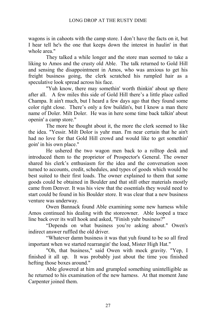wagons is in cahoots with the camp store. I don't have the facts on it, but I hear tell he's the one that keeps down the interest in haulin' in that whole area."

They talked a while longer and the store man seemed to take a liking to Amos and the crusty old Able. The talk returned to Gold Hill and sensing the disappointment in Amos, who was anxious to get his freight business going, the clerk scratched his rumpled hair as a speculative look spread across his face.

"Yuh know, there may somethin' worth thinkin' about up there after all. A few miles this side of Gold Hill there's a little place called Champa. It ain't much, but I heard a few days ago that they found some color right close. There's only a few buildin's, but I know a man there name of Doler. Milt Doler. He was in here some time back talkin' about openin' a camp store."

The more he thought about it, the more the clerk seemed to like the idea. "Yessir. Milt Dolor is yuhr man. I'm near certain that he ain't had no love for that Gold Hill crowd and would like to get somethin' goin' in his own place."

He ushered the two wagon men back to a rolltop desk and introduced them to the proprietor of Prospector's General. The owner shared his clerk's enthusiasm for the idea and the conversation soon turned to accounts, credit, schedules, and types of goods which would be best suited to their first loads. The owner explained to them that some goods could be obtained in Boulder and that still other materials mostly came from Denver. It was his view that the essentials they would need to start could be found in his Boulder store. It was clear that a new business venture was underway.

Owen Bannack found Able examining some new harness while Amos continued his dealing with the storeowner. Able looped a trace line back over its wall hook and asked, "Finish yuhr business?"

"Depends on what business you're asking about." Owen's indirect answer ruffled the old driver.

"Whatever damn business it was that yuh found to be so all fired important when we started rearrangin' the load, Mister High Hat."

"Oh, that business," said Owen with mock gravity. "Yep, I finished it all up. It was probably just about the time you finished hefting those boxes around."

Able glowered at him and grumpled something unintelligible as he returned to his examination of the new harness. At that moment Jane Carpenter joined them.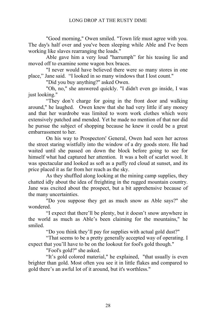"Good morning," Owen smiled. "Town life must agree with you. The day's half over and you've been sleeping while Able and I've been working like slaves rearranging the loads."

Able gave him a very loud "harrumph" for his teasing lie and moved off to examine some wagon box braces.

"I never would have believed there were so many stores in one place," Jane said. "I looked in so many windows that I lost count."

"Did you buy anything?" asked Owen.

"Oh, no," she answered quickly. "I didn't even go inside, I was just looking."

"They don't charge for going in the front door and walking around," he laughed. Owen knew that she had very little if any money and that her wardrobe was limited to worn work clothes which were extensively patched and mended. Yet he made no mention of that nor did he pursue the subject of shopping because he knew it could be a great embarrassment to her.

On his way to Prospectors' General, Owen had seen her across the street staring wistfully into the window of a dry goods store. He had waited until she passed on down the block before going to see for himself what had captured her attention. It was a bolt of scarlet wool. It was spectacular and looked as soft as a puffy red cloud at sunset, and its price placed it as far from her reach as the sky.

As they shuffled along looking at the mining camp supplies, they chatted idly about the idea of freighting in the rugged mountain country. Jane was excited about the prospect, but a bit apprehensive because of the many uncertainties.

"Do you suppose they get as much snow as Able says?" she wondered.

"I expect that there'll be plenty, but it doesn't snow anywhere in the world as much as Able's been claiming for the mountains," he smiled.

"Do you think they'll pay for supplies with actual gold dust?"

"That seems to be a pretty generally accepted way of operating. I expect that you'll have to be on the lookout for fool's gold though."

"Fool's gold?" she asked.

"It's gold colored material," he explained, "that usually is even brighter than gold. Most often you see it in little flakes and compared to gold there's an awful lot of it around, but it's worthless."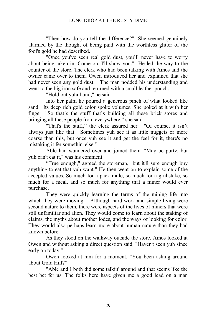"Then how do you tell the difference?" She seemed genuinely alarmed by the thought of being paid with the worthless glitter of the fool's gold he had described.

"Once you've seen real gold dust, you'll never have to worry about being taken in. Come on, I'll show you." He led the way to the counter of the store. The clerk who had been talking with Amos and the owner came over to them. Owen introduced her and explained that she had never seen any gold dust. The man nodded his understanding and went to the big iron safe and returned with a small leather pouch.

"Hold out yuhr hand," he said.

Into her palm he poured a generous pinch of what looked like sand. Its deep rich gold color spoke volumes. She poked at it with her finger. "So that's the stuff that's building all these brick stores and bringing all these people from everywhere," she said.

"That's the stuff," the clerk assured her. "Of course, it isn't always just like that. Sometimes yuh see it as little nuggets or more coarse than this, but once yuh see it and get the feel for it, there's no mistaking it fer somethin' else."

Able had wandered over and joined them. "May be purty, but yuh can't eat it," was his comment.

"True enough," agreed the storeman, "but it'll sure enough buy anything to eat that yuh want." He then went on to explain some of the accepted values. So much for a pack mule, so much for a grubstake, so much for a meal, and so much for anything that a miner would ever purchase.

They were quickly learning the terms of the mining life into which they were moving. Although hard work and simple living were second nature to them, there were aspects of the lives of miners that were still unfamiliar and alien. They would come to learn about the staking of claims, the myths about mother lodes, and the ways of looking for color. They would also perhaps learn more about human nature than they had known before.

As they stood on the walkway outside the store, Amos looked at Owen and without asking a direct question said, "Haven't seen yuh since early on today."

Owen looked at him for a moment. "You been asking around about Gold Hill?"

"Able and I both did some talkin' around and that seems like the best bet fer us. The folks here have given me a good lead on a man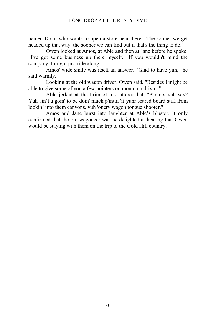named Dolar who wants to open a store near there. The sooner we get headed up that way, the sooner we can find out if that's the thing to do."

Owen looked at Amos, at Able and then at Jane before he spoke. "I've got some business up there myself. If you wouldn't mind the company, I might just ride along."

Amos' wide smile was itself an answer. "Glad to have yuh," he said warmly.

Looking at the old wagon driver, Owen said, "Besides I might be able to give some of you a few pointers on mountain drivin'."

Able jerked at the brim of his tattered hat, "P'inters yuh say? Yuh ain't a goin' to be doin' much p'intin 'if yuhr scared board stiff from lookin' into them canyons, yuh 'onery wagon tongue shooter."

Amos and Jane burst into laughter at Able's bluster. It only confirmed that the old wagoneer was he delighted at hearing that Owen would be staying with them on the trip to the Gold Hill country.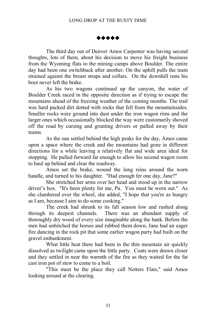

The third day out of Denver Amos Carpenter was having second thoughts, lots of them, about his decision to move his freight business from the Wyoming flats to the mining camps above Boulder. The entire day had been one switchback after another. On the uphill pulls the team strained against the breast straps and collars. On the downhill runs his boot never left the brake.

As his two wagons continued up the canyon, the water of Boulder Creek raced in the opposite direction as if trying to escape the mountains ahead of the freezing weather of the coming months. The trail was hard packed dirt dotted with rocks that fell from the mountainsides. Smaller rocks were ground into dust under the iron wagon rims and the larger ones which occasionally blocked the way were customarily shoved off the road by cursing and grunting drivers or pulled away by their teams.

As the sun settled behind the high peaks for the day, Amos came upon a space where the creek and the mountains had gone in different directions for a while leaving a relatively flat and wide area ideal for stopping. He pulled forward far enough to allow his second wagon room to haul up behind and clear the roadway.

Amos set the brake, wound the long reins around the worn handle, and turned to his daughter. "Had enough fer one day, Jane?"

She stretched her arms over her head and stood up in the narrow driver's box. "It's been plenty for me, Pa. You must be worn out." As she clambered over the wheel, she added, "I hope that you're as hungry as I am, because I aim to do some cooking."

The creek had shrunk to its fall season low and rushed along through its deepest channels. There was an abundant supply of thoroughly dry wood of every size imaginable along the bank. Before the men had unhitched the horses and rubbed them down, Jane had an eager fire dancing in the rock pit that some earlier wagon party had built on the gravel embankment.

What little heat there had been in the thin mountain air quickly dissolved as twilight came upon the little party. Coats were drawn closer and they settled in near the warmth of the fire as they waited for the fat cast iron pot of stew to come to a boil.

"This must be the place they call Netters Flats," said Amos looking around at the clearing.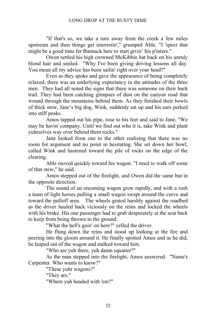"If that's so, we take a turn away from the creek a few miles upstream and then things get interestin'," grumped Able. "I 'spect that might be a good time fer Bannack here to start givin' his p'inters."

Owen settled his high crowned McKibbin hat back on his unruly blond hair and smiled. "Why I've been giving driving lessons all day. You mean all my advice has been sailin' right over your head?"

Even as they spoke and gave the appearance of being completely relaxed, there was an underlying expectancy in the attitudes of the three men. They had all noted the signs that there was someone on their back trail. They had been catching glimpses of dust on the canyon road that wound through the mountains behind them. As they finished their bowls of thick stew, Jane's big dog, Wink, suddenly sat up and his ears perked into stiff peaks.

Amos tapped out his pipe, rose to his feet and said to Jane, "We may be havin' company. Until we find out who it is, take Wink and plant yuhrselves way over behind them rocks."

Jane looked from one to the other realizing that there was no room for argument and no point in hesitating. She set down her bowl, called Wink and hastened toward the pile of rocks on the edge of the clearing.

Able moved quickly toward his wagon. "I need to walk off some of that stew," he said.

Amos stepped out of the firelight, and Owen did the same but in the opposite direction.

The sound of an oncoming wagon grew rapidly, and with a rush a team of light horses pulling a small wagon swept around the curve and toward the pulloff area. The wheels grated harshly against the roadbed as the driver hauled back viciously on the reins and locked the wheels with his brake. His one passenger had to grab desperately at the seat back to keep from being thrown to the ground.

"What the hell's goin' on here?" yelled the driver.

He flung down the reins and stood up looking at the fire and peering into the gloom around it. He finally spotted Amos and as he did, he leaped out of the wagon and stalked toward him.

"Who are yuh there, yuh damn squatter?"

As the man stepped into the firelight, Amos answered. "Name's Carpenter. Who wants to know?"

"These yuhr wagons?"

"They are."

"Where yuh headed with 'em?"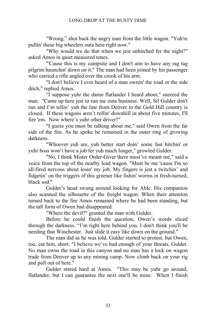"Wrong," shot back the angry man from the little wagon. "Yuh're pullin' these big wheelers outa here right now."

"Why would we do that when we jest unhitched fer the night?" asked Amos in quiet measured tones.

"'Cause this is my campsite and I don't aim to have any rag tag pilgrim haunchin' down on it." The man had been joined by his passenger who carried a rifle angled over the crook of his arm.

"I don't believe I ever heard of a man ownin' the road or the side ditch," replied Amos.

"I suppose yuhr the damn flatlander I heard about," sneered the man. "Came up here jest to run me outa business. Well, Sil Gulder don't run and I'm tellin' yuh the line from Denver to the Gold Hill country is closed. If these wagons aren't rollin' downhill in about five minutes, I'll fire 'em. Now where's yuhr other driver?"

"I guess you must be talking about me," said Owen from the far side of the fire. As he spoke he remained in the outer ring of growing darkness.

"Whoever yuh are, yuh better start doin' some fast hitchin' or yuhr boss won't have a job fer yuh much longer," growled Gulder.

"No, I think Mister Order-Giver there must've meant me," said a voice from the top of the nearby lead wagon. "Must be me 'cause I'm so all-fired nervous about losin' my job. My fingers is jest a twitchin' and fidgetin' on the triggers of this greener like fishin' worms in fresh-turned, black sod."

Gulder's head swung around looking for Able. His companion also scanned the silhouette of the freight wagon. When their attention turned back to the fire Amos remained where he had been standing, but the tall form of Owen had disappeared.

"Where the devil?" grunted the man with Gulder.

Before he could finish the question, Owen's words sliced through the darkness. "I'm right here behind you. I don't think you'll be needing that Winchester. Just slide it easy like down on the ground."

The man did as he was told. Gulder started to protest, but Owen, too, cut him, short. "I believe we've had enough of your threats, Gulder. No man owns the road in this canyon and no man has a lock on wagon trade from Denver up to any mining camp. Now climb back on your rig and pull out of here."

Gulder stared hard at Amos. "This may be yuhr go around, flatlander, but I can guarantee the next one'll be mine. When I finish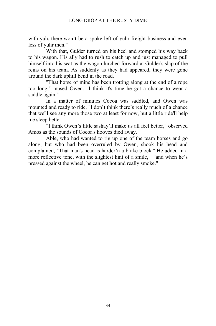with yuh, there won't be a spoke left of yuhr freight business and even less of yuhr men."

With that, Gulder turned on his heel and stomped his way back to his wagon. His ally had to rush to catch up and just managed to pull himself into his seat as the wagon lurched forward at Gulder's slap of the reins on his team. As suddenly as they had appeared, they were gone around the dark uphill bend in the road.

"That horse of mine has been trotting along at the end of a rope too long," mused Owen. "I think it's time he got a chance to wear a saddle again."

In a matter of minutes Cocoa was saddled, and Owen was mounted and ready to ride. "I don't think there's really much of a chance that we'll see any more those two at least for now, but a little ride'll help me sleep better."

"I think Owen's little sashay'll make us all feel better," observed Amos as the sounds of Cocoa's hooves died away.

Able, who had wanted to rig up one of the team horses and go along, but who had been overruled by Owen, shook his head and complained, "That man's head is harder'n a brake block." He added in a more reflective tone, with the slightest hint of a smile, "and when he's pressed against the wheel, he can get hot and really smoke."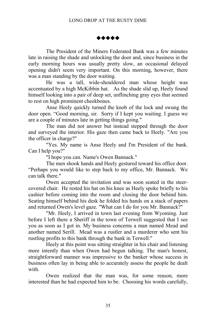

The President of the Miners Federated Bank was a few minutes late in raising the shade and unlocking the door and, since business in the early morning hours was usually pretty slow, an occasional delayed opening didn't seem very important. On this morning, however, there was a man standing by the door waiting.

He was a tall, wide-shouldered man whose height was accentuated by a high McKibbin hat. As the shade slid up, Heely found himself looking into a pair of deep set, unflinching gray eyes that seemed to rest on high prominent cheekbones.

Anse Heely quickly turned the knob of the lock and swung the door open. "Good morning, sir. Sorry if I kept you waiting. I guess we are a couple of minutes late in getting things going."

The man did not answer but instead stepped through the door and surveyed the interior. His gaze then came back to Heely. "Are you the officer in charge?"

"Yes. My name is Anse Heely and I'm President of the bank. Can I help you?"

"I hope you can. Name's Owen Bannack."

The men shook hands and Heely gestured toward his office door. "Perhaps you would like to step back to my office, Mr. Bannack. We can talk there."

Owen accepted the invitation and was soon seated in the steercovered chair. He rested his hat on his knee as Heely spoke briefly to his cashier before coming into the room and closing the door behind him. Seating himself behind his desk he folded his hands on a stack of papers and returned Owen's level gaze. "What can I do for you Mr. Bannack?"

"Mr. Heely, I arrived in town last evening from Wyoming. Just before I left there a Sheriff in the town of Terwell suggested that I see you as soon as I got in. My business concerns a man named Mead and another named Serill. Mead was a rustler and a murderer who sent his rustling profits to this bank through the bank in Terwell."

Heely at this point was sitting straighter in his chair and listening more intently than when Owen had begun talking. The man's honest, straightforward manner was impressive to the banker whose success in business often lay in being able to accurately assess the people he dealt with.

Owen realized that the man was, for some reason, more interested than he had expected him to be. Choosing his words carefully,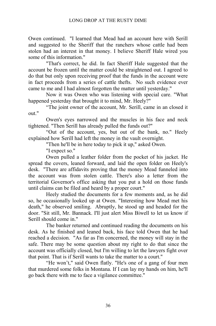Owen continued. "I learned that Mead had an account here with Serill and suggested to the Sheriff that the ranchers whose cattle had been stolen had an interest in that money. I believe Sheriff Hale wired you some of this information."

"That's correct, he did. In fact Sheriff Hale suggested that the account be frozen until the matter could be straightened out. I agreed to do that but only upon receiving proof that the funds in the account were in fact proceeds from a series of cattle thefts. No such evidence ever came to me and I had almost forgotten the matter until yesterday."

Now it was Owen who was listening with special care. "What happened yesterday that brought it to mind, Mr. Heely?"

"The joint owner of the account, Mr. Serill, came in an closed it out."

Owen's eyes narrowed and the muscles in his face and neck tightened. "Then Serill has already pulled the funds out?"

"Out of the account, yes, but out of the bank, no." Heely explained how Serill had left the money in the vault overnight.

"Then he'll be in here today to pick it up," asked Owen.

"I expect so."

Owen pulled a leather folder from the pocket of his jacket. He spread the covers, leaned forward, and laid the open folder on Heely's desk. "There are affidavits proving that the money Mead funneled into the account was from stolen cattle. There's also a letter from the territorial Governor's office asking that you put a hold on those funds until claims can be filed and heard by a proper court."

Heely studied the documents for a few moments and, as he did so, he occasionally looked up at Owen. "Interesting how Mead met his death," he observed smiling. Abruptly, he stood up and headed for the door. "Sit still, Mr. Bannack. I'll just alert Miss Biwell to let us know if Serill should come in."

The banker returned and continued reading the documents on his desk. As he finished and leaned back, his face told Owen that he had reached a decision. "As far as I'm concerned, the money will stay in the safe. There may be some question about my right to do that since the account was officially closed, but I'm willing to let the lawyers fight over that point. That is if Serill wants to take the matter to a court."

"He won't," said Owen flatly. "He's one of a gang of four men that murdered some folks in Montana. If I can lay my hands on him, he'll go back there with me to face a vigilance committee."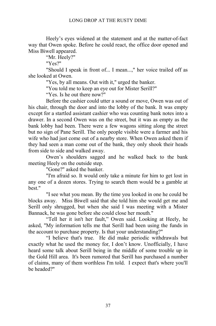Heely's eyes widened at the statement and at the matter-of-fact way that Owen spoke. Before he could react, the office door opened and Miss Biwell appeared.

"Mr. Heely?"

"Yes?"

"Should I speak in front of... I mean...," her voice trailed off as she looked at Owen.

"Yes, by all means. Out with it," urged the banker.

"You told me to keep an eye out for Mister Serill?"

"Yes. Is he out there now?"

Before the cashier could utter a sound or move, Owen was out of his chair, through the door and into the lobby of the bank. It was empty except for a startled assistant cashier who was counting bank notes into a drawer. In a second Owen was on the street, but it was as empty as the bank lobby had been. There were a few wagons sitting along the street but no sign of Pane Serill. The only people visible were a farmer and his wife who had just come out of a nearby store. When Owen asked them if they had seen a man come out of the bank, they only shook their heads from side to side and walked away.

Owen's shoulders sagged and he walked back to the bank meeting Heely on the outside step.

"Gone?" asked the banker.

"I'm afraid so. It would only take a minute for him to get lost in any one of a dozen stores. Trying to search them would be a gamble at hest."

"I see what you mean. By the time you looked in one he could be blocks away. Miss Biwell said that she told him she would get me and Serill only shrugged, but when she said I was meeting with a Mister Bannack, he was gone before she could close her mouth."

"Tell her it isn't her fault," Owen said. Looking at Heely, he asked, "My information tells me that Serill had been using the funds in the account to purchase property. Is that your understanding?"

"I believe that's true. He did make periodic withdrawals but exactly what he used the money for, I don't know. Unofficially, I have heard some talk about Serill being in the middle of some trouble up in the Gold Hill area. It's been rumored that Serill has purchased a number of claims, many of them worthless I'm told. I expect that's where you'll be headed?"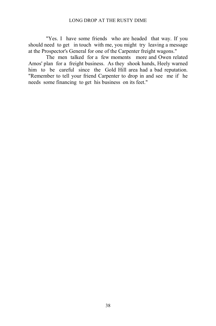"Yes. I have some friends who are headed that way. If you should need to get in touch with me, you might try leaving a message at the Prospector's General for one of the Carpenter freight wagons."

The men talked for a few moments more and Owen related Amos' plan for a freight business. As they shook hands, Heely warned him to be careful since the Gold Hill area had a bad reputation. "Remember to tell your friend Carpenter to drop in and see me if he needs some financing to get his business on its feet."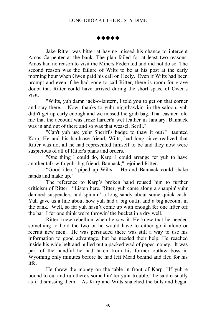◆◆◆◆◆

Jake Ritter was bitter at having missed his chance to intercept Amos Carpenter at the bank. The plan failed for at least two reasons. Amos had no reason to visit the Miners Federated and did not do so. The second reason was the failure of Wilts to be at his post at the early morning hour when Owen paid his call on Heely. Even if Wilts had been prompt and even if he had gone to call Ritter, there is room for grave doubt that Ritter could have arrived during the short space of Owen's visit.

"Wilts, yuh damn jack-o-lantern, I told you to get on that corner and stay there. Now, thanks to yuhr nighthawkin' in the saloon, yuh didn't get up early enough and we missed the grab bag. That cashier told me that the account was froze harder'n wet leather in January. Bannack was in and out of there and so was that weasel, Serill."

"Can't yuh use yuhr Sheriff's badge to thaw it out?" taunted Karp. He and his hardcase friend, Wilts, had long since realized that Ritter was not all he had represented himself to be and they now were suspicious of all of Ritter's plans and orders.

"One thing I could do, Karp. I could arrange fer yuh to have another talk with yuhr big friend, Bannack," rejoined Ritter.

"Good idea," piped up Wilts. "He and Bannack could shake hands and make up."

The reference to Karp's broken hand roused him to further criticism of Ritter. "Listen here, Ritter, yuh came along a snappin' yuhr damned suspenders and spinnin' a long sandy about some quick cash. Yuh gave us a line about how yuh had a big outfit and a big account in the bank. Well, so far yuh hasn't come up with enough fer one lifter off the bar. I fer one think we're throwin' the bucket in a dry well."

Ritter knew rebellion when he saw it. He knew that he needed something to hold the two or he would have to either go it alone or recruit new men. He was persuaded there was still a way to use his information to good advantage, but he needed their help. He reached inside his wide belt and pulled out a packed wad of paper money. It was part of the handful he had taken from his former outlaw boss in Wyoming only minutes before he had left Mead behind and fled for his life.

He threw the money on the table in front of Karp. "If yuh're bound to cut and run there's somethin' fer yuhr trouble," he said casually as if dismissing them. As Karp and Wilts snatched the bills and began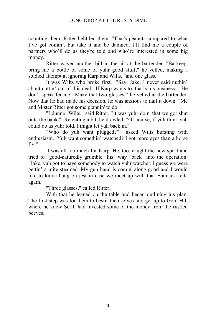counting them, Ritter belittled them. "That's peanuts compared to what I've got comin', but take it and be damned. I'll find me a couple of partners who'll do as they're told and who're interested in some big money."

Ritter waved another bill in the air at the bartender. "Barkeep, bring me a bottle of some of yuhr good stuff," he yelled, making a studied attempt at ignoring Karp and Wilts, "and one glass."

It was Wilts who broke first. "Say, Jake, I never said nuthin' about cuttin' out of this deal. If Karp wants to, that's his business. He don't speak fer me. Make that two glasses," he yelled at the bartender. Now that he had made his decision, he was anxious to nail it down. "Me and Mister Ritter got some plannin' to do."

"I dunno, Wilts," said Ritter, "it was yuhr doin' that we got shut outa the bank." Relenting a bit, he drawled, "Of course, if yuh think yuh could do as yuhr told, I might let yuh back in."

"Who do yuh want plugged?" asked Wilts bursting with enthusiasm. Yuh want somethin' watched? I got more eyes than a horse fly."

It was all too much for Karp. He, too, caught the new spirit and tried to good-naturedly grumble his way back into the operation. "Jake, yuh got to have somebody to watch yuhr watcher. I guess we were gettin' a mite steamed. My gun hand is comin' along good and I would like to kinda hang on jest in case we meet up with that Bannack fella again."

"Three glasses," called Ritter.

With that he leaned on the table and began outlining his plan. The first step was for them to bestir themselves and get up to Gold Hill where he knew Serill had invested some of the money from the rustled beeves.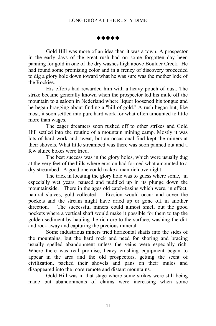

Gold Hill was more of an idea than it was a town. A prospector in the early days of the great rush had on some forgotten day been panning for gold in one of the dry washes high above Boulder Creek. He had found some promising color and in a frenzy of discovery proceeded to dig a glory hole down toward what he was sure was the mother lode of the Rockies.

His efforts had rewarded him with a heavy pouch of dust. The strike became generally known when the prospector led his mule off the mountain to a saloon in Nederland where liquor loosened his tongue and he began bragging about finding a "hill of gold." A rush began but, like most, it soon settled into pure hard work for what often amounted to little more than wages.

The eager dreamers soon rushed off to other strikes and Gold Hill settled into the routine of a mountain mining camp. Mostly it was lots of hard work and sweat, but an occasional find kept the miners at their shovels. What little streambed was there was soon panned out and a few sluice boxes were tried.

The best success was in the glory holes, which were usually dug at the very feet of the hills where erosion had formed what amounted to a dry streambed. A good one could make a man rich overnight.

The trick in locating the glory hole was to guess where some, in especially wet years, paused and puddled up in its plunge down the mountainside. There in the ages old catch-basins which were, in effect, natural sluices, gold collected. Erosion would occur and cover the pockets and the stream might have dried up or gone off in another direction. The successful miners could almost smell out the good pockets where a vertical shaft would make it possible for them to tap the golden sediment by hauling the rich ore to the surface, washing the dirt and rock away and capturing the precious mineral.

Some industrious miners tried horizontal shafts into the sides of the mountains, but the hard rock and need for shoring and bracing usually spelled abandonment unless the veins were especially rich. Where there was real promise, heavy crushing equipment began to appear in the area and the old prospectors, getting the scent of civilization, packed their shovels and pans on their mules and disappeared into the more remote and distant mountains.

Gold Hill was in that stage where some strikes were still being made but abandonments of claims were increasing when some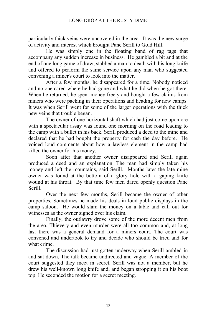particularly thick veins were uncovered in the area. It was the new surge of activity and interest which brought Pane Serill to Gold Hill.

He was simply one in the floating band of rag tags that accompany any sudden increase in business. He gambled a bit and at the end of one long game of draw, stabbed a man to death with his long knife and offered to perform the same service upon any man who suggested convening a miner's court to look into the matter.

After a few months, he disappeared for a time. Nobody noticed and no one cared where he had gone and what he did when he got there. When he returned, he spent money freely and bought a few claims from miners who were packing in their operations and heading for new camps. It was when Serill went for some of the larger operations with the thick new veins that trouble began.

The owner of one horizontal shaft which had just come upon ore with a spectacular assay was found one morning on the road leading to the camp with a bullet in his back. Serill produced a deed to the mine and declared that he had bought the property for cash the day before. He voiced loud comments about how a lawless element in the camp had killed the owner for his money.

Soon after that another owner disappeared and Serill again produced a deed and an explanation. The man had simply taken his money and left the mountains, said Serill. Months later the late mine owner was found at the bottom of a glory hole with a gaping knife wound at his throat. By that time few men dared openly question Pane Serill.

Over the next few months, Serill became the owner of other properties. Sometimes he made his deals in loud public displays in the camp saloon. He would slam the money on a table and call out for witnesses as the owner signed over his claim.

Finally, the outlawry drove some of the more decent men from the area. Thievery and even murder were all too common and, at long last there was a general demand for a miners court. The court was convened and undertook to try and decide who should be tried and for what crime.

The discussion had just gotten underway when Serill ambled in and sat down. The talk became undirected and vague. A member of the court suggested they meet in secret. Serill was not a member, but he drew his well-known long knife and, and began stropping it on his boot top. He seconded the motion for a secret meeting.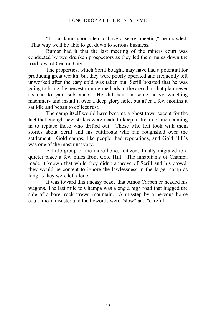"It's a damn good idea to have a secret meetin'," he drawled. "That way we'll be able to get down to serious business."

Rumor had it that the last meeting of the miners court was conducted by two drunken prospectors as they led their mules down the road toward Central City.

The properties, which Serill bought, may have had a potential for producing great wealth, but they were poorly operated and frequently left unworked after the easy gold was taken out. Serill boasted that he was going to bring the newest mining methods to the area, but that plan never seemed to gain substance. He did haul in some heavy winching machinery and install it over a deep glory hole, but after a few months it sat idle and began to collect rust.

The camp itself would have become a ghost town except for the fact that enough new strikes were made to keep a stream of men coming in to replace those who drifted out. Those who left took with them stories about Serill and his cutthroats who ran roughshod over the settlement. Gold camps, like people, had reputations, and Gold Hill's was one of the most unsavory.

A little group of the more honest citizens finally migrated to a quieter place a few miles from Gold Hill. The inhabitants of Champa made it known that while they didn't approve of Serill and his crowd, they would be content to ignore the lawlessness in the larger camp as long as they were left alone.

It was toward this uneasy peace that Amos Carpenter headed his wagons. The last mile to Champa was along a high road that hugged the side of a bare, rock-strewn mountain. A misstep by a nervous horse could mean disaster and the bywords were "slow" and "careful."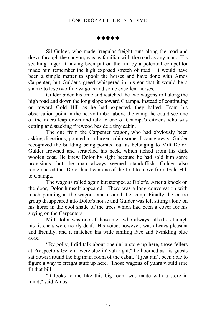

Sil Gulder, who made irregular freight runs along the road and down through the canyon, was as familiar with the road as any man. His seething anger at having been put on the run by a potential competitor made him remember the high exposed stretch of road. It would have been a simple matter to spook the horses and have done with Amos Carpenter, but Gulder's greed whispered in his ear that it would be a shame to lose two fine wagons and some excellent horses.

Gulder bided his time and watched the two wagons roll along the high road and down the long slope toward Champa. Instead of continuing on toward Gold Hill as he had expected, they halted. From his observation point in the heavy timber above the camp, he could see one of the riders leap down and talk to one of Champa's citizens who was cutting and stacking firewood beside a tiny cabin.

The one from the Carpenter wagon, who had obviously been asking directions, pointed at a larger cabin some distance away. Gulder recognized the building being pointed out as belonging to Milt Dolor. Gulder frowned and scratched his neck, which itched from his dark woolen coat. He knew Dolor by sight because he had sold him some provisions, but the man always seemed standoffish. Gulder also remembered that Dolor had been one of the first to move from Gold Hill to Champa.

The wagons rolled again but stopped at Dolor's. After a knock on the door, Dolor himself appeared. There was a long conversation with much pointing at the wagons and around the camp. Finally the entire group disappeared into Dolor's house and Gulder was left sitting alone on his horse in the cool shade of the trees which had been a cover for his spying on the Carpenters.

Milt Dolor was one of those men who always talked as though his listeners were nearly deaf. His voice, however, was always pleasant and friendly, and it matched his wide smiling face and twinkling blue eyes.

"By golly, I did talk about openin' a store up here, those fellers at Prospectors General were steerin' yuh right," he boomed as his guests sat down around the big main room of the cabin. "I jest ain't been able to figure a way to freight stuff up here. Those wagons of yuhrs would sure fit that bill."

"It looks to me like this big room was made with a store in mind," said Amos.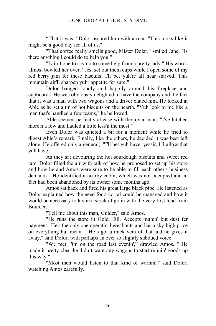"That it was," Dolor assured him with a roar. "This looks like it might be a good day fer all of us."

"That coffee really smells good, Mister Dolar," smiled Jane. "Is there anything I could do to help you."

"I ain't one to say no to some help from a pretty lady." His words almost bowled her over. "Jest set out them cups while I open some of my red berry jam fer these biscuits. I'll bet yuh're all near starved. This mountain air'll sharpen yuhr appetite fer sure."

Dolor banged loudly and happily around his fireplace and cupboards. He was obviously delighted to have the company and the fact that it was a man with two wagons and a driver elated him. He looked at Able as he set a tin of hot biscuits on the hearth. "Yuh look to me like a man that's handled a few teams," he bellowed.

Able seemed perfectly at ease with the jovial man. "I've hitched more'n a few and hauled a little less'n the most."

Even Dolor was quieted a bit for a moment while he tried to digest Able's remark. Finally, like the others, he decided it was best left alone. He offered only a general, "I'll bet yuh have, yessir, I'll allow that yuh have."

As they sat devouring the hot sourdough biscuits and sweet red jam, Dolor filled the air with talk of how he proposed to set up his store and how he and Amos were sure to be able to fill each other's business demands. He identified a nearby cabin, which was not occupied and in fact had been abandoned by its owner some months ago.

Amos sat back and fired his great large black pipe. He listened as Dolor explained how the need for a corral could be managed and how it would be necessary to lay in a stock of grain with the very first load from Boulder.

"Tell me about this man, Gulder," said Amos.

"He runs the store in Gold Hill. Accepts nuthin' but dust fer payment. He's the only one operatin' hereabouts and has a sky-high price on everything but mean. He`s got a thick vein of that and he gives it away," said Dolor, with perhaps an ever so slightly subdued voice.

"We met 'im on the road last evenin'," drawled Amos. " He made it pretty clear he didn't want any wagons to start runnin' goods up this way."

"Most men would listen to that kind of warnin'," said Dolor, watching Amos carefully.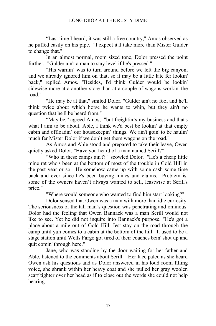"Last time I heard, it was still a free country," Amos observed as he puffed easily on his pipe. "I expect it'll take more than Mister Gulder to change that."

In an almost normal, room sized tone, Dolor pressed the point further. "Gulder ain't a man to stay level if he's pressed."

"His warnin' was to turn around before we left the big canyon, and we already ignored him on that, so it may be a little late fer lookin' back," replied Amos. "Besides, I'd think Gulder would be lookin' sidewise more at a another store than at a couple of wagons workin' the road."

"He may be at that," smiled Dolor. "Gulder ain't no fool and he'll think twice about which horse he wants to whip, but they ain't no question that he'll be heard from."

"May be," agreed Amos, "but freightin's my business and that's what I aim to be about. Able, I think we'd best be lookin' at that empty cabin and offloadin' our housekeepin' things. We ain't goin' to be haulin' much fer Mister Dolor if we don't get them wagons on the road."

As Amos and Able stood and prepared to take their leave, Owen quietly asked Dolor, "Have you heard of a man named Serill?"

"Who in these camps ain't?" scowled Dolor. "He's a cheap little mine rat who's been at the bottom of most of the trouble in Gold Hill in the past year or so. He somehow came up with some cash some time back and ever since he's been buying mines and claims. Problem is, some of the owners haven't always wanted to sell, leastwise at Serill's price."

"Where would someone who wanted to find him start looking?"

Dolor sensed that Owen was a man with more than idle curiosity. The seriousness of the tall man's question was penetrating and ominous. Dolor had the feeling that Owen Bannack was a man Serill would not like to see. Yet he did not inquire into Bannack's purpose. "He's got a place about a mile out of Gold Hill. Jest stay on the road through the camp until yuh comes to a cabin at the bottom of the hill. It used to be a stage station until Wells Fargo got tired of their coaches bein' shot up and quit comin' through here."

Jane, who was standing by the door waiting for her father and Able, listened to the comments about Serill. Her face paled as she heard Owen ask his questions and as Dolor answered in his loud room filling voice, she shrank within her heavy coat and she pulled her gray woolen scarf tighter over her head as if to close out the words she could not help hearing.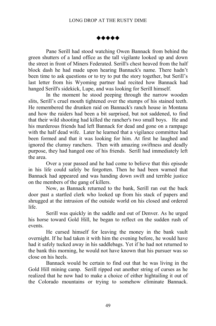

Pane Serill had stood watching Owen Bannack from behind the green shutters of a land office as the tall vigilante looked up and down the street in front of Miners Federated. Serill's chest heaved from the half block dash he had made upon hearing Bannack's name. There hadn't been time to ask questions or to try to put the story together, but Serill's last letter from his Wyoming partner had recited how Bannack had hanged Serill's sidekick, Lupe, and was looking for Serill himself.

In the moment he stood peeping through the narrow wooden slits, Serill's cruel mouth tightened over the stumps of his stained teeth. He remembered the drunken raid on Bannack's ranch house in Montana and how the raiders had been a bit surprised, but not saddened, to find that their wild shooting had killed the rancher's two small boys. He and his murderous friends had left Bannack for dead and gone on a rampage with the half dead wife. Later he learned that a vigilance committee had been formed and that it was looking for him. At first he laughed and ignored the clumsy ranchers. Then with amazing swiftness and deadly purpose, they had hanged one of his friends. Serill had immediately left the area.

Over a year passed and he had come to believe that this episode in his life could safely be forgotten. Then he had been warned that Bannack had appeared and was handing down swift and terrible justice on the members of the gang of killers.

Now, as Bannack returned to the bank, Serill ran out the back door past a startled clerk who looked up from his stack of papers and shrugged at the intrusion of the outside world on his closed and ordered life.

Serill was quickly in the saddle and out of Denver. As he urged his horse toward Gold Hill, he began to reflect on the sudden rush of events.

He cursed himself for leaving the money in the bank vault overnight. If he had taken it with him the evening before, he would have had it safely tucked away in his saddlebags. Yet if he had not returned to the bank this morning, he would not have known that his pursuer was so close on his heels.

Bannack would be certain to find out that he was living in the Gold Hill mining camp. Serill ripped out another string of curses as he realized that he now had to make a choice of either hightailing it out of the Colorado mountains or trying to somehow eliminate Bannack.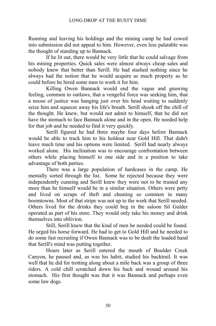Running and leaving his holdings and the mining camp he had cowed into submission did not appeal to him. However, even less palatable was the thought of standing up to Bannack.

If he lit out, there would be very little that he could salvage from his mining properties. Quick sales were almost always cheap sales and nobody knew that better than Serill. He had stashed nothing since he always had the notion that he would acquire as much property as he could before he hired some men to work it for him.

Killing Owen Bannack would end the vague and gnawing feeling, common to outlaws, that a vengeful force was seeking him, that a noose of justice was hanging just over his head waiting to suddenly seize him and squeeze away his life's breath. Serill shook off the chill of the thought. He knew, but would not admit to himself, that he did not have the stomach to face Bannack alone and in the open. He needed help for that job and he needed to find it very quickly.

Serill figured he had three maybe four days before Bannack would be able to track him to his holdout near Gold Hill. That didn't leave much time and his options were limited. Serill had nearly always worked alone. His inclination was to encourage confrontation between others while placing himself to one side and in a position to take advantage of both parties.

There was a large population of hardcases in the camp. He mentally sorted through the list. Some he rejected because they were independently cunning and Serill knew they were not to be trusted any more than he himself would be in a similar situation. Others were petty and lived on scraps of theft and cheating so common in many boomtowns. Most of that stripe was not up to the work that Serill needed. Others lived for the drinks they could beg in the saloon Sil Gulder operated as part of his store. They would only take his money and drink themselves into oblivion.

Still, Serill knew that the kind of men he needed could be found. He urged his horse forward. He had to get to Gold Hill and he needed to do some fast recruiting if Owen Bannack was to be dealt the loaded hand that Serill's mind was putting together.

Hours later as Serill entered the mouth of Boulder Creek Canyon, he paused and, as was his habit, studied his backtrail. It was well that he did for trotting along about a mile back was a group of three riders. A cold chill scratched down his back and wound around his stomach. His first thought was that it was Bannack and perhaps even some law dogs.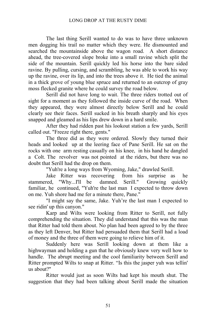The last thing Serill wanted to do was to have three unknown men dogging his trail no matter which they were. He dismounted and searched the mountainside above the wagon road. A short distance ahead, the tree-covered slope broke into a small ravine which split the side of the mountain. Serill quickly led his horse into the bare sided ravine. By pulling, cursing, and scrambling, he was able to work his way up the ravine, over its lip, and into the trees above it. He tied the animal in a thick grove of young blue spruce and returned to an outcrop of gray moss flecked granite where he could survey the road below.

Serill did not have long to wait. The three riders trotted out of sight for a moment as they followed the inside curve of the road. When they appeared, they were almost directly below Serill and he could clearly see their faces. Serill sucked in his breath sharply and his eyes snapped and gleamed as his lips drew down in a hard smile.

After they had ridden past his lookout station a few yards, Serill called out. "Freeze right there, gents."

The three did as they were ordered. Slowly they turned their heads and looked up at the leering face of Pane Serill. He sat on the rocks with one arm resting casually on his knee, in his hand he dangled a Colt. The revolver was not pointed at the riders, but there was no doubt that Serill had the drop on them.

"Yuh're a long ways from Wyoming, Jake," drawled Serill.

Jake Ritter was recovering from his surprise as he stammered, "Why...I'll be damned. Serill." Growing quickly familiar, he continued, "Yuh're the last man I expected to throw down on me. Yuh shore had me fer a minute there, Pane."

"I might say the same, Jake. Yuh're the last man I expected to see ridin' up this canyon."

Karp and Wilts were looking from Ritter to Serill, not fully comprehending the situation. They did understand that this was the man that Ritter had told them about. No plan had been agreed to by the three as they left Denver, but Ritter had persuaded them that Serill had a load of money and the three of them were going to relieve him of it.

Suddenly here was Serill looking down at them like a highwayman and holding a gun that he obviously knew very well how to handle. The abrupt meeting and the cool familiarity between Serill and Ritter prompted Wilts to snap at Ritter. "Is this the jasper yuh was tellin' us about?"

Ritter would just as soon Wilts had kept his mouth shut. The suggestion that they had been talking about Serill made the situation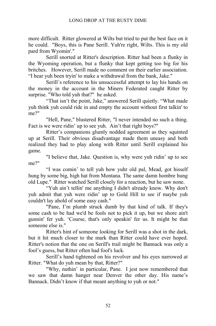more difficult. Ritter glowered at Wilts but tried to put the best face on it he could. "Boys, this is Pane Serill. Yuh're right, Wilts. This is my old pard from Wyomin'."

Serill snorted at Ritter's description. Ritter had been a flunky in the Wyoming operation, but a flunky that kept getting too big for his britches. However, Serill made no comment on their earlier association. "I hear yuh been tryin' to make a withdrawal from the bank, Jake."

Serill`s reference to his unsuccessful attempt to lay his hands on the money in the account in the Miners Federated caught Ritter by surprise. "Who told yuh that?" he asked.

"That isn't the point, Jake," answered Serill quietly. "What made yuh think yuh could ride in and empty the account without first talkin' to me?"

"Hell, Pane," blustered Ritter, "I never intended no such a thing. Fact is we were ridin' up to see yuh. Ain't that right boys?"

Ritter's companions glumly nodded agreement as they squinted up at Serill. Their obvious disadvantage made them uneasy and both realized they had to play along with Ritter until Serill explained his game.

"I believe that, Jake. Question is, why were yuh ridin' up to see me?"

"I was comin' to tell yuh how yuhr old pal, Mead, got hisself hung by some big, high hat from Montana. The same damn hombre hung old Lupe." Ritter watched Serill closely for a reaction, but he saw none.

"Yuh ain't tellin' me anything I didn't already know. Why don't yuh admit that yuh were ridin' up to Gold Hill to see if maybe yuh couldn't lay ahold of some easy cash."

"Pane, I'm plumb struck dumb by that kind of talk. If they's some cash to be had we'd be fools not to pick it up, but we shore ain't gunnin' fer yuh. 'Course, that's only speakin' fer us. It might be that someone else is."

Ritter's hint of someone looking for Serill was a shot in the dark, but it hit much closer to the mark than Ritter could have ever hoped. Ritter's notion that the one on Serill's trail might be Bannack was only a fool's guess, but Ritter often had fool's luck.

Serill's hand tightened on his revolver and his eyes narrowed at Ritter. "What do yuh mean by that, Ritter?"

"Why, nuthin' in particular, Pane. I jest now remembered that we saw that damn hanger near Denver the other day. His name's Bannack. Didn't know if that meant anything to yuh or not."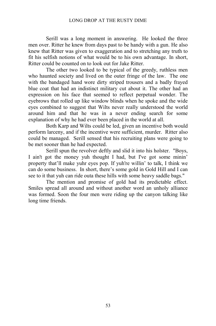Serill was a long moment in answering. He looked the three men over. Ritter he knew from days past to be handy with a gun. He also knew that Ritter was given to exaggeration and to stretching any truth to fit his selfish notions of what would be to his own advantage. In short, Ritter could be counted on to look out for Jake Ritter.

The other two looked to be typical of the greedy, ruthless men who haunted society and lived on the outer fringe of the law. The one with the bandaged hand wore dirty striped trousers and a badly frayed blue coat that had an indistinct military cut about it. The other had an expression on his face that seemed to reflect perpetual wonder. The eyebrows that rolled up like window blinds when he spoke and the wide eyes combined to suggest that Wilts never really understood the world around him and that he was in a never ending search for some explanation of why he had ever been placed in the world at all.

Both Karp and Wilts could be led, given an incentive both would perform larceny, and if the incentive were sufficient, murder. Ritter also could be managed. Serill sensed that his recruiting plans were going to be met sooner than he had expected.

Serill spun the revolver deftly and slid it into his holster. "Boys, I ain't got the money yuh thought I had, but I've got some minin' property that'll make yuhr eyes pop. If yuh're willin' to talk, I think we can do some business. In short, there's some gold in Gold Hill and I can see to it that yuh can ride outa these hills with some heavy saddle bags."

The mention and promise of gold had its predictable effect. Smiles spread all around and without another word an unholy alliance was formed. Soon the four men were riding up the canyon talking like long time friends.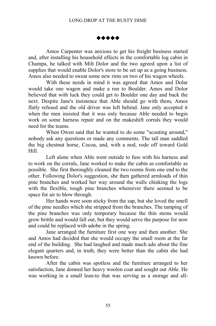◆◆◆◆◆

Amos Carpenter was anxious to get his freight business started and, after installing his household effects in the comfortable log cabin in Champa, he talked with Milt Dolor and the two agreed upon a list of supplies that would enable Dolor's store to be set up as a going business. Amos also needed to sweat some new rims on two of his wagon wheels.

With these needs in mind it was agreed that Amos and Dolar would take one wagon and make a run to Boulder. Amos and Dolor believed that with luck they could get to Boulder one day and back the next. Despite Jane's insistence that Able should go with them, Amos flatly refused and the old driver was left behind. Jane only accepted it when the men insisted that it was only because Able needed to begin work on some harness repair and on the makeshift corrals they would need for the teams.

When Owen said that he wanted to do some "scouting around," nobody ask any questions or made any comments. The tall man saddled the big chestnut horse, Cocoa, and, with a nod, rode off toward Gold Hill.

Left alone when Able went outside to fuss with his harness and to work on the corrals, Jane worked to make the cabin as comfortable as possible. She first thoroughly cleaned the two rooms from one end to the other. Following Dolor's suggestion, she then gathered armloads of thin pine branches and worked her way around the walls chinking the logs with the flexible, tough pine branches whereever there seemed to be space for air to blow through.

Her hands were soon sticky from the sap, but she loved the smell of the pine needles which she stripped from the branches. The tamping of the pine branches was only temporary because the thin stems would grow brittle and would fall out, but they would serve the purpose for now and could be replaced with adobe in the spring.

Jane arranged the furniture first one way and then another. She and Amos had decided that she would occupy the small room at the far end of the building. She had laughed and made much ado about the fine elegant quarters and, in truth, they were better than the cabin she had known before.

After the cabin was spotless and the furniture arranged to her satisfaction, Jane donned her heavy woolen coat and sought out Able. He was working in a small lean-to that was serving as a storage and all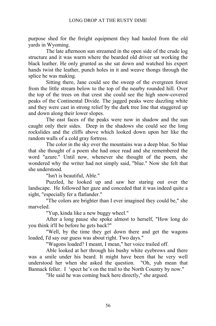purpose shed for the freight equipment they had hauled from the old yards in Wyoming.

The late afternoon sun streamed in the open side of the crude log structure and it was warm where the bearded old driver sat working the black leather. He only grunted as she sat down and watched his expert hands twist the leather, punch holes in it and weave thongs through the splice he was making.

Sitting there, Jane could see the sweep of the evergreen forest from the little stream below to the top of the nearby rounded hill. Over the top of the trees on that crest she could see the high snow-covered peaks of the Continental Divide. The jagged peaks were dazzling white and they were cast in strong relief by the dark tree line that staggered up and down along their lower slopes.

The east faces of the peaks were now in shadow and the sun caught only their sides. Deep in the shadows she could see the long rockslides and the cliffs above which looked down upon her like the random walls of a cold gray fortress.

The color in the sky over the mountains was a deep blue. So blue that she thought of a poem she had once read and she remembered the word "azure." Until now, whenever she thought of the poem, she wondered why the writer had not simply said, "blue." Now she felt that she understood.

"Isn't is beautiful, Able."

Puzzled, he looked up and saw her staring out over the landscape. He followed her gaze and conceded that it was indeed quite a sight, "especially fer a flatlander."

"The colors are brighter than I ever imagined they could be," she marveled.

"Yup, kinda like a new buggy wheel."

After a long pause she spoke almost to herself, "How long do you think it'll be before he gets back?"

"Well, by the time they get down there and get the wagons loaded, I'd say our guess was about right. Two days."

"Wagons loaded? I meant, I mean," her voice trailed off.

Able looked at her through his bushy white eyebrows and there was a smile under his beard. It might have been that he very well understood her when she asked the question. "Oh, yuh mean that Bannack feller. I 'spect he's on the trail to the North Country by now."

"He said he was coming back here directly," she argued.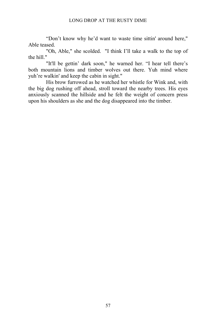"Don't know why he'd want to waste time sittin' around here," Able teased.

"Oh, Able," she scolded. "I think I'll take a walk to the top of the hill."

"It'll be gettin' dark soon," he warned her. "I hear tell there's both mountain lions and timber wolves out there. Yuh mind where yuh're walkin' and keep the cabin in sight."

His brow furrowed as he watched her whistle for Wink and, with the big dog rushing off ahead, stroll toward the nearby trees. His eyes anxiously scanned the hillside and he felt the weight of concern press upon his shoulders as she and the dog disappeared into the timber.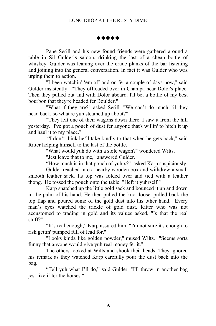

Pane Serill and his new found friends were gathered around a table in Sil Gulder's saloon, drinking the last of a cheap bottle of whiskey. Gulder was leaning over the crude planks of the bar listening and joining into the general conversation. In fact it was Gulder who was urging them to action.

"I been watchin' 'em off and on fer a couple of days now," said Gulder insistently. "They offloaded over in Champa near Dolor's place. Then they pulled out and with Dolor aboard. I'll bet a bottle of my best bourbon that they're headed fer Boulder."

"What if they are?" asked Serill. "We can't do much 'til they head back, so what're yuh steamed up about?"

"They left one of their wagons down there. I saw it from the hill yesterday. I've got a pouch of dust fer anyone that's willin' to hitch it up and haul it to my place."

 "I don't think he'll take kindly to that when he gets back," said Ritter helping himself to the last of the bottle.

"What would yuh do with a stole wagon?" wondered Wilts.

"Jest leave that to me," answered Gulder.

"How much is in that pouch of yuhrs?" asked Karp suspiciously.

Gulder reached into a nearby wooden box and withdrew a small smooth leather sack. Its top was folded over and tied with a leather thong. He tossed the pouch onto the table. "Heft it yuhrself."

Karp snatched up the little gold sack and bounced it up and down in the palm of his hand. He then pulled the knot loose, pulled back the top flap and poured some of the gold dust into his other hand. Every man's eyes watched the trickle of gold dust. Ritter who was not accustomed to trading in gold and its values asked, "Is that the real stuff?"

"It's real enough," Karp assured him. "I'm not sure it's enough to risk gettin' pumped full of lead for."

"Looks kinda like golden powder," mused Wilts. "Seems sorta funny that anyone would give yuh real money fer it."

The others looked at Wilts and shook their heads. They ignored his remark as they watched Karp carefully pour the dust back into the bag.

"Tell yuh what I'll do," said Gulder, "I'll throw in another bag jest like if fer the horses."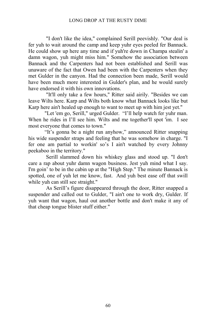"I don't like the idea," complained Serill peevishly. "Our deal is fer yuh to wait around the camp and keep yuhr eyes peeled fer Bannack. He could show up here any time and if yuh're down in Champa stealin' a damn wagon, yuh might miss him." Somehow the association between Bannack and the Carpenters had not been established and Serill was unaware of the fact that Owen had been with the Carpenters when they met Gulder in the canyon. Had the connection been made, Serill would have been much more interested in Gulder's plan, and he would surely have endorsed it with his own innovations.

"It'll only take a few hours," Ritter said airily. "Besides we can leave Wilts here. Karp and Wilts both know what Bannack looks like but Karp here ain't healed up enough to want to meet up with him jest yet."

 "Let 'em go, Serill," urged Gulder. "I'll help watch fer yuhr man. When he rides in I'll see him. Wilts and me together'll spot 'im. I see most everyone that comes to town."

 "It's gonna be a night run anyhow," announced Ritter snapping his wide suspender straps and feeling that he was somehow in charge. "I fer one am partial to workin' so's I ain't watched by every Johnny peekaboo in the territory."

Serill slammed down his whiskey glass and stood up. "I don't care a rap about yuhr damn wagon business. Jest yuh mind what I say. I'm goin' to be in the cabin up at the "High Step." The minute Bannack is spotted, one of yuh let me know, fast. And yuh best ease off that swill while yuh can still see straight."

As Serill's figure disappeared through the door, Ritter snapped a suspender and called out to Gulder, "I ain't one to work dry, Gulder. If yuh want that wagon, haul out another bottle and don't make it any of that cheap tongue blister stuff either."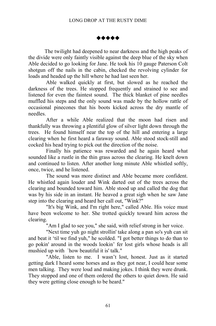◆◆◆◆◆

 The twilight had deepened to near darkness and the high peaks of the divide were only faintly visible against the deep blue of the sky when Able decided to go looking for Jane. He took his 10 gauge Paterson Colt shotgun off the nails in the cabin, checked the revolving cylinder for loads and headed up the hill where he had last seen her.

Able walked quickly at first, but slowed as he reached the darkness of the trees. He stopped frequently and strained to see and listened for even the faintest sound. The thick blanket of pine needles muffled his steps and the only sound was made by the hollow rattle of occasional pinecones that his boots kicked across the dry mantle of needles.

After a while Able realized that the moon had risen and thankfully was throwing a plentiful glow of silver light down through the trees. He found himself near the top of the hill and entering a large clearing when he first heard a faraway sound. Able stood stock-still and cocked his head trying to pick out the direction of the noise.

Finally his patience was rewarded and he again heard what sounded like a rustle in the thin grass across the clearing. He knelt down and continued to listen. After another long minute Able whistled softly, once, twice, and he listened.

The sound was more distinct and Able became more confident. He whistled again louder and Wink darted out of the trees across the clearing and bounded toward him. Able stood up and called the dog that was by his side in an instant. He heaved a great sigh when he saw Jane step into the clearing and heard her call out, "Wink?"

"It's big Wink, and I'm right here," called Able. His voice must have been welcome to her. She trotted quickly toward him across the clearing.

"Am I glad to see you," she said, with relief strong in her voice.

"Next time yuh go night strollin' take along a pan so's yuh can sit and beat it 'til we find yuh," he scolded. "I got better things to do than to go pokin' around in the woods lookin' fer lost girls whose heads is all mushied up with `how beautiful it is' talk."

"Able, listen to me. I wasn't lost, honest. Just as it started getting dark I heard some horses and as they got near, I could hear some men talking. They were loud and making jokes. I think they were drunk. They stopped and one of them ordered the others to quiet down. He said they were getting close enough to be heard."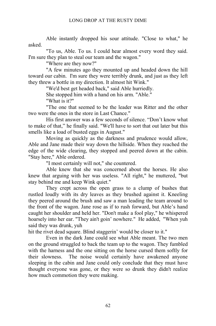Able instantly dropped his sour attitude. "Close to what," he asked.

"To us, Able. To us. I could hear almost every word they said. I'm sure they plan to steal our team and the wagon."

"Where are they now?"

"A few minutes ago they mounted up and headed down the hill toward our cabin. I'm sure they were terribly drunk, and just as they left they threw a bottle in my direction. It almost hit Wink."

"We'd best get headed back," said Able hurriedly.

She stopped him with a hand on his arm. "Able."

"What is it?"

"The one that seemed to be the leader was Ritter and the other two were the ones in the store in Last Chance."

His first answer was a few seconds of silence. "Don't know what to make of that," he finally said. "We'll have to sort that out later but this smells like a load of busted eggs in August."

Moving as quickly as the darkness and prudence would allow, Able and Jane made their way down the hillside. When they reached the edge of the wide clearing, they stopped and peered down at the cabin. "Stay here," Able ordered.

"I most certainly will not," she countered.

Able knew that she was concerned about the horses. He also knew that arguing with her was useless. "All right," he muttered, "but stay behind me and keep Wink quiet."

They crept across the open grass to a clump of bushes that rustled loudly with its dry leaves as they brushed against it. Kneeling they peered around the brush and saw a man leading the team around to the front of the wagon. Jane rose as if to rush forward, but Able's hand caught her shoulder and held her. "Don't make a fool play," he whispered hoarsely into her ear. "They ain't goin' nowhere." He added, "When yuh said they was drunk, yuh

hit the rivet dead square. Blind staggerin' would be closer to it."

Even in the dark Jane could see what Able meant. The two men on the ground struggled to back the team up to the wagon. They fumbled with the harness and the one sitting on the horse cursed them softly for their slowness. The noise would certainly have awakened anyone sleeping in the cabin and Jane could only conclude that they must have thought everyone was gone, or they were so drunk they didn't realize how much commotion they were making.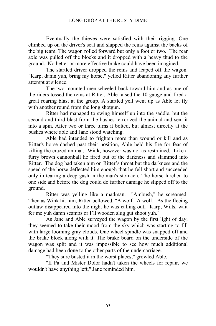Eventually the thieves were satisfied with their rigging. One climbed up on the driver's seat and slapped the reins against the backs of the big team. The wagon rolled forward but only a foot or two. The rear axle was pulled off the blocks and it dropped with a heavy thud to the ground. No better or more effective brake could have been imagined.

The startled driver dropped the reins and leaped off the wagon. "Karp, damn yuh, bring my horse," yelled Ritter abandoning any further attempt at silence.

The two mounted men wheeled back toward him and as one of the riders tossed the reins at Ritter, Able raised the 10 gauge and fired a great roaring blast at the group. A startled yell went up as Able let fly with another round from the long shotgun.

Ritter had managed to swing himself up into the saddle, but the second and third blast from the bushes terrorized the animal and sent it into a spin. After two or three turns it bolted, but almost directly at the bushes where able and Jane stood watching.

Able had intended to frighten more than wound or kill and as Ritter's horse dashed past their position, Able held his fire for fear of killing the crazed animal. Wink, however was not as restrained. Like a furry brown cannonball he fired out of the darkness and slammed into Ritter. The dog had taken aim on Ritter's throat but the darkness and the speed of the horse deflected him enough that he fell short and succeeded only in tearing a deep gash in the man's stomach. The horse lurched to one side and before the dog could do further damage he slipped off to the ground.

Ritter was yelling like a madman. "Ambush," he screamed. Then as Wink hit him, Ritter bellowed, "A wolf. A wolf." As the fleeing outlaw disappeared into the night he was calling out, "Karp, Wilts, wait fer me yuh damn scamps or I'll wooden slug gut shoot yuh."

As Jane and Able surveyed the wagon by the first light of day, they seemed to take their mood from the sky which was starting to fill with large looming gray clouds. One wheel spindle was snapped off and the brake block along with it. The brake board on the underside of the wagon was split and it was impossible to see how much additional damage had been done to the other parts of the undercarriage.

"They sure busted it in the worst places," growled Able.

"If Pa and Mister Dolor hadn't taken the wheels for repair, we wouldn't have anything left," Jane reminded him.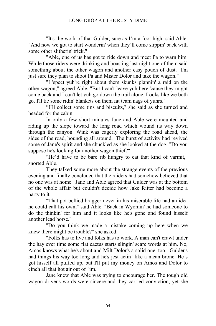"It's the work of that Gulder, sure as I'm a foot high, said Able. "And now we got to start wonderin' when they'll come slippin' back with some other slitherin' trick."

"Able, one of us has got to ride down and meet Pa to warn him. While those riders were drinking and boasting last night one of them said something about the other wagon and another easy pouch of dust. I'm just sure they plan to shoot Pa and Mister Dolor and take the wagon."

"I 'spect yuh're right about them skunks plannin' a raid on the other wagon," agreed Able. "But I can't leave yuh here 'cause they might come back and I can't let yuh go down the trail alone. Looks like we both go. I'll tie some ridin' blankets on them fat team nags of yuhrs."

"I'll collect some tins and biscuits," she said as she turned and headed for the cabin.

In only a few short minutes Jane and Able were mounted and riding up the slope toward the long road which wound its way down through the canyon. Wink was eagerly exploring the road ahead, the sides of the road, bounding all around. The burst of activity had revived some of Jane's spirit and she chuckled as she looked at the dog. "Do you suppose he's looking for another wagon thief?"

"He'd have to be bare rib hungry to eat that kind of varmit," snorted Able.

They talked some more about the strange events of the previous evening and finally concluded that the raiders had somehow believed that no one was at home. Jane and Able agreed that Gulder was at the bottom of the whole affair but couldn't decide how Jake Ritter had become a party to it.

"That pot bellied bragger never in his miserable life had an idea he could call his own," said Able. "Back in Wyomin' he had someone to do the thinkin' fer him and it looks like he's gone and found hisself another lead horse."

"Do you think we made a mistake coming up here when we knew there might be trouble?" she asked.

"Folks has to live and folks has to work. A man can't crawl under the hay ever time some flat cactus starts slingin' scare words at him. No, Amos knows what he's about and Milt Dolor's a solid one, too. Gulder's had things his way too long and he's jest actin' like a mean bronc. He's got hisself all puffed up, but I'll put my money on Amos and Dolor to cinch all that hot air out of 'im."

Jane knew that Able was trying to encourage her. The tough old wagon driver's words were sincere and they carried conviction, yet she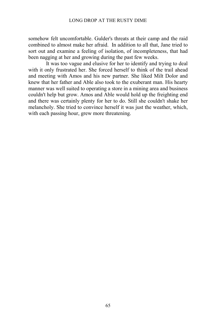somehow felt uncomfortable. Gulder's threats at their camp and the raid combined to almost make her afraid. In addition to all that, Jane tried to sort out and examine a feeling of isolation, of incompleteness, that had been nagging at her and growing during the past few weeks.

It was too vague and elusive for her to identify and trying to deal with it only frustrated her. She forced herself to think of the trail ahead and meeting with Amos and his new partner. She liked Milt Dolor and knew that her father and Able also took to the exuberant man. His hearty manner was well suited to operating a store in a mining area and business couldn't help but grow. Amos and Able would hold up the freighting end and there was certainly plenty for her to do. Still she couldn't shake her melancholy. She tried to convince herself it was just the weather, which, with each passing hour, grew more threatening.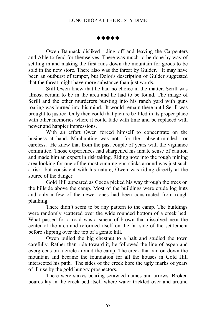

Owen Bannack disliked riding off and leaving the Carpenters and Able to fend for themselves. There was much to be done by way of settling in and making the first runs down the mountain for goods to be sold in the new store. There also was the threat by Gulder. It may have been an outburst of temper, but Dolor's description of Gulder suggested that the threat might have more substance than just words.

Still Owen knew that he had no choice in the matter. Serill was almost certain to be in the area and he had to be found. The image of Serill and the other murderers bursting into his ranch yard with guns roaring was burned into his mind. It would remain there until Serill was brought to justice. Only then could that picture be filed in its proper place with other memories where it could fade with time and be replaced with newer and happier impressions.

With an effort Owen forced himself to concentrate on the business at hand. Manhunting was not for the absent-minded or careless. He knew that from the past couple of years with the vigilance committee. Those experiences had sharpened his innate sense of caution and made him an expert in risk taking. Riding now into the rough mining area looking for one of the most cunning gun slicks around was just such a risk, but consistent with his nature, Owen was riding directly at the source of the danger.

Gold Hill appeared as Cocoa picked his way through the trees on the hillside above the camp. Most of the buildings were crude log huts and only a few of the newer ones had been constructed from rough planking.

There didn't seem to be any pattern to the camp. The buildings were randomly scattered over the wide rounded bottom of a creek bed. What passed for a road was a smear of brown that dissolved near the center of the area and reformed itself on the far side of the settlement before slipping over the top of a gentle hill.

Owen pulled the big chestnut to a halt and studied the town carefully. Rather than ride toward it, he followed the line of aspen and evergreens on a circle around the camp. The creek that ran on down the mountain and became the foundation for all the houses in Gold Hill intersected his path. The sides of the creek bore the ugly marks of years of ill use by the gold hungry prospectors.

There were stakes bearing scrawled names and arrows. Broken boards lay in the creek bed itself where water trickled over and around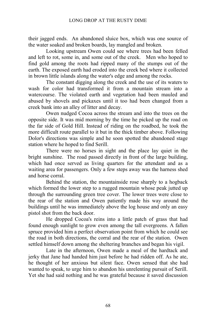their jagged ends. An abandoned sluice box, which was one source of the water soaked and broken boards, lay mangled and broken.

Looking upstream Owen could see where trees had been felled and left to rot, some in, and some out of the creek. Men who hoped to find gold among the roots had ripped many of the stumps out of the earth. The exposed earth had eroded into the creek bed where it collected in brown little islands along the water's edge and among the rocks.

The constant digging along the creek and the use of its waters to wash for color had transformed it from a mountain stream into a watercourse. The violated earth and vegetation had been mauled and abused by shovels and pickaxes until it too had been changed from a creek bank into an alley of litter and decay.

Owen nudged Cocoa across the stream and into the trees on the opposite side. It was mid morning by the time he picked up the road on the far side of Gold Hill. Instead of riding on the roadbed, he took the more difficult route parallel to it but in the thick timber above. Following Dolor's directions was simple and he soon spotted the abandoned stage station where he hoped to find Serill.

There were no horses in sight and the place lay quiet in the bright sunshine. The road passed directly in front of the large building, which had once served as living quarters for the attendant and as a waiting area for passengers. Only a few steps away was the harness shed and horse corral.

Behind the station, the mountainside rose sharply to a hogback which formed the lower step to a rugged mountain whose peak jutted up through the surrounding green tree cover. The lower trees were close to the rear of the station and Owen patiently made his way around the buildings until he was immediately above the log house and only an easy pistol shot from the back door.

He dropped Cocoa's reins into a little patch of grass that had found enough sunlight to grow even among the tall evergreens. A fallen spruce provided him a perfect observation point from which he could see the road in both directions, the corral and the rear of the station. Owen settled himself down among the sheltering branches and began his vigil.

Late in the afternoon, Owen made a meal of the hardtack and jerky that Jane had handed him just before he had ridden off. As he ate, he thought of her anxious but silent face. Owen sensed that she had wanted to speak, to urge him to abandon his unrelenting pursuit of Serill. Yet she had said nothing and he was grateful because it saved discussion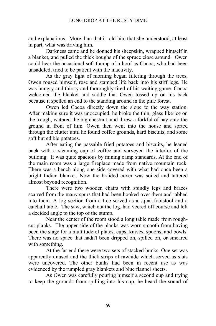and explanations. More than that it told him that she understood, at least in part, what was driving him.

Darkness came and he donned his sheepskin, wrapped himself in a blanket, and pulled the thick boughs of the spruce close around. Owen could hear the occasional soft thump of a hoof as Cocoa, who had been unsaddled, tried to be patient with the inactivity.

As the gray light of morning began filtering through the trees, Owen roused himself, rose and stamped life back into his stiff legs. He was hungry and thirsty and thoroughly tired of his waiting game. Cocoa welcomed the blanket and saddle that Owen tossed up on his back because it spelled an end to the standing around in the pine forest.

Owen led Cocoa directly down the slope to the way station. After making sure it was unoccupied, he broke the thin, glass like ice on the trough, watered the big chestnut, and threw a forkful of hay onto the ground in front of him. Owen then went into the house and sorted through the clutter until he found coffee grounds, hard biscuits, and some soft but edible potatoes.

After eating the passable fried potatoes and biscuits, he leaned back with a steaming cup of coffee and surveyed the interior of the building. It was quite spacious by mining camp standards. At the end of the main room was a large fireplace made from native mountain rock. There was a bench along one side covered with what had once been a bright Indian blanket. Now the braided cover was soiled and tattered almost beyond recognition.

There were two wooden chairs with spindly legs and braces scarred from the many spurs that had been hooked over them and jabbed into them. A log section from a tree served as a squat footstool and a catchall table. The saw, which cut the log, had veered off course and left a decided angle to the top of the stump.

Near the center of the room stood a long table made from roughcut planks. The upper side of the planks was worn smooth from having been the stage for a multitude of plates, cups, knives, spoons, and bowls. There was no space that hadn't been dripped on, spilled on, or smeared with something.

At the far end there were two sets of stacked bunks. One set was apparently unused and the thick strips of rawhide which served as slats were uncovered. The other bunks had been in recent use as was evidenced by the rumpled gray blankets and blue flannel sheets.

As Owen was carefully pouring himself a second cup and trying to keep the grounds from spilling into his cup, he heard the sound of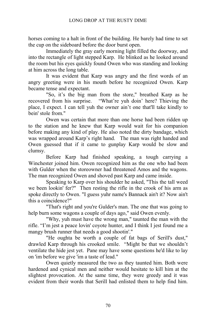horses coming to a halt in front of the building. He barely had time to set the cup on the sideboard before the door burst open.

Immediately the gray early morning light filled the doorway, and into the rectangle of light stepped Karp. He blinked as he looked around the room but his eyes quickly found Owen who was standing and looking at him across the long table.

It was evident that Karp was angry and the first words of an angry greeting were in his mouth before he recognized Owen. Karp became tense and expectant.

"So, it's the big man from the store," breathed Karp as he recovered from his surprise. "What're yuh doin' here? Thieving the place, I expect. I can tell yuh the owner ain't one that'll take kindly to bein' stole from."

Owen was certain that more than one horse had been ridden up to the station and he knew that Karp would wait for his companion before making any kind of play. He also noted the dirty bandage, which was wrapped around Karp's right hand. The man was right handed and Owen guessed that if it came to gunplay Karp would be slow and clumsy.

Before Karp had finished speaking, a tough carrying a Winchester joined him. Owen recognized him as the one who had been with Gulder when the storeowner had threatened Amos and the wagons. The man recognized Owen and shoved past Karp and came inside.

Speaking to Karp over his shoulder he asked, "This the tall weed we been lookin' fer?" Then resting the rifle in the crook of his arm as spoke directly to Owen. "I guess yuhr name's Bannack ain't it? Now ain't this a coincidence?"

"That's right and you're Gulder's man. The one that was going to help burn some wagons a couple of days ago," said Owen evenly.

"Why, yuh must have the wrong man," taunted the man with the rifle. "I'm jest a peace lovin' coyote hunter, and I think I jest found me a mangy brush runner that needs a good shootin'."

"He oughta be worth a couple of fat bags of Serill's dust," drawled Karp through his crooked smile. "Might be that we shouldn't ventilate the hide jest yet. Pane may have some questions he'd like to lay on 'im before we give 'im a taste of lead."

Owen quietly measured the two as they taunted him. Both were hardened and cynical men and neither would hesitate to kill him at the slightest provocation. At the same time, they were greedy and it was evident from their words that Serill had enlisted them to help find him.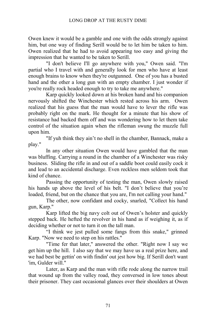Owen knew it would be a gamble and one with the odds strongly against him, but one way of finding Serill would be to let him be taken to him. Owen realized that he had to avoid appearing too easy and giving the impression that he wanted to be taken to Serill.

"I don't believe I'll go anywhere with you," Owen said. "I'm partial who I travel with and generally look for men who have at least enough brains to know when they're outgunned. One of you has a busted hand and the other a long gun with an empty chamber. I just wonder if you're really rock headed enough to try to take me anywhere."

Karp quickly looked down at his broken hand and his companion nervously shifted the Winchester which rested across his arm. Owen realized that his guess that the man would have to lever the rifle was probably right on the mark. He thought for a minute that his show of resistance had backed them off and was wondering how to let them take control of the situation again when the rifleman swung the muzzle full upon him.

"If yuh think they ain't no shell in the chamber, Bannack, make a play."

In any other situation Owen would have gambled that the man was bluffing. Carrying a round in the chamber of a Winchester was risky business. Sliding the rifle in and out of a saddle boot could easily cock it and lead to an accidental discharge. Even reckless men seldom took that kind of chance.

Passing the opportunity of testing the man, Owen slowly raised his hands up above the level of his belt. "I don't believe that you're loaded, friend, but on the chance that you are, I'm not calling your hand."

The other, now confidant and cocky, snarled, "Collect his hand gun, Karp."

Karp lifted the big navy colt out of Owen's holster and quickly stepped back. He hefted the revolver in his hand as if weighing it, as if deciding whether or not to turn it on the tall man.

"I think we jest pulled some fangs from this snake," grinned Karp. "Now we need to step on his rattles."

"Time fer that later," answered the other. "Right now I say we get him up the hill. I also say that we may have us a real prize here, and we had best be gettin' on with findin' out jest how big. If Serill don't want 'im, Gulder will."

Later, as Karp and the man with rifle rode along the narrow trail that wound up from the valley road, they conversed in low tones about their prisoner. They cast occasional glances over their shoulders at Owen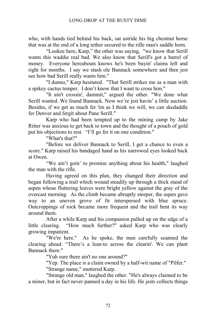who, with hands tied behind his back, sat astride his big chestnut horse that was at the end of a long tether secured to the rifle man's saddle horn.

"Lookee here, Karp," the other was saying, "we know that Serill wants this waddie real bad. We also know that Serill's got a barrel of money. Everyone hereabouts knows he's been buyin' claims left and right for months. I say we stash ole Bannack somewhere and then jest see how bad Serill really wants him."

"I dunno," Karp hesitated. "That Serill strikes me as a man with a spikey cactus temper. I don't know that I want to cross him."

"It ain't crossin', dammit," argued the other. "We done what Serill wanted. We found Bannack. Now we're jest havin' a little auction. Besides, if we get as much fer 'im as I think we will, we can skedaddle fer Denver and fergit about Pane Serill."

Karp who had been tempted up to the mining camp by Jake Ritter was anxious to get back to town and the thought of a pouch of gold put his objections to rest. "I'll go fer it on one condition."

"What's that?"

"Before we deliver Bannack to Serill, I get a chance to even a score." Karp raised his bandaged hand as his narrowed eyes looked back at Owen.

"We ain't goin' to promise anything about his health," laughed the man with the rifle.

Having agreed on this plan, they changed their direction and began following a trail which wound steadily up through a thick stand of aspen whose fluttering leaves were bright yellow against the gray of the overcast morning. As the climb became abruptly steeper, the aspen gave way to an uneven grove of fir interspersed with blue spruce. Outcroppings of rock became more frequent and the trail bent its way around them.

After a while Karp and his companion pulled up on the edge of a little clearing. "How much further?" asked Karp who was clearly growing impatient.

"We're here." As he spoke, the man carefully scanned the clearing ahead. "There's a lean-to across the clearin'. We can plant Bannack there."

"Yuh sure there ain't no one around?"

"Yep. The place is a claim owned by a half-wit name of "Pilfer." "Strange name," muttered Karp.

"Strange old man," laughed the other. "He's always claimed to be a miner, but in fact never panned a day in his life. He jests collects things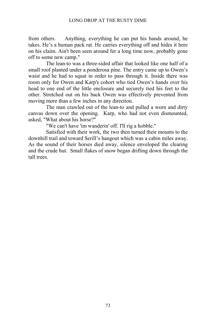from others. Anything, everything he can put his hands around, he takes. He's a human pack rat. He carries everything off and hides it here on his claim. Ain't been seen around fer a long time now, probably gone off to some new camp."

The lean-to was a three-sided affair that looked like one half of a small roof planted under a ponderosa pine. The entry came up to Owen's waist and he had to squat in order to pass through it. Inside there was room only for Owen and Karp's cohort who tied Owen's hands over his head to one end of the little enclosure and securely tied his feet to the other. Stretched out on his back Owen was effectively prevented from moving more than a few inches in any direction.

The man crawled out of the lean-to and pulled a worn and dirty canvas down over the opening. Karp, who had not even dismounted, asked, "What about his horse?"

"We can't have 'im wanderin' off. I'll rig a hobble."

Satisfied with their work, the two then turned their mounts to the downhill trail and toward Serill's hangout which was a cabin miles away. As the sound of their horses died away, silence enveloped the clearing and the crude hut. Small flakes of snow began drifting down through the tall trees.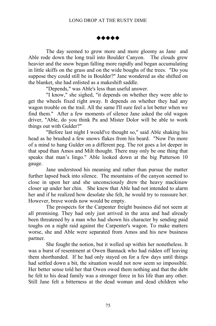

The day seemed to grow more and more gloomy as Jane and Able rode down the long trail into Boulder Canyon. The clouds grew heavier and the snow began falling more rapidly and began accumulating in little skiffs on the grass and on the wide boughs of the trees. "Do you suppose they could still be in Boulder?" Jane wondered as she shifted on the blanket, she had enlisted as a makeshift saddle.

"Depends," was Able's less than useful answer.

"I know," she sighed, "it depends on whether they were able to get the wheels fixed right away. It depends on whether they had any wagon trouble on the trail. All the same I'll sure feel a lot better when we find them." After a few moments of silence Jane asked the old wagon driver, "Able, do you think Pa and Mister Dolor will be able to work things out with Gulder?"

"Before last night I would've thought so," said Able shaking his head as he brushed a few snows flakes from his beard. "Now I'm more of a mind to hang Gulder on a different peg. The rot goes a lot deeper in that spud than Amos and Milt thought. There may only be one thing that speaks that man's lingo." Able looked down at the big Patterson 10 gauge.

Jane understood his meaning and rather than pursue the matter further lapsed back into silence. The mountains of the canyon seemed to close in upon her and she unconsciously drew the heavy mackinaw closer up under her chin. She knew that Able had not intended to alarm her and if he realized how desolate she felt, he would try to reassure her. However, brave words now would be empty.

The prospects for the Carpenter freight business did not seem at all promising. They had only just arrived in the area and had already been threatened by a man who had shown his character by sending paid toughs on a night raid against the Carpenter's wagon. To make matters worse, she and Able were separated from Amos and his new business partner.

She fought the notion, but it welled up within her nonetheless. It was a burst of resentment at Owen Bannack who had ridden off leaving them shorthanded. If he had only stayed on for a few days until things had settled down a bit, the situation would not now seem so impossible. Her better sense told her that Owen owed them nothing and that the debt he felt to his dead family was a stronger force in his life than any other. Still Jane felt a bitterness at the dead woman and dead children who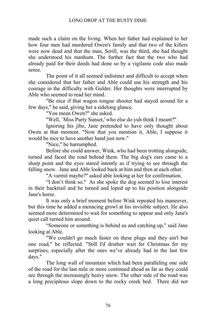made such a claim on the living. When her father had explained to her how four men had murdered Owen's family and that two of the killers were now dead and that the man, Serill, was the third, she had thought she understood his manhunt. The further fact that the two who had already paid for their deeds had done so by a vigilante code also made sense.

The point of it all seemed indistinct and difficult to accept when she considered that her father and Able could use his strength and his courage in the difficulty with Gulder. Her thoughts were interrupted by Able who seemed to read her mind.

"Be nice if that wagon tongue shooter had stayed around fer a few days," he said, giving her a sidelong glance.

"You mean Owen?" she asked.

"Well, `Miss Purty Sunset,' who else do yuh think I meant?"

Ignoring his jibe, Jane pretended to have only thought about Owen at that moment. "Now that you mention it, Able, I suppose it would be nice to have another hand just now."

"Nice," he harrumphed.

Before she could answer, Wink, who had been trotting alongside, turned and faced the road behind them. The big dog's ears came to a sharp point and the eyes stared intently as if trying to see through the falling snow. Jane and Able looked back at him and then at each other.

"A varmit maybe?" asked able looking at her for confirmation.

"I don't think so." As she spoke the dog seemed to lose interest in their backtrail and he turned and loped up to his position alongside Jane's horse.

It was only a brief moment before Wink repeated his maneuver, but this time he added a menacing growl at his invisible subject. He also seemed more determined to wait for something to appear and only Jane's quiet call turned him around.

"Someone or something is behind us and catching up," said Jane looking at Able.

"We couldn't go much faster on these plugs and they ain't but one road," he reflected. "Still I'd druther wait fer Christmas fer my surprises, especially after the ones we've already had in the last few days."

The long wall of mountain which had been paralleling one side of the road for the last mile or more continued ahead as far as they could see through the increasingly heavy snow. The other side of the road was a long precipitous slope down to the rocky creek bed. There did not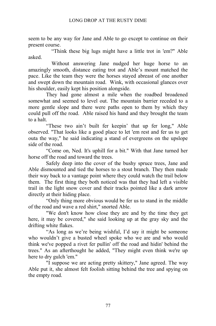seem to be any way for Jane and Able to go except to continue on their present course.

 "Think these big lugs might have a little trot in 'em?" Able asked.

 Without answering Jane nudged her huge horse to an amazingly smooth, distance eating trot and Able's mount matched the pace. Like the team they were the horses stayed abreast of one another and swept down the mountain road. Wink, with occasional glances over his shoulder, easily kept his position alongside.

They had gone almost a mile when the roadbed broadened somewhat and seemed to level out. The mountain barrier receded to a more gentle slope and there were paths open to them by which they could pull off the road. Able raised his hand and they brought the team to a halt.

"These two ain't built fer keepin' that up fer long," Able observed. "That looks like a good place to let 'em rest and fer us to get outa the way," he said indicating a stand of evergreens on the upslope side of the road.

"Come on, Ned. It's uphill for a bit." With that Jane turned her horse off the road and toward the trees.

Safely deep into the cover of the bushy spruce trees, Jane and Able dismounted and tied the horses to a stout branch. They then made their way back to a vantage point where they could watch the trail below them. The first thing they both noticed was that they had left a visible trail in the light snow cover and their tracks pointed like a dark arrow directly at their hiding place.

"Only thing more obvious would be fer us to stand in the middle of the road and wave a red shirt," snorted Able.

"We don't know how close they are and by the time they get here, it may be covered," she said looking up at the gray sky and the drifting white flakes.

"As long as we're being wishful, I'd say it might be someone who wouldn't give a busted wheel spoke who we are and who would think we've popped a rivet fer pullin' off the road and hidin' behind the trees." As an afterthought he added, "They might even think we're up here to dry gulch 'em."

"I suppose we are acting pretty skittery," Jane agreed. The way Able put it, she almost felt foolish sitting behind the tree and spying on the empty road.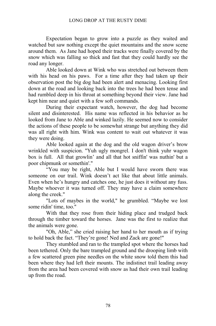Expectation began to grow into a puzzle as they waited and watched but saw nothing except the quiet mountains and the snow scene around them. As Jane had hoped their tracks were finally covered by the snow which was falling so thick and fast that they could hardly see the road any longer.

Able looked down at Wink who was stretched out between them with his head on his paws. For a time after they had taken up their observation post the big dog had been alert and menacing. Looking first down at the road and looking back into the trees he had been tense and had rumbled deep in his throat at something beyond their view. Jane had kept him near and quiet with a few soft commands.

During their expectant watch, however, the dog had become silent and disinterested. His name was reflected in his behavior as he looked from Jane to Able and winked lazily. He seemed now to consider the actions of these people to be somewhat strange but anything they did was all right with him. Wink was content to wait out whatever it was they were doing.

Able looked again at the dog and the old wagon driver's brow wrinkled with suspicion. "Yuh ugly mongrel. I don't think yuhr wagon box is full. All that growlin' and all that hot sniffin' was nuthin' but a poor chipmunk or somethin'."

"You may be right, Able but I would have sworn there was someone on our trail. Wink doesn't act like that about little animals. Even when he's hungry and catches one, he just does it without any fuss. Maybe whoever it was turned off. They may have a claim somewhere along the creek."

"Lots of maybes in the world," he grumbled. "Maybe we lost some ridin' time, too."

With that they rose from their hiding place and trudged back through the timber toward the horses. Jane was the first to realize that the animals were gone.

"Oh, Able," she cried raising her hand to her mouth as if trying to hold back the fact. "They're gone! Ned and Zack are gone!"

They stumbled and ran to the trampled spot where the horses had been tethered. Only the bare trampled ground and the drooping limb with a few scattered green pine needles on the white snow told them this had been where they had left their mounts. The indistinct trail leading away from the area had been covered with snow as had their own trail leading up from the road.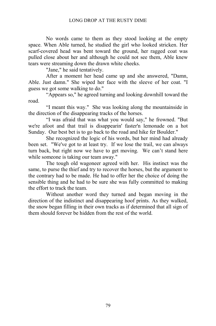No words came to them as they stood looking at the empty space. When Able turned, he studied the girl who looked stricken. Her scarf-covered head was bent toward the ground, her ragged coat was pulled close about her and although he could not see them, Able knew tears were streaming down the drawn white cheeks.

"Jane," he said tentatively.

After a moment her head came up and she answered, "Damn, Able. Just damn." She wiped her face with the sleeve of her coat. "I guess we got some walking to do."

"Appears so," he agreed turning and looking downhill toward the road.

"I meant this way." She was looking along the mountainside in the direction of the disappearing tracks of the horses.

"I was afraid that was what you would say," he frowned. "But we're afoot and that trail is disappearin' faster'n lemonade on a hot Sunday. Our best bet is to go back to the road and hike fer Boulder."

She recognized the logic of his words, but her mind had already been set. "We've got to at least try. If we lose the trail, we can always turn back, but right now we have to get moving. We can't stand here while someone is taking our team away."

The tough old wagoneer agreed with her. His instinct was the same, to purse the thief and try to recover the horses, but the argument to the contrary had to be made. He had to offer her the choice of doing the sensible thing and he had to be sure she was fully committed to making the effort to track the team.

Without another word they turned and began moving in the direction of the indistinct and disappearing hoof prints. As they walked, the snow began filling in their own tracks as if determined that all sign of them should forever be hidden from the rest of the world.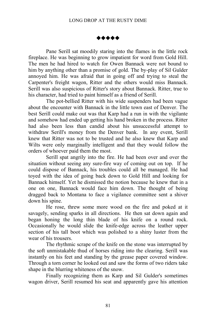## ◆◆◆◆◆

Pane Serill sat moodily staring into the flames in the little rock fireplace. He was beginning to grow impatient for word from Gold Hill. The men he had hired to watch for Owen Bannack were not bound to him by anything other than a promise of gold. The by-play of Sil Gulder annoyed him. He was afraid that in going off and trying to steal the Carpenter's freight wagon, Ritter and the others would miss Bannack. Serill was also suspicious of Ritter's story about Bannack. Ritter, true to his character, had tried to paint himself as a friend of Serill.

The pot-bellied Ritter with his wide suspenders had been vague about the encounter with Bannack in the little town east of Denver. The best Serill could make out was that Karp had a run in with the vigilante and somehow had ended up getting his hand broken in the process. Ritter had also been less than candid about his unsuccessful attempt to withdraw Serill's money from the Denver bank. In any event, Serill knew that Ritter was not to be trusted and he also knew that Karp and Wilts were only marginally intelligent and that they would follow the orders of whoever paid them the most.

Serill spat angrily into the fire. He had been over and over the situation without seeing any sure-fire way of coming out on top. If he could dispose of Bannack, his troubles could all be managed. He had toyed with the idea of going back down to Gold Hill and looking for Bannack himself. Yet he dismissed the notion because he knew that in a one on one, Bannack would face him down. The thought of being dragged back to Montana to face a vigilance committee sent a shiver down his spine.

He rose, threw some more wood on the fire and poked at it savagely, sending sparks in all directions. He then sat down again and began honing the long thin blade of his knife on a round rock. Occasionally he would slide the knife-edge across the leather upper section of his tall boot which was polished to a shiny luster from the wear of his trousers.

The rhythmic scrape of the knife on the stone was interrupted by the soft unmistakable thud of horses riding into the clearing. Serill was instantly on his feet and standing by the grease paper covered window. Through a torn corner he looked out and saw the forms of two riders take shape in the blurring whiteness of the snow.

Finally recognizing them as Karp and Sil Gulder's sometimes wagon driver, Serill resumed his seat and apparently gave his attention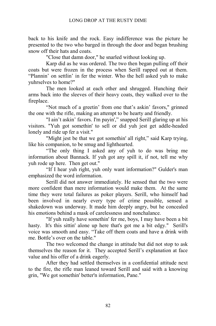back to his knife and the rock. Easy indifference was the picture he presented to the two who barged in through the door and began brushing snow off their hats and coats.

"Close that damn door," he snarled without looking up.

Karp did as he was ordered. The two then began pulling off their coats but were frozen in the process when Serill rapped out at them. "Plannin' on settlin' in fer the winter. Who the hell asked yuh to make yuhrselves to home?"

The men looked at each other and shrugged. Hunching their arms back into the sleeves of their heavy coats, they walked over to the fireplace.

"Not much of a greetin' from one that's askin' favors," grinned the one with the rifle, making an attempt to be hearty and friendly.

"I ain't askin' favors. I'm payin'," snapped Serill glaring up at his visitors. "Yuh got somethin' to sell or did yuh jest get addle-headed lonely and ride up fer a visit."

"Might jest be that we got somethin' all right," said Karp trying, like his companion, to be smug and lighthearted.

"The only thing I asked any of yuh to do was bring me information about Bannack. If yuh got any spill it, if not, tell me why yuh rode up here. Then get out."

"If I hear yuh right, yuh only want information?" Gulder's man emphasized the word information.

Serill did not answer immediately. He sensed that the two were more confident than mere information would make them. At the same time they were total failures as poker players. Serill, who himself had been involved in nearly every type of crime possible, sensed a shakedown was underway. It made him deeply angry, but he concealed his emotions behind a mask of carelessness and nonchalance.

"If yuh really have somethin' fer me, boys, I may have been a bit hasty. It's this sittin' alone up here that's got me a bit edgy." Serill's voice was smooth and easy. "Take off them coats and have a drink with me. Bottle's over on the table."

The two welcomed the change in attitude but did not stop to ask themselves the reason for it. They accepted Serill's explanation at face value and his offer of a drink eagerly.

After they had settled themselves in a confidential attitude next to the fire, the rifle man leaned toward Serill and said with a knowing grin, "We got somethin' better'n information, Pane."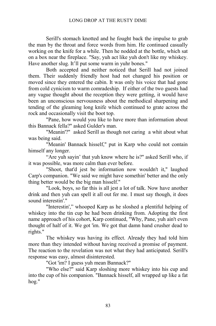Serill's stomach knotted and he fought back the impulse to grab the man by the throat and force words from him. He continued casually working on the knife for a while. Then he nodded at the bottle, which sat on a box near the fireplace. "Say, yuh act like yuh don't like my whiskey. Have another slug. It'll put some warm in yuhr bones."

Both accepted and neither noticed that Serill had not joined them. Their suddenly friendly host had not changed his position or moved since they entered the cabin. It was only his voice that had gone from cold cynicism to warm comradeship. If either of the two guests had any vague thought about the reception they were getting, it would have been an unconscious nervousness about the methodical sharpening and tending of the gleaming long knife which continued to grate across the rock and occasionally visit the boot top.

"Pane, how would you like to have more than information about this Bannack fella?" asked Gulder's man.

"Meanin'?" asked Serill as though not caring a whit about what was being said.

"Meanin' Bannack hisself," put in Karp who could not contain himself any longer.

"Are yuh sayin' that yuh know where he is?" asked Serill who, if it was possible, was more calm than ever before.

"Shoot, that'd jest be information now wouldn't it," laughed Carp's companion. "We said we might have somethin' better and the only thing better would be the big man hisself."

"Look, boys, so far this is all jest a lot of talk. Now have another drink and then yuh can spell it all out fer me. I must say though, it does sound interestin'."

"Interestin'," whooped Karp as he sloshed a plentiful helping of whiskey into the tin cup he had been drinking from. Adopting the first name approach of his cohort, Karp continued, "Why, Pane, yuh ain't even thought of half of it. We got 'im. We got that damn hand crusher dead to rights."

The whiskey was having its effect. Already they had told him more than they intended without having received a promise of payment. The reaction to the revelation was not what they had anticipated. Serill's response was easy, almost disinterested.

"Got 'im? I guess yuh mean Bannack?"

"Who else?" said Karp sloshing more whiskey into his cup and into the cup of his companion. "Bannack hisself, all wrapped up like a fat hog."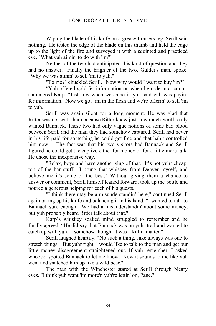Wiping the blade of his knife on a greasy trousers leg, Serill said nothing. He tested the edge of the blade on this thumb and held the edge up to the light of the fire and surveyed it with a squinted and practiced eye. "What yuh aimin' to do with 'im?"

Neither of the two had anticipated this kind of question and they had no answer. Finally the brighter of the two, Gulder's man, spoke. "Why we was aimin' to sell 'im to yuh."

"To me?" chuckled Serill. "Now why would I want to buy 'im?"

"Yuh offered gold fer information on when he rode into camp," stammered Karp. "Jest now when we came in yuh said yuh was payin' fer information. Now we got 'im in the flesh and we're offerin' to sell 'im to yuh."

Serill was again silent for a long moment. He was glad that Ritter was not with them because Ritter knew just how much Serill really wanted Bannack. These two had only vague notions of some bad blood between Serill and the man they had somehow captured. Serill had never in his life paid for something he could get free and that habit controlled him now. The fact was that his two visitors had Bannack and Serill figured he could get the captive either for money or for a little more talk. He chose the inexpensive way.

"Relax, boys and have another slug of that. It's not yuhr cheap, top of the bar stuff. I brung that whiskey from Denver myself, and believe me it's some of the best." Without giving them a chance to answer or comment, Serill himself leaned forward, took up the bottle and poured a generous helping for each of his guests.

"I think there may be a misunderstandin' here," continued Serill again taking up his knife and balancing it in his hand. "I wanted to talk to Bannack sure enough. We had a misunderstandin' about some money, but yuh probably heard Ritter talk about that."

Karp's whiskey soaked mind struggled to remember and he finally agreed. "He did say that Bannack was on yuhr trail and wanted to catch up with yuh. I somehow thought it was a killin' matter."

Serill laughed heartily. "No such a thing. Jake always was one to stretch things. But yuhr right, I would like to talk to the man and get our little money disagreement straightened out. If yuh remember, I asked whoever spotted Bannack to let me know. Now it sounds to me like yuh went and snatched him up like a wild bear."

The man with the Winchester stared at Serill through bleary eyes. "I think yuh want 'im more'n yuh're lettin' on, Pane."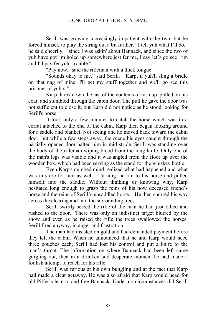Serill was growing increasingly impatient with the two, but he forced himself to play the string out a bit further. "I tell yuh what I'll do," he said cheerily, "since I was askin' about Bannack, and since the two of yuh have got 'im holed up somewhere jest fer me, I say let's go see 'im and I'll pay fer yuhr trouble."

"Pay now," said the rifleman with a thick tongue.

"Sounds okay to me," said Serill. "Karp, if yuh'll sling a bridle on that nag of mine, I'll get my stuff together and we'll go see this prisoner of yuhrs."

Karp threw down the last of the contents of his cup, pulled on his coat, and stumbled through the cabin door. The pull he gave the door was not sufficient to close it, but Karp did not notice as he stood looking for Serill's horse.

It took only a few minutes to catch the horse which was in a corral attached to the end of the cabin. Karp then began looking around for a saddle and blanket. Not seeing one he moved back toward the cabin door, but while a few steps away, the scene his eyes caught through the partially opened door halted him in mid stride. Serill was standing over the body of the rifleman wiping blood from the long knife. Only one of the man's legs was visible and it was angled from the floor up over the wooden box, which had been serving as the stand for the whiskey bottle.

Even Karp's numbed mind realized what had happened and what was in store for him as well. Turning, he ran to his horse and pulled himself into the saddle. Without thinking or knowing why, Karp hesitated long enough to grasp the reins of his now deceased friend's horse and the reins of Serill's unsaddled horse. He then spurred his way across the clearing and into the surrounding trees.

Serill swiftly seized the rifle of the man he had just killed and rushed to the door. There was only an indistinct target blurred by the snow and even as he raised the rifle the trees swallowed the horses. Serill fired anyway, in anger and frustration.

The man had insisted on gold and had demanded payment before they left the cabin. When he announced that he and Karp would need three pouches each, Serill had lost his control and put a knife to the man's throat. The information on where Bannack had been left came gurgling out, then in a drunken and desperate moment he had made a foolish attempt to reach for his rifle.

Serill was furious at his own bungling and at the fact that Karp had made a clear getaway. He was also afraid that Karp would head for old Pilfer's lean-to and free Bannack. Under no circumstances did Serill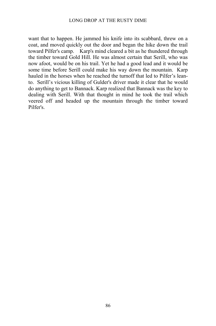want that to happen. He jammed his knife into its scabbard, threw on a coat, and moved quickly out the door and began the hike down the trail toward Pilfer's camp. Karp's mind cleared a bit as he thundered through the timber toward Gold Hill. He was almost certain that Serill, who was now afoot, would be on his trail. Yet he had a good lead and it would be some time before Serill could make his way down the mountain. Karp hauled in the horses when he reached the turnoff that led to Pilfer's leanto. Serill's vicious killing of Gulder's driver made it clear that he would do anything to get to Bannack. Karp realized that Bannack was the key to dealing with Serill. With that thought in mind he took the trail which veered off and headed up the mountain through the timber toward Pilfer's.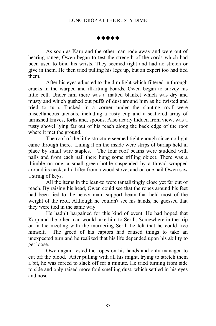

As soon as Karp and the other man rode away and were out of hearing range, Owen began to test the strength of the cords which had been used to bind his wrists. They seemed tight and had no stretch or give in them. He then tried pulling his legs up, but an expert too had tied them.

After his eyes adjusted to the dim light which filtered in through cracks in the warped and ill-fitting boards, Owen began to survey his little cell. Under him there was a matted blanket which was dry and musty and which gushed out puffs of dust around him as he twisted and tried to turn. Tucked in a corner under the slanting roof were miscellaneous utensils, including a rusty cup and a scattered array of tarnished knives, forks and, spoons. Also nearly hidden from view, was a rusty shovel lying far out of his reach along the back edge of the roof where it met the ground.

The roof of the little structure seemed tight enough since no light came through there. Lining it on the inside were strips of burlap held in place by small wire staples. The four roof beams were studded with nails and from each nail there hung some trifling object. There was a thimble on one, a small green bottle suspended by a thread wrapped around its neck, a lid lifter from a wood stove, and on one nail Owen saw a string of keys.

All the items in the lean-to were tantalizingly close yet far out of reach. By raising his head, Owen could see that the ropes around his feet had been tied to the heavy main support beam that held most of the weight of the roof. Although he couldn't see his hands, he guessed that they were tied in the same way.

He hadn't bargained for this kind of event. He had hoped that Karp and the other man would take him to Serill. Somewhere in the trip or in the meeting with the murdering Serill he felt that he could free himself. The greed of his captors had caused things to take an unexpected turn and he realized that his life depended upon his ability to get loose.

Owen again tested the ropes on his hands and only managed to cut off the blood. After pulling with all his might, trying to stretch them a bit, he was forced to slack off for a minute. He tried turning from side to side and only raised more foul smelling dust, which settled in his eyes and nose.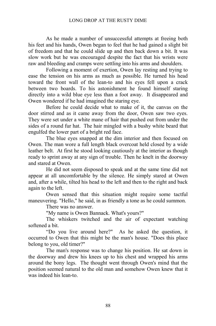As he made a number of unsuccessful attempts at freeing both his feet and his hands, Owen began to feel that he had gained a slight bit of freedom and that he could slide up and then back down a bit. It was slow work but he was encouraged despite the fact that his wrists were raw and bleeding and cramps were settling into his arms and shoulders.

Following a moment of exertion, Owen lay resting and trying to ease the tension on his arms as much as possible. He turned his head toward the front wall of the lean-to and his eyes fell upon a crack between two boards. To his astonishment he found himself staring directly into a wild blue eye less than a foot away. It disappeared and Owen wondered if he had imagined the staring eye.

Before he could decide what to make of it, the canvas on the door stirred and as it came away from the door, Owen saw two eyes. They were set under a white mane of hair that pushed out from under the sides of a round fur hat. The hair mingled with a bushy white beard that engulfed the lower part of a bright red face.

The blue eyes snapped at the dim interior and then focused on Owen. The man wore a full length black overcoat held closed by a wide leather belt. At first he stood looking cautiously at the interior as though ready to sprint away at any sign of trouble. Then he knelt in the doorway and stared at Owen.

He did not seem disposed to speak and at the same time did not appear at all uncomfortable by the silence. He simply stared at Owen and, after a while, tilted his head to the left and then to the right and back again to the left.

Owen sensed that this situation might require some tactful maneuvering. "Hello," he said, in as friendly a tone as he could summon.

There was no answer.

"My name is Owen Bannack. What's yours?"

The whiskers twitched and the air of expectant watching softened a bit.

"Do you live around here?" As he asked the question, it occurred to Owen that this might be the man's house. "Does this place belong to you, old timer?"

The man's response was to change his position. He sat down in the doorway and drew his knees up to his chest and wrapped his arms around the bony legs. The thought went through Owen's mind that the position seemed natural to the old man and somehow Owen knew that it was indeed his lean-to.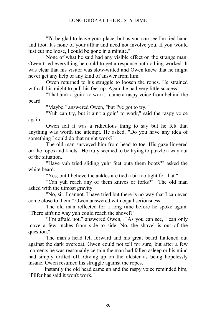"I'd be glad to leave your place, but as you can see I'm tied hand and foot. It's none of your affair and need not involve you. If you would just cut me loose, I could be gone in a minute."

None of what he said had any visible effect on the strange man. Owen tried everything he could to get a response but nothing worked. It was clear that his visitor was slow-witted and Owen knew that he might never get any help or any kind of answer from him.

Owen returned to his struggle to loosen the ropes. He strained with all his might to pull his feet up. Again he had very little success.

"That ain't a goin' to work," came a raspy voice from behind the beard.

"Maybe," answered Owen, "but I've got to try."

"Yuh can try, but it ain't a goin' to work," said the raspy voice again.

Owen felt it was a ridiculous thing to say but he felt that anything was worth the attempt. He asked, "Do you have any idea of something I could do that might work?"

The old man surveyed him from head to toe. His gaze lingered on the ropes and knots. He truly seemed to be trying to puzzle a way out of the situation.

"Have yuh tried sliding yuhr feet outa them boots?" asked the white beard.

"Yes, but I believe the ankles are tied a bit too tight for that."

"Can yuh reach any of them knives or forks?" The old man asked with the utmost gravity.

"No, sir, I cannot. I have tried but there is no way that I can even come close to them," Owen answered with equal seriousness.

The old man reflected for a long time before he spoke again. "There ain't no way yuh could reach the shovel?"

"I'm afraid not," answered Owen, "As you can see, I can only move a few inches from side to side. No, the shovel is out of the question."

The man's head fell forward and his great beard flattened out against the dark overcoat. Owen could not tell for sure, but after a few moments he was reasonably certain the man had fallen asleep or his mind had simply drifted off. Giving up on the oldster as being hopelessly insane, Owen resumed his struggle against the ropes.

 Instantly the old head came up and the raspy voice reminded him, "Pilfer has said it won't work."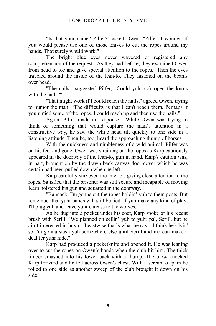"Is that your name? Pilfer?" asked Owen. "Pilfer, I wonder, if you would please use one of those knives to cut the ropes around my hands. That surely would work."

 The bright blue eyes never wavered or registered any comprehension of the request. As they had before, they examined Owen from head to toe and gave special attention to the ropes. Then the eyes traveled around the inside of the lean-to. They fastened on the beams over head.

"The nails," suggested Pilfer, "Could yuh pick open the knots with the nails?"

"That might work if I could reach the nails," agreed Owen, trying to humor the man. "The difficulty is that I can't reach them. Perhaps if you untied some of the ropes, I could reach up and then use the nails."

Again, Pilfer made no response. While Owen was trying to think of something that would capture the man's attention in a constructive way, he saw the white head tilt quickly to one side in a listening attitude. Then he, too, heard the approaching thump of horses.

With the quickness and nimbleness of a wild animal, Pilfer was on his feet and gone. Owen was straining on the ropes as Karp cautiously appeared in the doorway of the lean-to, gun in hand. Karp's caution was, in part, brought on by the drawn back canvas door cover which he was certain had been pulled down when he left.

Karp carefully surveyed the interior, giving close attention to the ropes. Satisfied that the prisoner was still secure and incapable of moving Karp holstered his gun and squatted in the doorway.

"Bannack, I'm gonna cut the ropes holdin' yuh to them posts. But remember that yuhr hands will still be tied. If yuh make any kind of play, I'll plug yuh and leave yuhr carcass to the wolves."

As he dug into a pocket under his coat, Karp spoke of his recent brush with Serill. "We planned on sellin' yuh to yuhr pal, Serill, but he ain't interested in buyin'. Leastwise that's what he says. I think he's lyin' so I'm gonna stash yuh somewhere else until Serill and me can make a deal fer yuhr hide."

Karp had produced a pocketknife and opened it. He was leaning over to cut the ropes on Owen's hands when the club hit him. The thick timber smashed into his lower back with a thump. The blow knocked Karp forward and he fell across Owen's chest. With a scream of pain he rolled to one side as another sweep of the club brought it down on his side.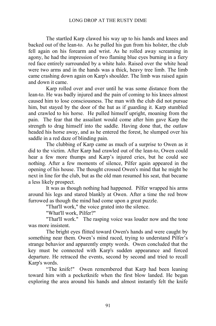The startled Karp clawed his way up to his hands and knees and backed out of the lean-to. As he pulled his gun from his holster, the club fell again on his forearm and wrist. As he rolled away screaming in agony, he had the impression of two flaming blue eyes burning in a fiery red face entirely surrounded by a white halo. Raised over the white head were two arms and in the hands was a thick, heavy tree limb. The limb came crashing down again on Karp's shoulder. The limb was raised again and down it came.

Karp rolled over and over until he was some distance from the lean-to. He was badly injured and the pain of coming to his knees almost caused him to lose consciousness. The man with the club did not pursue him, but stayed by the door of the hut as if guarding it. Karp stumbled and crawled to his horse. He pulled himself upright, moaning from the pain. The fear that the assailant would come after him gave Karp the strength to drag himself into the saddle. Having done that, the outlaw headed his horse away, and as he entered the forest, he slumped over his saddle in a red daze of blinding pain.

The clubbing of Karp came as much of a surprise to Owen as it did to the victim. After Karp had crawled out of the lean-to, Owen could hear a few more thumps and Karp's injured cries, but he could see nothing. After a few moments of silence, Pilfer again appeared in the opening of his house. The thought crossed Owen's mind that he might be next in line for the club, but as the old man resumed his seat, that became a less likely prospect.

It was as though nothing had happened. Pilfer wrapped his arms around his legs and stared blankly at Owen. After a time the red brow furrowed as though the mind had come upon a great puzzle.

"That'll work," the voice grated into the silence.

"What'll work, Pilfer?"

"That'll work." The rasping voice was louder now and the tone was more insistent.

The bright eyes flitted toward Owen's hands and were caught by something near them. Owen's mind raced, trying to understand Pilfer's strange behavior and apparently empty words. Owen concluded that the key must be connected with Karp's sudden appearance and forced departure. He retraced the events, second by second and tried to recall Karp's words.

"The knife!" Owen remembered that Karp had been leaning toward him with a pocketknife when the first blow landed. He began exploring the area around his hands and almost instantly felt the knife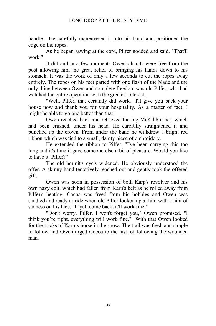handle. He carefully maneuvered it into his hand and positioned the edge on the ropes.

As he began sawing at the cord, Pilfer nodded and said, "That'll work "

It did and in a few moments Owen's hands were free from the post allowing him the great relief of bringing his hands down to his stomach. It was the work of only a few seconds to cut the ropes away entirely. The ropes on his feet parted with one flash of the blade and the only thing between Owen and complete freedom was old Pilfer, who had watched the entire operation with the greatest interest.

"Well, Pilfer, that certainly did work. I'll give you back your house now and thank you for your hospitality. As a matter of fact, I might be able to go one better than that."

Owen reached back and retrieved the big McKibbin hat, which had been crushed, under his head. He carefully straightened it and punched up the crown. From under the band he withdrew a bright red ribbon which was tied to a small, dainty piece of embroidery.

He extended the ribbon to Pilfer. "I've been carrying this too long and it's time it gave someone else a bit of pleasure. Would you like to have it, Pilfer?"

The old hermit's eye's widened. He obviously understood the offer. A skinny hand tentatively reached out and gently took the offered gift.

Owen was soon in possession of both Karp's revolver and his own navy colt, which had fallen from Karp's belt as he rolled away from Pilfer's beating. Cocoa was freed from his hobbles and Owen was saddled and ready to ride when old Pilfer looked up at him with a hint of sadness on his face. "If yuh come back, it'll work fine."

"Don't worry, Pilfer, I won't forget you," Owen promised. "I think you're right, everything will work fine." With that Owen looked for the tracks of Karp's horse in the snow. The trail was fresh and simple to follow and Owen urged Cocoa to the task of following the wounded man.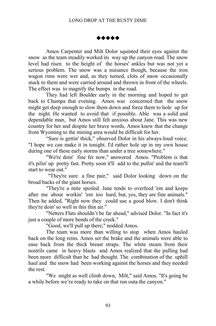◆◆◆◆◆

Amos Carpenter and Milt Dolor squinted their eyes against the snow as the team steadily worked its way up the canyon road. The snow level had risen to the height of the horses' ankles but was not yet a serious problem. The snow was a nuisance though, because the iron wagon rims were wet and, as they turned, clots of snow occasionally stuck to them and were carried around and thrown in front of the wheels. The effect was to magnify the bumps in the road.

They had left Boulder early in the morning and hoped to get back to Champa that evening. Amos was concerned that the snow might get deep enough to slow them down and force them to hole up for the night. He wanted to avoid that if possible. Able was a solid and dependable man, but Amos still felt anxious about Jane. This was new country for her and despite her brave words, Amos knew that the change from Wyoming to the mining area would be difficult for her.

 "Sure is gettin' thick," observed Dolor in his always-loud voice. "I hope we can make it in tonight. I'd rather hole up in my own house during one of these early storms than under a tree somewhere."

 "We're doin' fine fer now," answered Amos. "Problem is that it's pilin' up pretty fast. Pretty soon it'll add to the pullin' and the team'll start to wear out."

 "They're sure a fine pair," said Dolor looking down on the broad backs of the giant horses.

 "They're a mite spoiled. Jane tends to overfeed 'em and keeps after me about workin' 'em too hard, but, yes, they are fine animals." Then he added, "Right now they could use a good blow. I don't think they're doin' so well in this thin air."

 "Netters Flats shouldn't be far ahead," advised Dolor. "In fact it's just a couple of more bends of the creek."

"Good, we'll pull up there," nodded Amos.

The team was more than willing to stop when Amos hauled back on the long reins. Amos set the brake and the animals were able to ease back from the thick breast straps. The white steam from their nostrils came in heavy blasts and Amos realized that the pulling had been more difficult than he had thought. The combination of the uphill haul and the snow had been working against the horses and they needed the rest.

 "We might as well climb down, Milt," said Amos. "It's going be a while before we're ready to take on that run outa the canyon."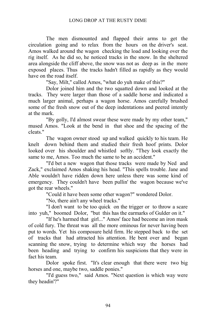The men dismounted and flapped their arms to get the circulation going and to relax from the hours on the driver's seat. Amos walked around the wagon checking the load and looking over the rig itself. As he did so, he noticed tracks in the snow. In the sheltered area alongside the cliff above, the snow was not as deep as in the more exposed places. Thus the tracks hadn't filled as rapidly as they would have on the road itself.

"Say, Milt," called Amos, "what do yuh make of this?"

 Dolor joined him and the two squatted down and looked at the tracks. They were larger than those of a saddle horse and indicated a much larger animal, perhaps a wagon horse. Amos carefully brushed some of the fresh snow out of the deep indentations and peered intently at the mark.

 "By golly, I'd almost swear these were made by my other team," mused Amos. "Look at the bend in that shoe and the spacing of the cleats."

 The wagon owner stood up and walked quickly to his team. He knelt down behind them and studied their fresh hoof prints. Dolor looked over his shoulder and whistled softly. "They look exactly the same to me, Amos. Too much the same to be an accident."

 "I'd bet a new wagon that those tracks were made by Ned and Zack," exclaimed Amos shaking his head. "This spells trouble. Jane and Able wouldn't have ridden down here unless there was some kind of emergency. They couldn't have been pullin' the wagon because we've got the rear wheels."

"Could it have been some other wagon?" wondered Dolor.

"No, there ain't any wheel tracks."

 "I don't want to be too quick on the trigger or to throw a scare into yuh," boomed Dolor, "but this has the earmarks of Gulder on it."

"If he's harmed that girl..." Amos' face had become an iron mask of cold fury. The threat was all the more ominous for never having been put to words. Yet his composure held firm. He stepped back to the set of tracks that had attracted his attention. He bent over and began scanning the snow, trying to determine which way the horses had been heading and trying to confirm his suspicions that they were in fact his team.

Dolor spoke first. "It's clear enough that there were two big horses and one, maybe two, saddle ponies."

 "I'd guess two," said Amos. "Next question is which way were they headin'?"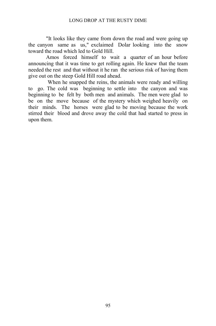"It looks like they came from down the road and were going up the canyon same as us," exclaimed Dolar looking into the snow toward the road which led to Gold Hill.

Amos forced himself to wait a quarter of an hour before announcing that it was time to get rolling again. He knew that the team needed the rest and that without it he ran the serious risk of having them give out on the steep Gold Hill road ahead.

When he snapped the reins, the animals were ready and willing to go. The cold was beginning to settle into the canyon and was beginning to be felt by both men and animals. The men were glad to be on the move because of the mystery which weighed heavily on their minds. The horses were glad to be moving because the work stirred their blood and drove away the cold that had started to press in upon them.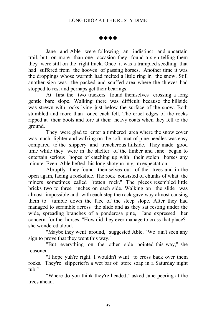# ◆◆◆◆

Jane and Able were following an indistinct and uncertain trail, but on more than one occasion they found a sign telling them they were still on the right track. Once it was a trampled seedling that had suffered from the hooves of passing horses. Another time it was the droppings whose warmth had melted a little ring in the snow. Still another sign was the packed and scuffed area where the thieves had stopped to rest and perhaps get their bearings.

At first the two trackers found themselves crossing a long gentle bare slope. Walking there was difficult because the hillside was strewn with rocks lying just below the surface of the snow. Both stumbled and more than once each fell. The cruel edges of the rocks ripped at their boots and tore at their heavy coats when they fell to the ground.

They were glad to enter a timbered area where the snow cover was much lighter and walking on the soft mat of pine needles was easy compared to the slippery and treacherous hillside. They made good time while they were in the shelter of the timber and Jane began to entertain serious hopes of catching up with their stolen horses any minute. Even Able hefted his long shotgun in grim expectation.

Abruptly they found themselves out of the trees and in the open again, facing a rockslide. The rock consisted of chunks of what the miners sometimes called "rotten rock." The pieces resembled little bricks two to three inches on each side. Walking on the slide was almost impossible and with each step the rock gave way almost causing them to tumble down the face of the steep slope. After they had managed to scramble across the slide and as they sat resting under the wide, spreading branches of a ponderosa pine, Jane expressed her concern for the horses. "How did they ever manage to cross that place?" she wondered aloud.

 "Maybe they went around," suggested Able. "We ain't seen any sign to prove that they went this way."

 "But everything on the other side pointed this way," she reasoned.

"I hope yuh're right. I wouldn't want to cross back over them rocks. They're slipperier'n a wet bar of store soap in a Saturday night tub."

"Where do you think they're headed," asked Jane peering at the trees ahead.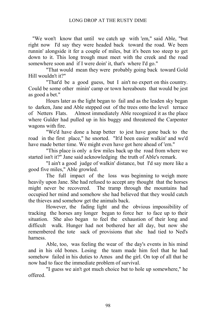"We won't know that until we catch up with 'em," said Able, "but right now I'd say they were headed back toward the road. We been runnin' alongside it fer a couple of miles, but it's been too steep to get down to it. This long trough must meet with the creek and the road somewhere soon and if I were doin' it, that's where I'd go."

"That would mean they were probably going back toward Gold Hill wouldn't it?"

"That'd be a good guess, but I ain't no expert on this country. Could be some other minin' camp or town hereabouts that would be jest as good a bet."

Hours later as the light began to fail and as the leaden sky began to darken, Jane and Able stepped out of the trees onto the level terrace of Netters Flats. Almost immediately Able recognized it as the place where Gulder had pulled up in his buggy and threatened the Carpenter wagons with fire.

"We'd have done a heap better to jest have gone back to the road in the first place," he snorted. "It'd been easier walkin' and we'd have made better time. We might even have got here ahead of 'em."

"This place is only a few miles back up the road from where we started isn't it?" Jane said acknowledging the truth of Able's remark.

"I ain't a good judge of walkin' distance, but I'd say more like a good five miles," Able growled.

 The full impact of the loss was beginning to weigh more heavily upon Jane. She had refused to accept any thought that the horses might never be recovered. The tramp through the mountains had occupied her mind and somehow she had believed that they would catch the thieves and somehow get the animals back.

However, the fading light and the obvious impossibility of tracking the horses any longer began to force her to face up to their situation. She also began to feel the exhaustion of their long and difficult walk. Hunger had not bothered her all day, but now she remembered the tote sack of provisions that she had tied to Ned's harness.

Able, too, was feeling the wear of the day's events in his mind and in his old bones. Losing the team made him feel that he had somehow failed in his duties to Amos and the girl. On top of all that he now had to face the immediate problem of survival.

"I guess we ain't got much choice but to hole up somewhere," he offered.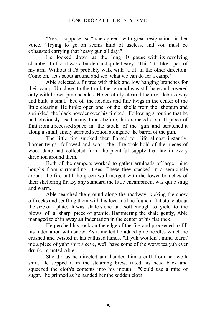"Yes, I suppose so," she agreed with great resignation in her voice. "Trying to go on seems kind of useless, and you must be exhausted carrying that heavy gun all day."

He looked down at the long 10 gauge with its revolving chamber. In fact it was a burden and quite heavy. "This? It's like a part of my arm. Without it I'd probably walk with a tilt in the other direction. Come on, let's scout around and see what we can do fer a camp."

Able selected a fir tree with thick and low hanging branches for their camp. Up close to the trunk the ground was still bare and covered only with brown pine needles. He carefully cleared the dry debris away and built a small bed of the needles and fine twigs in the center of the little clearing. He broke open one of the shells from the shotgun and sprinkled the black powder over his firebed. Following a routine that he had obviously used many times before, he extracted a small piece of flint from a recessed space in the stock of the gun and scratched it along a small, finely serrated section alongside the barrel of the gun.

 The little fire smoked then flamed to life almost instantly. Larger twigs followed and soon the fire took hold of the pieces of wood Jane had collected from the plentiful supply that lay in every direction around them.

 Both of the campers worked to gather armloads of large pine boughs from surrounding trees. These they stacked in a semicircle around the fire until the green wall merged with the lower branches of their sheltering fir. By any standard the little encampment was quite snug and warm.

 Able searched the ground along the roadway, kicking the snow off rocks and scuffing them with his feet until he found a flat stone about the size of a plate. It was shale stone and soft enough to yield to the blows of a sharp piece of granite. Hammering the shale gently, Able managed to chip away an indentation in the center of his flat rock.

 He perched his rock on the edge of the fire and proceeded to fill his indentation with snow. As it melted he added pine needles which he crushed and twisted in his callused hands. "If yuh wouldn't mind tearin' me a piece of yuhr shirt sleeve, we'll have some of the worst tea yuh ever drunk," grunted Able.

 She did as he directed and handed him a cuff from her work shirt. He sopped it in the steaming brew, tilted his head back and squeezed the cloth's contents into his mouth. "Could use a mite of sugar," he grinned as he handed her the sodden cloth.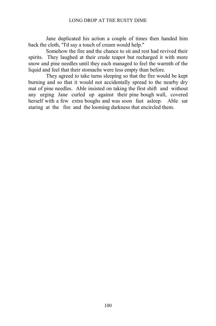Jane duplicated his action a couple of times then handed him back the cloth, "I'd say a touch of cream would help."

 Somehow the fire and the chance to sit and rest had revived their spirits. They laughed at their crude teapot but recharged it with more snow and pine needles until they each managed to feel the warmth of the liquid and feel that their stomachs were less empty than before.

 They agreed to take turns sleeping so that the fire would be kept burning and so that it would not accidentally spread to the nearby dry mat of pine needles. Able insisted on taking the first shift and without any urging Jane curled up against their pine bough wall, covered herself with a few extra boughs and was soon fast asleep. Able sat staring at the fire and the looming darkness that encircled them.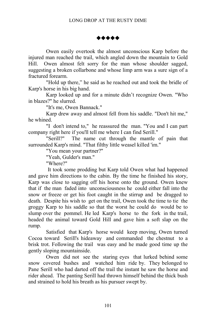

 Owen easily overtook the almost unconscious Karp before the injured man reached the trail, which angled down the mountain to Gold Hill. Owen almost felt sorry for the man whose shoulder sagged, suggesting a broken collarbone and whose limp arm was a sure sign of a fractured forearm.

 "Hold up there," he said as he reached out and took the bridle of Karp's horse in his big hand.

 Karp looked up and for a minute didn't recognize Owen. "Who in blazes?" he slurred.

"It's me, Owen Bannack."

 Karp drew away and almost fell from his saddle. "Don't hit me," he whined.

 "I don't intend to," he reassured the man. "You and I can part company right here if you'll tell me where I can find Serill."

 "Serill?" The name cut through the mantle of pain that surrounded Karp's mind. "That filthy little weasel killed 'im."

"You mean your partner?"

"Yeah, Gulder's man."

"Where?"

 It took some prodding but Karp told Owen what had happened and gave him directions to the cabin. By the time he finished his story, Karp was close to sagging off his horse onto the ground. Owen knew that if the man faded into unconsciousness he could either fall into the snow or freeze or get his foot caught in the stirrup and be dragged to death. Despite his wish to get on the trail, Owen took the time to tie the groggy Karp to his saddle so that the worst he could do would be to slump over the pommel. He led Karp's horse to the fork in the trail, headed the animal toward Gold Hill and gave him a soft slap on the rump.

 Satisfied that Karp's horse would keep moving, Owen turned Cocoa toward Serill's hideaway and commanded the chestnut to a brisk trot. Following the trail was easy and he made good time up the gently sloping mountainside.

 Owen did not see the staring eyes that lurked behind some snow covered bushes and watched him ride by. They belonged to Pane Serill who had darted off the trail the instant he saw the horse and rider ahead. The panting Serill had thrown himself behind the thick bush and strained to hold his breath as his pursuer swept by.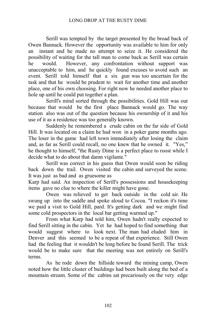Serill was tempted by the target presented by the broad back of Owen Bannack. However the opportunity was available to him for only an instant and he made no attempt to seize it. He considered the possibility of waiting for the tall man to come back as Serill was certain he would. However, any confrontation without support was unacceptable to him, and he quickly found excuses to avoid such an event. Serill told himself that a six gun was too uncertain for the task and that he would be prudent to wait for another time and another place, one of his own choosing. For right now he needed another place to hole up until he could put together a plan.

 Serill's mind sorted through the possibilities. Gold Hill was out because that would be the first place Bannack would go. The way station also was out of the question because his ownership of it and his use of it as a residence was too generally known.

 Suddenly he remembered a crude cabin on the far side of Gold Hill. It was located on a claim he had won in a poker game months ago. The loser in the game had left town immediately after losing the claim and, as far as Serill could recall, no one knew that he owned it. "Yes," he thought to himself, "the Rusty Dime is a perfect place to roost while I decide what to do about that damn vigilante."

 Serill was correct in his guess that Owen would soon be riding back down the trail. Owen visited the cabin and surveyed the scene. It was just as bad and as gruesome as

Karp had said. An inspection of Serill's possessions and housekeeping items gave no clue to where the killer might have gone.

 Owen was relieved to get back outside in the cold air. He swung up into the saddle and spoke aloud to Cocoa. "I reckon it's time we paid a visit to Gold Hill, pard. It's getting dark and we might find some cold prospectors in the local bar getting warmed up."

 From what Karp had told him, Owen hadn't really expected to find Serill sitting in the cabin. Yet he had hoped to find something that would suggest where to look next. The man had eluded him in Denver and this seemed to be a repeat of that experience. Still Owen had the feeling that it wouldn't be long before he found Serill. The trick would be to make sure that the meeting was not entirely on Serill's terms.

 As he rode down the hillside toward the mining camp, Owen noted how the little cluster of buildings had been built along the bed of a mountain stream. Some of the cabins sat precariously on the very edge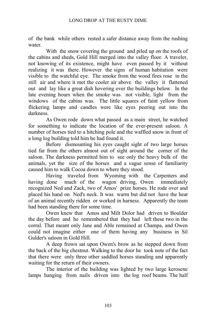of the bank while others rested a safer distance away from the rushing water.

With the snow covering the ground and piled up on the roofs of the cabins and sheds, Gold Hill merged into the valley floor. A traveler, not knowing of its existence, might have even passed by it without realizing it was there. However the signs of human habitation were visible to the watchful eye. The smoke from the wood fires rose in the still air and where it met the cooler air above the valley it flattened out and lay like a great dish hovering over the buildings below. In the late evening hours when the smoke was not visible, light from the windows of the cabins was. The little squares of faint yellow from flickering lamps and candles were like eyes peering out into the darkness.

 As Owen rode down what passed as a main street, he watched for something to indicate the location of the ever-present saloon. A number of horses tied to a hitching pole and the waffled snow in front of a long log building told him he had found it.

 Before dismounting his eyes caught sight of two large horses tied far from the others almost out of sight around the corner of the saloon. The darkness permitted him to see only the heavy bulk of the animals, yet the size of the horses and a vague sense of familiarity caused him to walk Cocoa down to where they stood.

 Having traveled from Wyoming with the Carpenters and having done much of the wagon driving, Owen immediately recognized Ned and Zack, two of Amos' prize horses. He rode over and placed his hand on Ned's neck. It was warm but did not have the heat of an animal recently ridden or worked in harness. Apparently the team had been standing there for some time.

 Owen knew that Amos and Milt Dolor had driven to Boulder the day before and he remembered that they had left these two in the corral. That meant only Jane and Able remained at Champa, and Owen could not imagine either one of them having any business in Sil Gulder's saloon in Gold Hill.

 A deep frown sat upon Owen's brow as he stepped down from the back of the big chestnut. Walking to the door he took note of the fact that there were only three other saddled horses standing and apparently waiting for the return of their owners.

 The interior of the building was lighted by two large kerosene lamps hanging from nails driven into the log roof beams. The half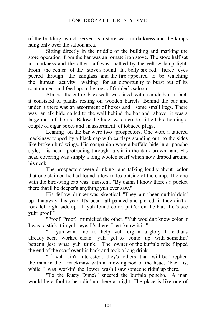of the building which served as a store was in darkness and the lamps hung only over the saloon area.

 Sitting directly in the middle of the building and marking the store operation from the bar was an ornate iron stove. The store half sat in darkness and the other half was bathed by the yellow lamp light. From the center of the stove's round fat belly six red, fierce eyes peered through the isinglass and the fire appeared to be watching the human activity, waiting for an opportunity to burst out of its containment and feed upon the logs of Gulder`s saloon.

 Almost the entire back wall was lined with a crude bar. In fact, it consisted of planks resting on wooden barrels. Behind the bar and under it there was an assortment of boxes and some small kegs. There was an elk hide nailed to the wall behind the bar and above it was a large rack of horns. Below the hide was a crude little table holding a couple of cigar boxes and an assortment of tobacco plugs.

 Leaning on the bar were two prospectors. One wore a tattered mackinaw topped by a black cap with earflaps standing out to the sides like broken bird wings. His companion wore a buffalo hide in a poncho style, his head protruding through a slit in the dark brown hair. His head covering was simply a long woolen scarf which now draped around his neck.

 The prospectors were drinking and talking loudly about color that one claimed he had found a few miles outside of the camp. The one with the bird-wing cap was insistent. "By damn I know there's a pocket there that'll be deeper'n anything yuh ever saw."

 His fellow drinker was skeptical. "They ain't been nuthin' doin' up thataway this year. It's been all panned and picked til they ain't a rock left right side up. If yuh found color, put 'er on the bar. Let's see yuhr proof."

 "Proof. Proof." mimicked the other. "Yuh wouldn't know color if I was to stick it in yuhr eye. It's there. I jest know it is."

 "If yuh want me to help yuh dig in a glory hole that's already been worked clean, yuh got to come up with somethin' better'n jest what yuh think." The owner of the buffalo robe flipped the end of the scarf over his back and took a long drink.

 "If yuh ain't interested, they's others that will be," replied the man in the mackinaw with a knowing nod of the head. "Fact is, while I was workin' the lower wash I saw someone ridin' up there."

 "To the Rusty Dime?" sneered the buffalo poncho. "A man would be a fool to be ridin' up there at night. The place is like one of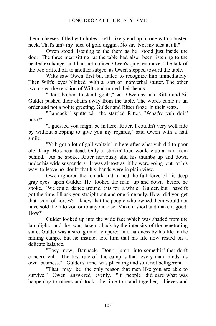them cheeses filled with holes. He'll likely end up in one with a busted neck. That's ain't my idea of gold diggin'. No sir. Not my idea at all."

 Owen stood listening to the them as he stood just inside the door. The three men sitting at the table had also been listening to the heated exchange and had not noticed Owen's quiet entrance. The talk of the two drifted off to another subject as Owen stepped toward the table.

 Wilts saw Owen first but failed to recognize him immediately. Then Wilt's eyes blinked with a sort of nonverbal stutter. The other two noted the reaction of Wilts and turned their heads.

 "Don't bother to stand, gents," said Owen as Jake Ritter and Sil Gulder pushed their chairs away from the table. The words came as an order and not a polite greeting. Gulder and Ritter froze in their seats.

 "Bannack," sputtered the startled Ritter. "What're yuh doin' here?"

 "I guessed you might be in here, Ritter. I couldn't very well ride by without stopping to give you my regards," said Owen with a half smile.

 "Yuh got a lot of gall waltzin' in here after what yuh did to poor ole Karp. He's near dead. Only a stinkin' lobo would club a man from behind." As he spoke, Ritter nervously slid his thumbs up and down under his wide suspenders. It was almost as if he were going out of his way to leave no doubt that his hands were in plain view.

 Owen ignored the remark and turned the full force of his deep gray eyes upon Gulder. He looked the man up and down before he spoke. "We could dance around this for a while, Gulder, but I haven't got the time. I'll ask you straight out and one time only. How did you get that team of horses? I know that the people who owned them would not have sold them to you or to anyone else. Make it short and make it good. How?"

 Gulder looked up into the wide face which was shaded from the lamplight, and he was taken aback by the intensity of the penetrating stare. Gulder was a strong man, tempered into hardness by his life in the mining camps, but he instinct told him that his life now rested on a delicate balance.

 "Easy now, Bannack. Don't jump into somethin' that don't concern yuh. The first rule of the camp is that every man minds his own business." Gulder's tone was placating and soft, not belligerent.

 "That may be the only reason that men like you are able to survive," Owen answered evenly. "If people did care what was happening to others and took the time to stand together, thieves and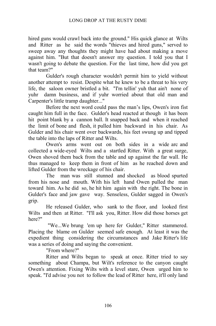hired guns would crawl back into the ground." His quick glance at Wilts and Ritter as he said the words "thieves and hired guns," served to sweep away any thoughts they might have had about making a move against him. "But that doesn't answer my question. I told you that I wasn't going to debate the question. For the last time, how did you get that team?"

 Gulder's rough character wouldn't permit him to yield without another attempt to resist. Despite what he knew to be a threat to his very life, the saloon owner bristled a bit. "I'm tellin' yuh that ain't none of yuhr damn business, and if yuhr worried about that old man and Carpenter's little tramp daughter..."

 Before the next word could pass the man's lips, Owen's iron fist caught him full in the face. Gulder's head reacted at though it has been hit point blank by a cannon ball. It snapped back and when it reached the limit of bone and flesh, it pulled him backward in his chair. As Gulder and his chair went over backwards, his feet swung up and tipped the table into the laps of Ritter and Wilts.

 Owen's arms went out on both sides in a wide arc and collected a wide-eyed Wilts and a startled Ritter. With a great surge, Owen shoved them back from the table and up against the far wall. He thus managed to keep them in front of him as he reached down and lifted Gulder from the wreckage of his chair.

 The man was still stunned and shocked as blood spurted from his nose and mouth. With his left hand Owen pulled the man toward him. As he did so, he hit him again with the right. The bone in Gulder's face and jaw gave way. Senseless, Gulder sagged in Owen's grip.

 He released Gulder, who sank to the floor, and looked first Wilts and then at Ritter. "I'll ask you, Ritter. How did those horses get here?"

 "We...We brung 'em up here fer Gulder," Ritter stammered. Placing the blame on Gulder seemed safe enough. At least it was the expedient thing considering the circumstances and Jake Ritter's life was a series of doing and saying the convenient.

"From where?"

 Ritter and Wilts began to speak at once. Ritter tried to say something about Champa, but Wilt's reference to the canyon caught Owen's attention. Fixing Wilts with a level stare, Owen urged him to speak. "I'd advise you not to follow the lead of Ritter here, it'll only land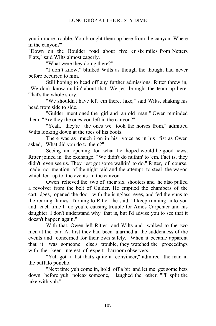you in more trouble. You brought them up here from the canyon. Where in the canyon?"

"Down on the Boulder road about five er six miles from Netters Flats," said Wilts almost eagerly.

"What were they doing there?"

 "I don't know," blinked Wilts as though the thought had never before occurred to him.

 Still hoping to head off any further admissions, Ritter threw in, "We don't know nuthin' about that. We jest brought the team up here. That's the whole story."

 "We shouldn't have left 'em there, Jake," said Wilts, shaking his head from side to side.

 "Gulder mentioned the girl and an old man," Owen reminded them. "Are they the ones you left in the canyon?"

 "Yeah, they're the ones we took the horses from," admitted Wilts looking down at the toes of his boots.

 There was as much iron in his voice as in his fist as Owen asked, "What did you do to them?"

 Seeing an opening for what he hoped would be good news, Ritter joined in the exchange. "We didn't do nuthin' to 'em. Fact is, they didn't even see us. They jest got some walkin' to do." Ritter, of course, made no mention of the night raid and the attempt to steal the wagon which led up to the events in the canyon.

 Owen relieved the two of their six shooters and he also pulled a revolver from the belt of Gulder. He emptied the chambers of the cartridges, opened the door with the isinglass eyes, and fed the guns to the roaring flames. Turning to Ritter he said, "I keep running into you and each time I do you're causing trouble for Amos Carpenter and his daughter. I don't understand why that is, but I'd advise you to see that it doesn't happen again."

 With that, Owen left Ritter and Wilts and walked to the two men at the bar. At first they had been alarmed at the suddenness of the events and concerned for their own safety. When it became apparent that it was someone else's trouble, they watched the proceedings with the keen interest of expert barroom observers.

 "Yuh got a fist that's quite a convincer," admired the man in the buffalo poncho.

 "Next time yuh come in, hold off a bit and let me get some bets down before yuh poleax someone," laughed the other. "I'll split the take with yuh."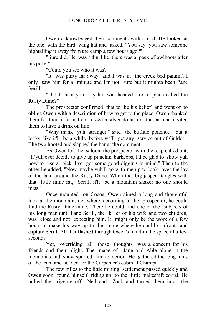Owen acknowledged their comments with a nod. He looked at the one with the bird wing hat and asked, "You say you saw someone hightailing it away from the camp a few hours ago?"

 "Sure did. He was ridin' like there was a pack of owlhoots after his poke."

"Could you see who it was?"

 "It was purty far away and I was in the creek bed pannin'. I only saw him fer a minute and I'm not sure but it mighta been Pane Serill."

 "Did I hear you say he was headed for a place called the Rusty Dime?"

 The prospector confirmed that to be his belief and went on to oblige Owen with a description of how to get to the place. Owen thanked them for their information, tossed a silver dollar on the bar and invited them to have a drink on him.

 "Why thank yuh, stranger," said the buffalo poncho, "but it looks like it'll be a while before we'll get any service out of Gulder." The two hooted and slapped the bar at the comment.

 As Owen left the saloon, the prospector with the cap called out, "If yuh ever decide to give up punchin' barkeeps, I'd be glad to show yuh how to use a pick. I've got some good diggin's in mind." Then to the other he added, "Now maybe yuh'll go with me up to look over the lay of the land around the Rusty Dime. When that big jasper tangles with that little mine rat, Serill, it'll be a mountain shaker no one should miss."

 Once mounted on Cocoa, Owen aimed a long and thoughtful look at the mountainside where, according to the prospector, he could find the Rusty Dime mine. There he could find one of the subjects of his long manhunt. Pane Serill, the killer of his wife and two children, was close and not expecting him. It might only be the work of a few hours to make his way up to the mine where he could confront and capture Serill. All that flashed through Owen's mind in the space of a few seconds.

 Yet, overriding all those thoughts was a concern for his friends and their plight. The image of Jane and Able alone in the mountains and snow spurred him to action. He gathered the long reins of the team and headed for the Carpenter's cabin at Champa.

 The few miles to the little mining settlement passed quickly and Owen soon found himself riding up to the little makeshift corral. He pulled the rigging off Ned and Zack and turned them into the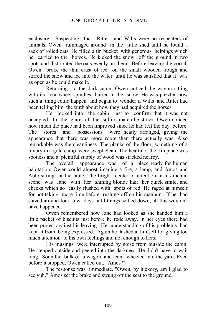## LONG DROP AT THE RUSTY DIME

enclosure. Suspecting that Ritter and Wilts were no respecters of animals, Owen rummaged around in the little shed until he found a sack of rolled oats. He filled a tin bucket with generous helpings which he carried to the horses. He kicked the snow off the ground in two spots and distributed the oats evenly on them. Before leaving the corral, Owen broke the thin crust of ice on the small wooden trough and stirred the snow and ice into the water until he was satisfied that it was as open as he could make it.

Returning to the dark cabin, Owen noticed the wagon sitting with its rear wheel spindles buried in the snow. He was puzzled how such a thing could happen and began to wonder if Wilts and Ritter had been telling him the truth about how they had acquired the horses.

 He looked into the cabin just to confirm that it was not occupied. In the glare of the sulfur match he struck, Owen noticed how much the place had been improved since he had left the day before. The stores and possessions were neatly arranged, giving the appearance that there was more room than there actually was. Also remarkable was the cleanliness. The planks of the floor, something of a luxury in a gold camp, were swept clean. The hearth of the fireplace was spotless and a plentiful supply of wood was stacked nearby.

The overall appearance was of a place ready for human habitation. Owen could almost imagine a fire, a lamp, and Amos and Able sitting at the table. The bright center of attention in his mental scene was Jane with her shining blonde hair, her quick smile, and cheeks which so easily flushed with spots of red. He raged at himself for not taking more time before rushing off on his manhunt. If he had stayed around for a few days until things settled down, all this wouldn't have happened.

 Owen remembered how Jane had looked as she handed him a little packet of biscuits just before he rode away. In her eyes there had been protest against his leaving. Her understanding of his problems had kept it from being expressed. Again he lashed at himself for giving too much attention to his own feelings and not enough to hers.

 His musings were interrupted by noise from outside the cabin. He stepped outside and peered into the darkness. He didn't have to wait long. Soon the bulk of a wagon and team wheeled into the yard. Even before it stopped, Owen called out, "Amos?"

 The response was immediate. "Owen, by hickory, am I glad to see yuh." Amos set the brake and swung off the seat to the ground.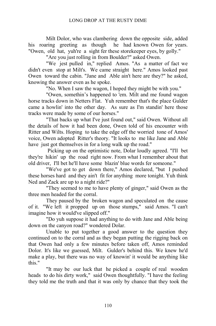Milt Dolor, who was clambering down the opposite side, added his roaring greeting as though he had known Owen for years. "Owen, old hat, yuh're a sight fer these storekeeper eyes, by golly."

"Are you just rolling in from Boulder?" asked Owen.

 "We jest pulled in," replied Amos. "As a matter of fact we didn't even stop at Milt's. We came straight here." Amos looked past Owen toward the cabin. "Jane and Able ain't here are they?" he asked, knowing the answer even as he spoke.

"No. When I saw the wagon, I hoped they might be with you."

 "Owen, somethin's happened to 'em. Milt and me found wagon horse tracks down in Netters Flat. Yuh remember that's the place Gulder came a howlin' into the other day. As sure as I'm standin' here those tracks were made by some of our horses."

 "That backs up what I've just found out," said Owen. Without all the details of how it had been done, Owen told of his encounter with Ritter and Wilts. Hoping to take the edge off the worried tone of Amos' voice, Owen adopted Ritter's theory. "It looks to me like Jane and Able have just got themselves in for a long walk up the road."

 Picking up on the optimistic note, Dolar loudly agreed. "I'll bet they're hikin' up the road right now. From what I remember about that old driver, I'll bet he'll have some blazin' blue words fer someone."

"We've got to get down there," Amos declared, "but I pushed these horses hard and they ain't fit for anything more tonight. Yuh think Ned and Zack are up to a night ride?"

 "They seemed to me to have plenty of ginger," said Owen as the three men headed for the corral.

 They paused by the broken wagon and speculated on the cause of it. "We left it propped up on those stumps," said Amos. "I can't imagine how it would've slipped off."

 "Do yuh suppose it had anything to do with Jane and Able being down on the canyon road?" wondered Dolar.

 Unable to put together a good answer to the question they continued on to the corral and as they began putting the rigging back on that Owen had only a few minutes before taken off, Amos reminded Dolor. It's like we guessed, Milt. Gulder's behind this. We knew he'd make a play, but there was no way of knowin' it would be anything like this."

 "It may be our luck that he picked a couple of real wooden heads to do his dirty work," said Owen thoughtfully. "I have the feeling they told me the truth and that it was only by chance that they took the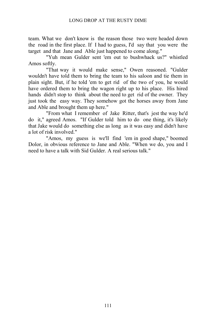team. What we don't know is the reason those two were headed down the road in the first place. If I had to guess, I'd say that you were the target and that Jane and Able just happened to come along."

 "Yuh mean Gulder sent 'em out to bushwhack us?" whistled Amos softly.

 "That way it would make sense," Owen reasoned. "Gulder wouldn't have told them to bring the team to his saloon and tie them in plain sight. But, if he told 'em to get rid of the two of you, he would have ordered them to bring the wagon right up to his place. His hired hands didn't stop to think about the need to get rid of the owner. They just took the easy way. They somehow got the horses away from Jane and Able and brought them up here."

 "From what I remember of Jake Ritter, that's jest the way he'd do it," agreed Amos. "If Gulder told him to do one thing, it's likely that Jake would do something else as long as it was easy and didn't have a lot of risk involved."

 "Amos, my guess is we'll find 'em in good shape," boomed Dolor, in obvious reference to Jane and Able. "When we do, you and I need to have a talk with Sid Gulder. A real serious talk."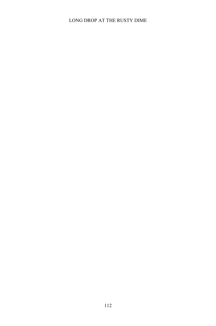## LONG DROP AT THE RUSTY DIME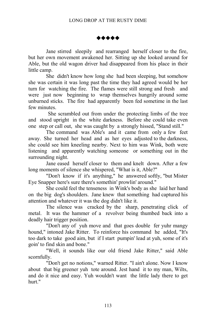

 Jane stirred sleepily and rearranged herself closer to the fire, but her own movement awakened her. Sitting up she looked around for Able, but the old wagon driver had disappeared from his place in their little camp.

 She didn't know how long she had been sleeping, but somehow she was certain it was long past the time they had agreed would be her turn for watching the fire. The flames were still strong and fresh and were just now beginning to wrap themselves hungrily around some unburned sticks. The fire had apparently been fed sometime in the last few minutes.

 She scrambled out from under the protecting limbs of the tree and stood upright in the white darkness. Before she could take even one step or call out, she was caught by a strongly hissed, "Stand still."

 The command was Able's and it came from only a few feet away. She turned her head and as her eyes adjusted to the darkness, she could see him kneeling nearby. Next to him was Wink, both were listening and apparently watching someone or something out in the surrounding night.

 Jane eased herself closer to them and knelt down. After a few long moments of silence she whispered, "What is it, Able?"

 "Don't know if it's anything," he answered softly, "but Mister Eye Snapper here's sure there's somethin' prowlin' around."

 She could feel the tenseness in Wink's body as she laid her hand on the big dog's shoulders. Jane knew that something had captured his attention and whatever it was the dog didn't like it.

 The silence was cracked by the sharp, penetrating click of metal. It was the hammer of a revolver being thumbed back into a deadly hair trigger position.

 "Don't any of yuh move and that goes double fer yuhr mangy hound," intoned Jake Ritter. To reinforce his command he added, "It's too dark to take good aim, but if I start pumpin' lead at yuh, some of it's goin' to find skin and bone."

 "Well, it sounds like our old friend Jake Ritter," said Able scornfully.

 "Don't get no notions," warned Ritter. "I ain't alone. Now I know about that big greener yuh tote around. Jest hand it to my man, Wilts, and do it nice and easy. Yuh wouldn't want the little lady there to get hurt."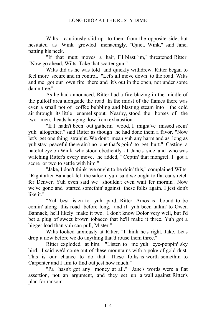Wilts cautiously slid up to them from the opposite side, but hesitated as Wink growled menacingly. "Quiet, Wink," said Jane, patting his neck.

 "If that mutt moves a hair, I'll blast 'im," threatened Ritter. "Now go ahead, Wilts. Take that scatter gun."

 Wilts did as he was told and quickly withdrew. Ritter began to feel more secure and in control. "Let's all move down to the road. Wilts and me got our own fire there and it's out in the open, not under some damn tree."

 As he had announced, Ritter had a fire blazing in the middle of the pulloff area alongside the road. In the midst of the flames there was even a small pot of coffee bubbling and blasting steam into the cold air through its little enamel spout. Nearby, stood the horses of the two men, heads hanging low from exhaustion.

 "If I hadn't been out gatherin' wood, I might've missed seein' yuh altogether," said Ritter as though he had done them a favor. "Now let's get one thing straight. We don't mean yuh any harm and as long as yuh stay peaceful there ain't no one that's goin' to get hurt." Casting a hateful eye on Wink, who stood obediently at Jane's side and who was watching Ritter's every move, he added, "'Ceptin' that mongrel. I got a score or two to settle with him."

 "Jake, I don't think we ought to be doin' this," complained Wilts. "Right after Bannack left the saloon, yuh said we ought to flat ear stretch fer Denver. Yuh even said we shouldn't even wait fer mornin'. Now we've gone and started somethin' against these folks again. I jest don't like it."

 "Yuh best listen to yuhr pard, Ritter. Amos is bound to be comin' along this road before long, and if yuh been talkin' to Owen Bannack, he'll likely make it two. I don't know Dolor very well, but I'd bet a plug of sweet brown tobacco that he'll make it three. Yuh got a bigger load than yuh can pull, Mister."

 Wilts looked anxiously at Ritter. "I think he's right, Jake. Let's drop it now before we do anything that'd rouse them three."

 Ritter exploded at him. "Listen to me yuh eye-poppin' sky bird. I said we'd come out of these mountains with a poke of gold dust. This is our chance to do that. These folks is worth somethin' to Carpenter and I aim to find out jest how much."

 "Pa hasn't got any money at all." Jane's words were a flat assertion, not an argument, and they set up a wall against Ritter's plan for ransom.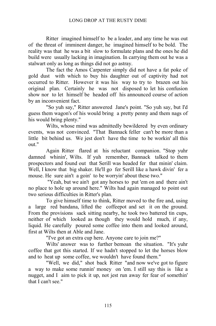Ritter imagined himself to be a leader, and any time he was out of the threat of imminent danger, he imagined himself to be bold. The reality was that he was a bit slow to formulate plans and the ones he did build were usually lacking in imagination. In carrying them out he was a stalwart only as long as things did not go astray.

 The fact the Amos Carpenter simply did not have a fat poke of gold dust with which to buy his daughter out of captivity had not occurred to Ritter. However it was his way to try to brazen out his original plan. Certainly he was not disposed to let his confusion show nor to let himself be headed off his announced course of action by an inconvenient fact.

 "So yuh say," Ritter answered Jane's point. "So yuh say, but I'd guess them wagon's of his would bring a pretty penny and them nags of his would bring plenty."

Wilts, whose mind was admittedly bewildered by even ordinary events, was not convinced. "That Bannack feller can't be more than a little bit behind us. We jest don't have the time to be workin' all this out."

 Again Ritter flared at his reluctant companion. "Stop yuhr damned whinin', Wilts. If yuh remember, Bannack talked to them prospectors and found out that Serill was headed fer that minin' claim. Well, I know that big shaker. He'll go fer Serill like a hawk divin' fer a mouse. He sure ain't a goin' to be worryin' about these two."

 "Yeah, but we ain't got any horses to put 'em on and there ain't no place to hole up around here." Wilts had again managed to point out two serious difficulties in Ritter's plan.

 To give himself time to think, Ritter moved to the fire and, using a large red bandana, lifted the coffeepot and set it on the ground. From the provisions sack sitting nearby, he took two battered tin cups, neither of which looked as though they would hold much, if any, liquid. He carefully poured some coffee into them and looked around, first at Wilts then at Able and Jane.

"I've got an extra cup here. Anyone care to join me?"

 Wilts' answer was to further bemoan the situation. "It's yuhr coffee that got this started. If we hadn't stopped to let the horses blow and to heat up some coffee, we wouldn't have found them."

 "Well, we did," shot back Ritter "and now we've got to figure a way to make some runnin' money on 'em. I still say this is like a nugget, and I aim to pick it up, not jest run away fer fear of somethin' that I can't see."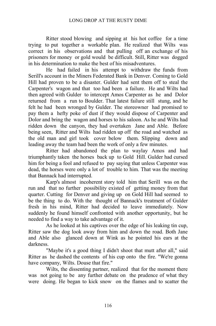Ritter stood blowing and sipping at his hot coffee for a time trying to put together a workable plan. He realized that Wilts was correct in his observations and that pulling off an exchange of his prisoners for money or gold would be difficult. Still, Ritter was dogged in his determination to make the best of his misadventures.

 He had failed in his attempt to withdraw the funds from Serill's account in the Miners Federated Bank in Denver. Coming to Gold Hill had proven to be a disaster. Gulder had sent them off to steal the Carpenter's wagon and that too had been a failure. He and Wilts had then agreed with Gulder to intercept Amos Carpenter as he and Dolor returned from a run to Boulder. That latest failure still stung, and he felt he had been wronged by Gulder. The storeowner had promised to pay them a hefty poke of dust if they would dispose of Carpenter and Dolor and bring the wagon and horses to his saloon. As he and Wilts had ridden down the canyon, they had overtaken Jane and Able. Before being seen, Ritter and Wilts had ridden up off the road and watched as the old man and girl took cover below them. Slipping down and leading away the team had been the work of only a few minutes.

 Ritter had abandoned the plan to waylay Amos and had triumphantly taken the horses back up to Gold Hill. Gulder had cursed him for being a fool and refused to pay saying that unless Carpenter was dead, the horses were only a lot of trouble to him. That was the meeting that Bannack had interrupted.

 Karp's almost incoherent story told him that Serill was on the run and that no further possibility existed of getting money from that quarter. Cutting for Denver and giving up on Gold Hill had seemed to be the thing to do. With the thought of Bannack's treatment of Gulder fresh in his mind, Ritter had decided to leave immediately. Now suddenly he found himself confronted with another opportunity, but he needed to find a way to take advantage of it.

 As he looked at his captives over the edge of his leaking tin cup, Ritter saw the dog look away from him and down the road. Both Jane and Able also glanced down at Wink as he pointed his ears at the darkness.

 "Maybe it's a good thing I didn't shoot that mutt after all," said Ritter as he dashed the contents of his cup onto the fire. "We're gonna have company, Wilts. Douse that fire."

Wilts, the dissenting partner, realized that for the moment there was not going to be any further debate on the prudence of what they were doing. He began to kick snow on the flames and to scatter the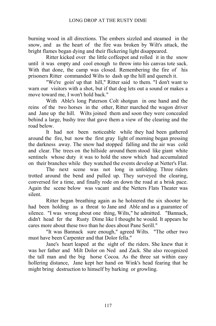burning wood in all directions. The embers sizzled and steamed in the snow, and as the heart of the fire was broken by Wilt's attack, the bright flames began dying and their flickering light disappeared.

 Ritter kicked over the little coffeepot and rolled it in the snow until it was empty and cool enough to throw into his canvas tote sack. With that done, the camp was closed. Remembering the fire of his prisoners Ritter commanded Wilts to dash up the hill and quench it.

 "We're goin' up that hill," Ritter said to them. "I don't want to warn our visitors with a shot, but if that dog lets out a sound or makes a move toward me, I won't hold back."

 With Able's long Paterson Colt shotgun in one hand and the reins of the two horses in the other, Ritter marched the wagon driver and Jane up the hill. Wilts joined them and soon they were concealed behind a large, bushy tree that gave them a view of the clearing and the road below.

 It had not been noticeable while they had been gathered around the fire, but now the first gray light of morning began pressing the darkness away. The snow had stopped falling and the air was cold and clear. The trees on the hillside around them stood like giant white sentinels whose duty it was to hold the snow which had accumulated on their branches while they watched the events develop at Netter's Flat.

 The next scene was not long in unfolding. Three riders trotted around the bend and pulled up. They surveyed the clearing, conversed for a time, and finally rode on down the road at a brisk pace. Again the scene below was vacant and the Netters Flats Theater was silent.

 Ritter began breathing again as he holstered the six shooter he had been holding as a threat to Jane and Able and as a guarantee of silence. "I was wrong about one thing, Wilts," he admitted. "Bannack, didn't head fer the Rusty Dime like I thought he would. It appears he cares more about these two than he does about Pane Serill."

 "It was Bannack sure enough," agreed Wilts. "The other two must have been Carpenter and that Dolor fella."

 Jane's heart leaped at the sight of the riders. She knew that it was her father and Milt Dolor on Ned and Zack. She also recognized the tall man and the big horse Cocoa. As the three sat within easy hollering distance, Jane kept her hand on Wink's head fearing that he might bring destruction to himself by barking or growling.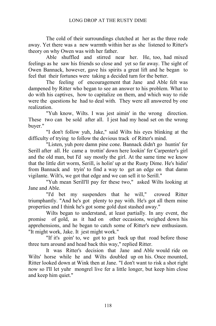The cold of their surroundings clutched at her as the three rode away. Yet there was a new warmth within her as she listened to Ritter's theory on why Owen was with her father.

 Able shuffled and stirred near her. He, too, had mixed feelings as he saw his friends so close and yet so far away. The sight of Owen Bannack, however, gave his spirits a great lift and he began to feel that their fortunes were taking a decided turn for the better.

 The feeling of encouragement that Jane and Able felt was dampened by Ritter who began to see an answer to his problem. What to do with his captives, how to capitalize on them, and which way to ride were the questions he had to deal with. They were all answered by one realization.

 "Yuh know, Wilts. I was jest aimin' in the wrong direction. These two can be sold after all. I jest had my head set on the wrong buyer."

 "I don't follow yuh, Jake," said Wilts his eyes blinking at the difficulty of trying to follow the devious track of Ritter's mind.

 "Listen, yuh pore damn pine cone. Bannack didn't go huntin' fer Serill after all. He came a trottin' down here lookin' fer Carpenter's girl and the old man, but I'd say mostly the girl. At the same time we know that the little dirt worm, Serill, is holin' up at the Rusty Dime. He's hidin' from Bannack and tryin' to find a way to get an edge on that damn vigilante. Wilt's, we got that edge and we can sell it to Serill."

 "Yuh mean Serill'll pay fer these two," asked Wilts looking at Jane and Able.

 "I'd bet my suspenders that he will," crowed Ritter triumphantly. "And he's got plenty to pay with. He's got all them mine properties and I think he's got some gold dust stashed away."

 Wilts began to understand, at least partially. In any event, the promise of gold, as it had on other occasions, weighed down his apprehensions, and he began to catch some of Ritter's new enthusiasm. "It might work, Jake. It jest might work."

 "If it's goin' to, we got to get back up that road before those three turn around and head back this way," replied Ritter.

 It was Ritter's decision that Jane and Able would ride on Wilts' horse while he and Wilts doubled up on his. Once mounted, Ritter looked down at Wink then at Jane. "I don't want to risk a shot right now so I'll let yuhr mongrel live fer a little longer, but keep him close and keep him quiet."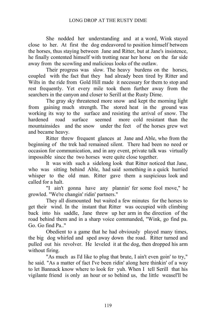She nodded her understanding and at a word, Wink stayed close to her. At first the dog endeavored to position himself between the horses, thus staying between Jane and Ritter, but at Jane's insistence, he finally contented himself with trotting near her horse on the far side away from the scowling and malicious looks of the outlaw.

 Their progress was slow. The heavy burdens on the horses, coupled with the fact that they had already been tired by Ritter and Wilts in the ride from Gold Hill made it necessary for them to stop and rest frequently. Yet every mile took them further away from the searchers in the canyon and closer to Serill at the Rusty Dime.

 The gray sky threatened more snow and kept the morning light from gaining much strength. The stored heat in the ground was working its way to the surface and resisting the arrival of snow. The hardened road surface seemed more cold resistant than the mountainsides and the snow under the feet of the horses grew wet and became heavy.

 Ritter threw frequent glances at Jane and Able, who from the beginning of the trek had remained silent. There had been no need or occasion for communication, and in any event, private talk was virtually impossible since the two horses were quite close together.

 It was with such a sidelong look that Ritter noticed that Jane, who was sitting behind Able, had said something in a quick hurried whisper to the old man. Ritter gave them a suspicious look and called for a halt.

 "I ain't gonna have any plannin' fer some fool move," he growled. "We're changin' ridin' partners."

 They all dismounted but waited a few minutes for the horses to get their wind. In the instant that Ritter was occupied with climbing back into his saddle, Jane threw up her arm in the direction of the road behind them and in a sharp voice commanded, "Wink, go find pa. Go. Go find Pa.."

 Obedient to a game that he had obviously played many times, the big dog whirled and sped away down the road. Ritter turned and pulled out his revolver. He leveled it at the dog, then dropped his arm without firing.

 "As much as I'd like to plug that brute, I ain't even goin' to try," he said. "As a matter of fact I've been ridin' along here thinkin' of a way to let Bannack know where to look fer yuh. When I tell Serill that his vigilante friend is only an hour or so behind us, the little weasel'll be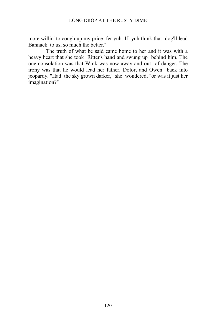more willin' to cough up my price fer yuh. If yuh think that dog'll lead Bannack to us, so much the better."

 The truth of what he said came home to her and it was with a heavy heart that she took Ritter's hand and swung up behind him. The one consolation was that Wink was now away and out of danger. The irony was that he would lead her father, Dolor, and Owen back into jeopardy. "Had the sky grown darker," she wondered, "or was it just her imagination?"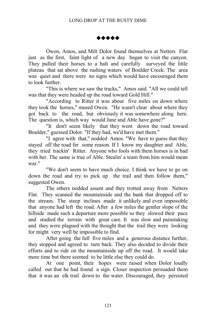◆◆◆◆◆

 Owen, Amos, and Milt Dolor found themselves at Netters Flat just as the first, faint light of a new day began to visit the canyon. They pulled their horses to a halt and carefully surveyed the little plateau that sat above the rushing waters of Boulder Creek. The area was quiet and there were no signs which would have encouraged them to look further.

 "This is where we saw the tracks," Amos said. "All we could tell was that they were headed up the road toward Gold Hill."

 "According to Ritter it was about five miles on down where they took the horses," mused Owen. "He wasn't clear about where they got back to the road, but obviously it was somewhere along here. The question is, which way would Jane and Able have gone?"

 "It don't seem likely that they went down the road toward Boulder," guessed Dolor. "If they had, we'd have met them."

 "I agree with that," nodded Amos. "We have to guess that they stayed off the road fer some reason. If I know my daughter and Able, they tried trackin' Ritter. Anyone who fools with them horses is in bad with her. The same is true of Able. Stealin' a team from him would mean war."

 "We don't seem to have much choice. I think we have to go on down the road and try to pick up the trail and then follow them," suggested Owen.

 The others nodded assent and they trotted away from Netters Flat. They scanned the mountainside and the bank that dropped off to the stream. The steep inclines made it unlikely and even impossible that anyone had left the road. After a few miles the gentler slope of the hillside made such a departure more possible so they slowed their pace and studied the terrain with great care. It was slow and painstaking and they were plagued with the thought that the trail they were looking for might very well be impossible to find.

 After going the full five miles and a generous distance further, they stopped and agreed to turn back. They also decided to divide their efforts and to ride on the mountainside up off the road. It would take more time but there seemed to be little else they could do.

 At one point, their hopes were raised when Dolor loudly called out that he had found a sign. Closer inspection persuaded them that it was an elk trail down to the water. Discouraged, they persisted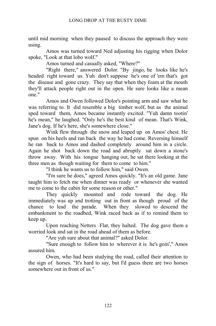until mid morning when they paused to discuss the approach they were using.

 Amos was turned toward Ned adjusting his rigging when Dolor spoke, "Look at that lobo wolf."

Amos turned and casually asked, "Where?"

 "Right there," answered Dolor. "By jingo, he looks like he's headed right toward us. Yuh don't suppose he's one of 'em that's got the disease and gone crazy. They say that when they foam at the mouth they'll attack people right out in the open. He sure looks like a mean one."

 Amos and Owen followed Dolor's pointing arm and saw what he was referring to. It did resemble a big timber wolf, but as the animal sped toward them, Amos became instantly excited. "Yuh damn tootin' he's mean," he laughed. "Only he's the best kind of mean. That's Wink, Jane's dog. If he's here, she's somewhere close."

 Wink flew through the snow and leaped up on Amos' chest. He spun on his heels and ran back the way he had come. Reversing himself he ran back to Amos and dashed completely around him in a circle. Again he shot back down the road and abruptly sat down a stone's throw away. With his tongue hanging out, he sat there looking at the three men as though waiting for them to come to him."

"I think he wants us to follow him," said Owen.

 "I'm sure he does," agreed Amos quickly. "It's an old game. Jane taught him to fetch me when dinner was ready or whenever she wanted me to come to the cabin fer some reason or other."

 They quickly mounted and rode toward the dog. He immediately was up and trotting out in front as though proud of the chance to lead the parade. When they slowed to descend the embankment to the roadbed, Wink raced back as if to remind them to keep up.

 Upon reaching Netters Flat, they halted. The dog gave them a worried look and sat in the road ahead of them as before.

"Are yuh sure about that animal?" asked Dolor.

 "Sure enough to follow him to wherever it is he's goin'," Amos assured him.

 Owen, who had been studying the road, called their attention to the sign of horses. "It's hard to say, but I'd guess there are two horses somewhere out in front of us."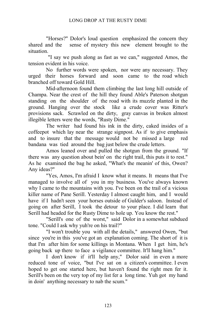"Horses?" Dolor's loud question emphasized the concern they shared and the sense of mystery this new element brought to the situation.

 "I say we push along as fast as we can," suggested Amos, the tension evident in his voice.

 No further words were spoken, nor were any necessary. They urged their horses forward and soon came to the road which branched off toward Gold Hill.

 Mid-afternoon found them climbing the last long hill outside of Champa. Near the crest of the hill they found Able's Paterson shotgun standing on the shoulder of the road with its muzzle planted in the ground. Hanging over the stock like a crude cover was Ritter's provisions sack. Scrawled on the dirty, gray canvas in broken almost illegible letters were the words, "Rusty Dime."

 The writer had found his ink in the dirty, caked insides of a coffeepot which lay near the strange signpost. As if to give emphasis and to insure that the message would not be missed a large red bandana was tied around the bag just below the crude letters.

 Amos leaned over and pulled the shotgun from the ground. "If there was any question about bein' on the right trail, this puts it to rest." As he examined the bag he asked, "What's the meanin' of this, Owen? Any ideas?"

 "Yes, Amos, I'm afraid I know what it means. It means that I've managed to involve all of you in my business. You've always known why I came to the mountains with you. I've been on the trail of a vicious killer name of Pane Serill. Yesterday I almost caught him, and I would have if I hadn't seen your horses outside of Gulder's saloon. Instead of going on after Serill, I took the detour to your place. I did learn that Serill had headed for the Rusty Dime to hole up. You know the rest."

 "Serill's one of the worst," said Dolor in a somewhat subdued tone. "Could I ask why yuh're on his trail?"

 "I won't trouble you with all the details," answered Owen, "but since you're in this you've got an explanation coming. The short of it is that I'm after him for some killings in Montana. When I get him, he's going back up there to face a vigilance committee. It'll hang him."

 I don't know if it'll help any," Dolor said in even a more reduced tone of voice, "but I've sat on a citizen's committee. I even hoped to get one started here, but haven't found the right men fer it. Serill's been on the very top of my list fer a long time. Yuh got my hand in doin' anything necessary to nab the scum."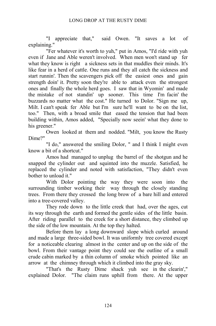"I appreciate that," said Owen. "It saves a lot of explaining."

 "Fer whatever it's worth to yuh," put in Amos, "I'd ride with yuh even if Jane and Able weren't involved. When men won't stand up fer what they know is right a sickness sets in that muddles their minds. It's like fear in a herd of cattle. One runs and they all catch the sickness and start runnin'. Then the scavengers pick off the easiest ones and gain strength doin' it. Pretty soon they're able to attack even the strongest ones and finally the whole herd goes. I saw that in Wyomin' and made the mistake of not standin' up sooner. This time I'm facin' the buzzards no matter what the cost." He turned to Dolor. "Sign me up, Milt. I can't speak fer Able but I'm sure he'll want to be on the list, too." Then, with a broad smile that eased the tension that had been building within, Amos added, "Specially now seein' what they done to his greener."

 Owen looked at them and nodded. "Milt, you know the Rusty Dime?"

 "I do," answered the smiling Dolor, " and I think I might even know a bit of a shortcut."

 Amos had managed to unplug the barrel of the shotgun and he snapped the cylinder out and squinted into the muzzle. Satisfied, he replaced the cylinder and noted with satisfaction, "They didn't even bother to unload it."

 With Dolor pointing the way they were soon into the surrounding timber working their way through the closely standing trees. From there they crossed the long brow of a bare hill and entered into a tree-covered valley.

 They rode down to the little creek that had, over the ages, cut its way through the earth and formed the gentle sides of the little basin. After riding parallel to the creek for a short distance, they climbed up the side of the low mountain. At the top they halted.

 Before them lay a long downward slope which curled around and made a large three-sided bowl. It was uniformly tree covered except for a noticeable clearing almost in the center and up on the side of the bowl. From their vantage point they could see the outline of a small crude cabin marked by a thin column of smoke which pointed like an arrow at the chimney through which it climbed into the gray sky.

 "That's the Rusty Dime shack yuh see in the clearin'," explained Dolor. "The claim runs uphill from there. At the upper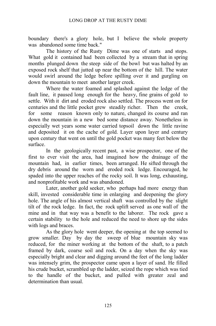boundary there's a glory hole, but I believe the whole property was abandoned some time back."

 The history of the Rusty Dime was one of starts and stops. What gold it contained had been collected by a stream that in spring months plunged down the steep side of the bowl but was halted by an exposed rock shelf that jutted up near the bottom of the hill. The water would swirl around the ledge before spilling over it and gurgling on down the mountain to meet another larger creek.

 Where the water foamed and splashed against the ledge of the fault line, it paused long enough for the heavy, fine grains of gold to settle. With it dirt and eroded rock also settled. The process went on for centuries and the little pocket grew steadily richer. Then the creek, for some reason known only to nature, changed its course and ran down the mountain in a new bed some distance away. Nonetheless in especially wet years some water carried topsoil down the little ravine and deposited it on the cache of gold. Layer upon layer and century upon century that went on until the gold pocket was many feet below the surface.

 In the geologically recent past, a wise prospector, one of the first to ever visit the area, had imagined how the drainage of the mountain had, in earlier times, been arranged. He sifted through the dry debris around the worn and eroded rock ledge. Encouraged, he spaded into the upper reaches of the rocky soil. It was long, exhausting, and nonprofitable work and was abandoned.

 Later, another gold seeker, who perhaps had more energy than skill, invested considerable time in enlarging and deepening the glory hole. The angle of his almost vertical shaft was controlled by the slight tilt of the rock ledge. In fact, the rock uplift served as one wall of the mine and in that way was a benefit to the laborer. The rock gave a certain stability to the hole and reduced the need to shore up the sides with logs and braces.

 As the glory hole went deeper, the opening at the top seemed to grow smaller. Day by day the sweep of blue mountain sky was reduced, for the miner working at the bottom of the shaft, to a patch framed by dark, coarse soil and rock. On a day when the sky was especially bright and clear and digging around the feet of the long ladder was intensely grim, the prospector came upon a layer of sand. He filled his crude bucket, scrambled up the ladder, seized the rope which was tied to the handle of the bucket, and pulled with greater zeal and determination than usual.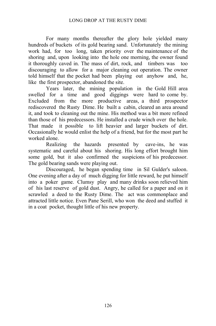For many months thereafter the glory hole yielded many hundreds of buckets of its gold bearing sand. Unfortunately the mining work had, for too long, taken priority over the maintenance of the shoring and, upon looking into the hole one morning, the owner found it thoroughly caved in. The mass of dirt, rock, and timbers was too discouraging to allow for a major cleaning out operation. The owner told himself that the pocket had been playing out anyhow and, he, like the first prospector, abandoned the site.

 Years later, the mining population in the Gold Hill area swelled for a time and good diggings were hard to come by. Excluded from the more productive areas, a third prospector rediscovered the Rusty Dime. He built a cabin, cleared an area around it, and took to cleaning out the mine. His method was a bit more refined than those of his predecessors. He installed a crude winch over the hole. That made it possible to lift heavier and larger buckets of dirt. Occasionally he would enlist the help of a friend, but for the most part he worked alone.

 Realizing the hazards presented by cave-ins, he was systematic and careful about his shoring. His long effort brought him some gold, but it also confirmed the suspicions of his predecessor. The gold bearing sands were playing out.

 Discouraged, he began spending time in Sil Gulder's saloon. One evening after a day of much digging for little reward, he put himself into a poker game. Clumsy play and many drinks soon relieved him of his last reserve of gold dust. Angry, he called for a paper and on it scrawled a deed to the Rusty Dime. The act was commonplace and attracted little notice. Even Pane Serill, who won the deed and stuffed it in a coat pocket, thought little of his new property.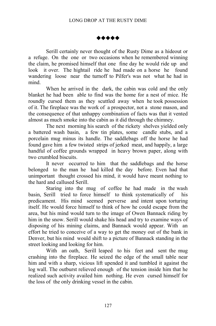◆◆◆◆◆

 Serill certainly never thought of the Rusty Dime as a hideout or a refuge. On the one or two occasions when he remembered winning the claim, he promised himself that one fine day he would ride up and look it over. The hightail ride he had made on a horse he found wandering loose near the turnoff to Pilfer's was not what he had in mind.

 When he arrived in the dark, the cabin was cold and the only blanket he had been able to find was the home for a nest of mice. He roundly cursed them as they scuttled away when he took possession of it. The fireplace was the work of a prospector, not a stone mason, and the consequence of that unhappy combination of facts was that it vented almost as much smoke into the cabin as it did through the chimney.

 The next morning his search of the rickety shelves yielded only a battered wash basin, a few tin plates, some candle stubs, and a porcelain mug minus its handle. The saddlebags off the horse he had found gave him a few twisted strips of jerked meat, and happily, a large handful of coffee grounds wrapped in heavy brown paper, along with two crumbled biscuits.

 It never occurred to him that the saddlebags and the horse belonged to the man he had killed the day before. Even had that unimportant thought crossed his mind, it would have meant nothing to the hard and callused Serill.

 Staring into the mug of coffee he had made in the wash basin, Serill tried to force himself to think systematically of his predicament. His mind seemed perverse and intent upon torturing itself. He would force himself to think of how he could escape from the area, but his mind would turn to the image of Owen Bannack riding by him in the snow. Serill would shake his head and try to examine ways of disposing of his mining claims, and Bannack would appear. With an effort he tried to conceive of a way to get the money out of the bank in Denver, but his mind would shift to a picture of Bannack standing in the street looking and looking for him.

 With an oath, Serill leaped to his feet and sent the mug crashing into the fireplace. He seized the edge of the small table near him and with a sharp, vicious lift upended it and tumbled it against the log wall. The outburst relieved enough of the tension inside him that he realized such activity availed him nothing. He even cursed himself for the loss of the only drinking vessel in the cabin.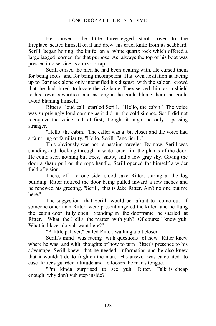He shoved the little three-legged stool over to the fireplace, seated himself on it and drew his cruel knife from its scabbard. Serill began honing the knife on a white quartz rock which offered a large jagged corner for that purpose. As always the top of his boot was pressed into service as a razor strap.

 Serill cursed the men he had been dealing with. He cursed them for being fools and for being incompetent. His own hesitation at facing up to Bannack alone only intensified his disgust with the saloon crowd that he had hired to locate the vigilante. They served him as a shield to his own cowardice and as long as he could blame them, he could avoid blaming himself.

 Ritter's loud call startled Serill. "Hello, the cabin." The voice was surprisingly loud coming as it did in the cold silence. Serill did not recognize the voice and, at first, thought it might be only a passing stranger.

 "Hello, the cabin." The caller was a bit closer and the voice had a faint ring of familiarity. "Hello, Serill. Pane Serill."

 This obviously was not a passing traveler. By now, Serill was standing and looking through a wide crack in the planks of the door. He could seen nothing but trees, snow, and a low gray sky. Giving the door a sharp pull on the rope handle, Serill opened for himself a wider field of vision.

 There, off to one side, stood Jake Ritter, staring at the log building. Ritter noticed the door being pulled inward a few inches and he renewed his greeting. "Serill, this is Jake Ritter. Ain't no one but me here."

 The suggestion that Serill would be afraid to come out if someone other than Ritter were present angered the killer and he flung the cabin door fully open. Standing in the doorframe he snarled at Ritter. "What the Hell's the matter with yuh? Of course I know yuh. What in blazes do yuh want here?"

"A little palaver," called Ritter, walking a bit closer.

 Serill's mind was racing with questions of how Ritter knew where he was and with thoughts of how to turn Ritter's presence to his advantage. Serill knew that he needed information and he also knew that it wouldn't do to frighten the man. His answer was calculated to ease Ritter's guarded attitude and to loosen the man's tongue.

 "I'm kinda surprised to see yuh, Ritter. Talk is cheap enough, why don't yuh step inside?"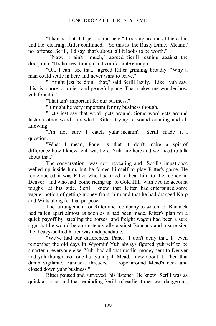"Thanks, but I'll jest stand here." Looking around at the cabin and the clearing, Ritter continued, "So this is the Rusty Dime. Meanin' no offense, Serill, I'd say that's about all it looks to be worth."

 "Naw, it ain't much," agreed Serill leaning against the doorjamb. "It's homey, though and comfortable enough."

 "Oh, I can see that," agreed Ritter grinning broadly. "Why a man could settle in here and never want to leave."

 "I might jest be doin' that," said Serill lazily. "Like yuh say, this is shore a quiet and peaceful place. That makes me wonder how yuh found it."

"That ain't important fer our business."

"It might be very important fer my business though."

 "Let's jest say that word gets around. Some word gets around faster'n other word," drawled Ritter, trying to sound cunning and all knowing.

 "I'm not sure I catch yuhr meanin'." Serill made it a question.

 "What I mean, Pane, is that it don't make a spit of difference how I knew yuh was here. Yuh are here and we need to talk about that."

 The conversation was not revealing and Serill's impatience welled up inside him, but he forced himself to play Ritter's game. He remembered it was Ritter who had tried to beat him to the money in Denver and who had come riding up to Gold Hill with two no account toughs at his side. Serill knew that Ritter had entertained some vague notion of getting money from him and that he had dragged Karp and Wilts along for that purpose.

 The arrangement for Ritter and company to watch for Bannack had fallen apart almost as soon as it had been made. Ritter's plan for a quick payoff by stealing the horses and freight wagon had been a sure sign that he would be an unsteady ally against Bannack and a sure sign the heavy-bellied Ritter was undependable.

 "We've had our differences, Pane. I don't deny that. I even remember the old days in Wyomin' Yuh always figured yuhrself to be smarter'n everyone else. Yuh had all that rustlin' money sent to Denver and yuh thought no one but yuhr pal, Mead, knew about it. Then that damn vigilante, Bannack, threaded a rope around Mead's neck and closed down yuhr business."

 Ritter paused and surveyed his listener. He knew Serill was as quick as a cat and that reminding Serill of earlier times was dangerous,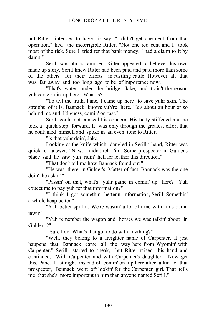but Ritter intended to have his say. "I didn't get one cent from that operation," lied the incorrigible Ritter. "Not one red cent and I took most of the risk. Sure I tried fer that bank money. I had a claim to it by damn."

 Serill was almost amused. Ritter appeared to believe his own made up story. Serill knew Ritter had been paid and paid more than some of the others for their efforts in rustling cattle. However, all that was far away and too long ago to be of importance now.

 "That's water under the bridge, Jake, and it ain't the reason yuh came ridin' up here. What is?"

 "To tell the truth, Pane, I came up here to save yuhr skin. The straight of it is, Bannack knows yuh're here. He's about an hour or so behind me and, I'd guess, comin' on fast."

 Serill could not conceal his concern. His body stiffened and he took a quick step forward. It was only through the greatest effort that he contained himself and spoke in an even tone to Ritter.

"Is that yuhr doin', Jake."

Looking at the knife which dangled in Serill's hand, Ritter was quick to answer, "Naw. I didn't tell 'im. Some prospector in Gulder's place said he saw yuh ridin' hell fer leather this direction."

"That don't tell me how Bannack found out."

 "He was there, in Gulder's. Matter of fact, Bannack was the one doin' the askin'."

 "Passin' on that, what's yuhr game in comin' up here? Yuh expect me to pay yuh fer that information?"

 "I think I got somethin' better'n information, Serill. Somethin' a whole heap better."

 "Yuh better spill it. We're wastin' a lot of time with this damn jawin'"

 "Yuh remember the wagon and horses we was talkin' about in Gulder's?"

"Sure I do. What's that got to do with anything?"

 "Well, they belong to a freighter name of Carpenter. It jest happens that Bannack came all the way here from Wyomin' with Carpenter." Serill started to speak, but Ritter raised his hand and continued, "With Carpenter and with Carpenter's daughter. Now get this, Pane. Last night instead of comin' on up here after talkin' to that prospector, Bannack went off lookin' fer the Carpenter girl. That tells me that she's more important to him than anyone named Serill."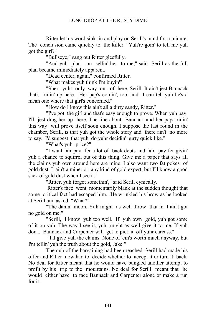Ritter let his word sink in and play on Serill's mind for a minute. The conclusion came quickly to the killer. "Yuh're goin' to tell me yuh got the girl?"

"Bullseye," sang out Ritter gleefully.

 "And yuh plan on sellin' her to me," said Serill as the full plan became immediately apparent.

"Dead center, again," confirmed Ritter.

"What makes yuh think I'm buyin'?"

 "She's yuhr only way out of here, Serill. It ain't jest Bannack that's ridin' up here. Her pap's comin', too, and I can tell yuh he's a mean one where that girl's concerned."

"How do I know this ain't all a dirty sandy, Ritter."

 "I've got the girl and that's easy enough to prove. When yuh pay, I'll jest drag her up here. The line about Bannack and her papa ridin' this way will prove itself soon enough. I suppose the last round in the chamber, Serill, is that yuh got the whole story and there ain't no more to say. I'd suggest that yuh do yuhr decidin' purty quick like."

"What's yuhr price?"

 "I want fair pay fer a lot of back debts and fair pay fer givin' yuh a chance to squirrel out of this thing. Give me a paper that says all the claims yuh own around here are mine. I also want two fat pokes of gold dust. I ain't a miner or any kind of gold expert, but I'll know a good sack of gold dust when I see it."

"Ritter, yuh forgot somethin'," said Serill cynically.

 Ritter's face went momentarily blank at the sudden thought that some critical fact had escaped him. He wrinkled his brow as he looked at Serill and asked, "What?"

 "The damn moon. Yuh might as well throw that in. I ain't got no gold on me."

 "Serill, I know yuh too well. If yuh own gold, yuh got some of it on yuh. The way I see it, yuh might as well give it to me. If yuh don't, Bannack and Carpenter will get to pick it off yuhr carcass."

 "I'll give yuh the claims. None of 'em's worth much anyway, but I'm tellin' yuh the truth about the gold, Jake."

 The nub of the bargaining had been reached. Serill had made his offer and Ritter now had to decide whether to accept it or turn it back. No deal for Ritter meant that he would have bungled another attempt to profit by his trip to the mountains. No deal for Serill meant that he would either have to face Bannack and Carpenter alone or make a run for it.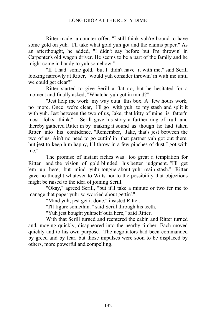Ritter made a counter offer. "I still think yuh're bound to have some gold on yuh. I'll take what gold yuh got and the claims paper." As an afterthought, he added, "I didn't say before but I'm throwin' in Carpenter's old wagon driver. He seems to be a part of the family and he might come in handy to yuh somehow."

 "If I had some gold, but I didn't have it with me," said Serill looking narrowly at Ritter, "would yuh consider throwin' in with me until we could get clear?"

 Ritter started to give Serill a flat no, but he hesitated for a moment and finally asked, "Whatcha yuh got in mind?"

 "Jest help me work my way outa this box. A few hours work, no more. Once we're clear, I'll go with yuh to my stash and split it with yuh. Jest between the two of us, Jake, that kitty of mine is fatter'n most folks think." Serill gave his story a further ring of truth and thereby gathered Ritter in by making it sound as though he had taken Ritter into his confidence. "Remember, Jake, that's jest between the two of us. Ain't no need to go cuttin' in that partner yuh got out there, but jest to keep him happy, I'll throw in a few pinches of dust I got with me."

 The promise of instant riches was too great a temptation for Ritter and the vision of gold blinded his better judgment. "I'll get 'em up here, but mind yuhr tongue about yuhr main stash." Ritter gave no thought whatever to Wilts nor to the possibility that objections might be raised to the idea of joining Serill.

"Okay," agreed Serill, "but it'll take a minute or two fer me to manage that paper yuhr so worried about gettin'."

"Mind yuh, jest get it done," insisted Ritter.

"I'll figure somethin'," said Serill through his teeth.

"Yuh jest bought yuhrself outa here," said Ritter.

 With that Serill turned and reentered the cabin and Ritter turned and, moving quickly, disappeared into the nearby timber. Each moved quickly and to his own purpose. The negotiators had been commanded by greed and by fear, but those impulses were soon to be displaced by others, more powerful and compelling.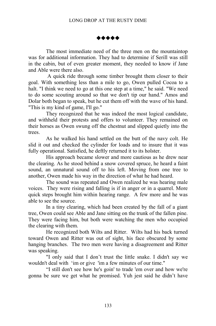

The most immediate need of the three men on the mountaintop was for additional information. They had to determine if Serill was still in the cabin, but of even greater moment, they needed to know if Jane and Able were there also.

 A quick ride through some timber brought them closer to their goal. With something less than a mile to go, Owen pulled Cocoa to a halt. "I think we need to go at this one step at a time," he said. "We need to do some scouting around so that we don't tip our hand." Amos and Dolar both began to speak, but he cut them off with the wave of his hand. "This is my kind of game, I'll go."

They recognized that he was indeed the most logical candidate, and withheld their protests and offers to volunteer. They remained on their horses as Owen swung off the chestnut and slipped quietly into the trees.

As he walked his hand settled on the butt of the navy colt. He slid it out and checked the cylinder for loads and to insure that it was fully operational. Satisfied, he deftly returned it to its holster.

His approach became slower and more cautious as he drew near the clearing. As he stood behind a snow covered spruce, he heard a faint sound, an unnatural sound off to his left. Moving from one tree to another, Owen made his way in the direction of what he had heard.

The sound was repeated and Owen realized he was hearing male voices. They were rising and falling is if in anger or in a quarrel. More quick steps brought him within hearing range. A few more and he was able to see the source.

In a tiny clearing, which had been created by the fall of a giant tree, Owen could see Able and Jane sitting on the trunk of the fallen pine. They were facing him, but both were watching the men who occupied the clearing with them.

He recognized both Wilts and Ritter. Wilts had his back turned toward Owen and Ritter was out of sight, his face obscured by some hanging branches. The two men were having a disagreement and Ritter was speaking.

"I only said that I don't trust the little snake. I didn't say we wouldn't deal with 'im or give 'im a few minutes of our time."

"I still don't see how he's goin' to trade 'em over and how we're gonna be sure we get what he promised. Yuh jest said he didn't have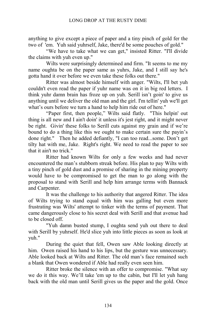anything to give except a piece of paper and a tiny pinch of gold fer the two of 'em. Yuh said yuhrself, Jake, there'd be some pouches of gold."

"We have to take what we can get," insisted Ritter. "I'll divide the claims with yuh even up."

Wilts were surprisingly determined and firm. "It seems to me my name oughta be on the paper same as yuhrs, Jake, and I still say he's gotta hand it over before we even take these folks out there."

Ritter was almost beside himself with anger. "Wilts, I'll bet yuh couldn't even read the paper if yuhr name was on it in big red letters. I think yuhr damn brain has froze up on yuh. Serill isn't goin' to give us anything until we deliver the old man and the girl. I'm tellin' yuh we'll get what's ours before we turn a hand to help him ride out of here."

"Paper first, then people," Wilts said flatly. "This helpin' out thing is all new and I ain't doin' it unless it's jest right, and it might never be right. Givin' these folks to Serill cuts against my grain and if we're bound to do a thing like this we ought to make certain sure the payin's done right." Then he added defiantly, "I can too read...some. Don't get tilty hat with me, Jake. Right's right. We need to read the paper to see that it ain't no trick."

Ritter had known Wilts for only a few weeks and had never encountered the man's stubborn streak before. His plan to pay Wilts with a tiny pinch of gold dust and a promise of sharing in the mining property would have to be compromised to get the man to go along with the proposal to stand with Serill and help him arrange terms with Bannack and Carpenter.

It was the challenge to his authority that angered Ritter. The idea of Wilts trying to stand equal with him was galling but even more frustrating was Wilts' attempt to tinker with the terms of payment. That came dangerously close to his secret deal with Serill and that avenue had to be closed off.

"Yuh damn busted stump, I oughta send yuh out there to deal with Serill by yuhrself. He'd slice yuh into little pieces as soon as look at yuh."

During the quiet that fell, Owen saw Able looking directly at him. Owen raised his hand to his lips, but the gesture was unnecessary. Able looked back at Wilts and Ritter. The old man's face remained such a blank that Owen wondered if Able had really even seen him.

Ritter broke the silence with an offer to compromise. "What say we do it this way. We'll take 'em up to the cabin, but I'll let yuh hang back with the old man until Serill gives us the paper and the gold. Once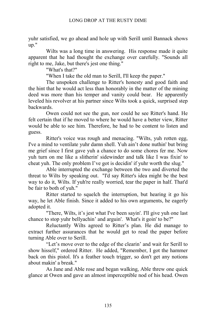yuhr satisfied, we go ahead and hole up with Serill until Bannack shows up."

Wilts was a long time in answering. His response made it quite apparent that he had thought the exchange over carefully. "Sounds all right to me, Jake, but there's jest one thing."

"What's that?"

"When I take the old man to Serill, I'll keep the paper."

The unspoken challenge to Ritter's honesty and good faith and the hint that he would act less than honorably in the matter of the mining deed was more than his temper and vanity could bear. He apparently leveled his revolver at his partner since Wilts took a quick, surprised step backwards.

Owen could not see the gun, nor could he see Ritter's hand. He felt certain that if he moved to where he would have a better view, Ritter would be able to see him. Therefore, he had to be content to listen and guess.

Ritter's voice was rough and menacing. "Wilts, yuh rotten egg, I've a mind to ventilate yuhr damn shell. Yuh ain't done nuthin' but bring me grief since I first gave yuh a chance to do some chores fer me. Now yuh turn on me like a slitherin' sidewinder and talk like I was fixin' to cheat yuh. The only problem I've got is decidin' if yuhr worth the slug."

Able interrupted the exchange between the two and diverted the threat to Wilts by speaking out. "I'd say Ritter's idea might be the best way to do it, Wilts. If yuh're really worried, tear the paper in half. That'd be fair to both of yuh."

Ritter started to squelch the interruption, but hearing it go his way, he let Able finish. Since it added to his own arguments, he eagerly adopted it.

"There, Wilts, it's jest what I've been sayin'. I'll give yuh one last chance to stop yuhr bellyachin' and arguin'. What's it goin' to be?"

Reluctantly Wilts agreed to Ritter's plan. He did manage to extract further assurances that he would get to read the paper before turning Able over to Serill.

"Let's move over to the edge of the clearin' and wait fer Serill to show hisself," ordered Ritter. He added, "Remember, I got the hammer back on this pistol. It's a feather touch trigger, so don't get any notions about makin' a break."

As Jane and Able rose and began walking, Able threw one quick glance at Owen and gave an almost imperceptible nod of his head. Owen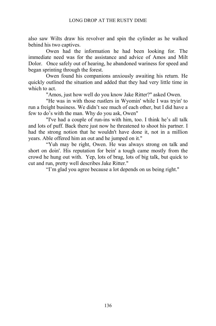also saw Wilts draw his revolver and spin the cylinder as he walked behind his two captives.

Owen had the information he had been looking for. The immediate need was for the assistance and advice of Amos and Milt Dolor. Once safely out of hearing, he abandoned wariness for speed and began sprinting through the forest.

Owen found his companions anxiously awaiting his return. He quickly outlined the situation and added that they had very little time in which to act.

"Amos, just how well do you know Jake Ritter?" asked Owen.

"He was in with those rustlers in Wyomin' while I was tryin' to run a freight business. We didn't see much of each other, but I did have a few to do's with the man. Why do you ask, Owen"

"I've had a couple of run-ins with him, too. I think he's all talk and lots of puff. Back there just now he threatened to shoot his partner. I had the strong notion that he wouldn't have done it, not in a million years. Able offered him an out and he jumped on it."

"Yuh may be right, Owen. He was always strong on talk and short on doin'. His reputation for bein' a tough came mostly from the crowd he hung out with. Yep, lots of brag, lots of big talk, but quick to cut and run, pretty well describes Jake Ritter."

"I'm glad you agree because a lot depends on us being right."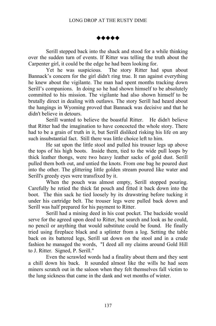◆◆◆◆◆

Serill stepped back into the shack and stood for a while thinking over the sudden turn of events. If Ritter was telling the truth about the Carpenter girl, it could be the edge he had been looking for.

Yet he was suspicious. The story Ritter had spun about Bannack's concern for the girl didn't ring true. It ran against everything he knew about the vigilante. The man had spent months tracking down Serill's companions. In doing so he had shown himself to be absolutely committed to his mission. The vigilante had also shown himself to be brutally direct in dealing with outlaws. The story Serill had heard about the hangings in Wyoming proved that Bannack was decisive and that he didn't believe in detours.

Serill wanted to believe the boastful Ritter. He didn't believe that Ritter had the imagination to have concocted the whole story. There had to be a grain of truth in it, but Serill disliked risking his life on any such insubstantial fact. Still there was little choice left to him.

He sat upon the little stool and pulled his trouser legs up above the tops of his high boots. Inside them, tied to the wide pull loops by thick leather thongs, were two heavy leather sacks of gold dust. Serill pulled them both out, and untied the knots. From one bag he poured dust into the other. The glittering little golden stream poured like water and Serill's greedy eyes were transfixed by it.

When the pouch was almost empty, Serill stopped pouring. Carefully he retied the thick fat pouch and fitted it back down into the boot. The thin sack he tied loosely by its drawstring before tucking it under his cartridge belt. The trouser legs were pulled back down and Serill was half prepared for his payment to Ritter.

Serill had a mining deed in his coat pocket. The backside would serve for the agreed upon deed to Ritter, but search and look as he could, no pencil or anything that would substitute could be found. He finally tried using fireplace black and a splinter from a log. Setting the table back on its battered legs, Serill sat down on the stool and in a crude fashion he managed the words, "I deed all my claims around Gold Hill to J. Ritter. Signed, P. Serill."

Even the scrawled words had a finality about them and they sent a chill down his back. It sounded almost like the wills he had seen miners scratch out in the saloon when they felt themselves fall victim to the lung sickness that came in the dank and wet months of winter.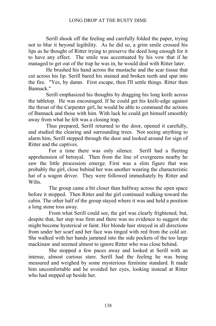Serill shook off the feeling and carefully folded the paper, trying not to blur it beyond legibility. As he did so, a grim smile crossed his lips as he thought of Ritter trying to preserve the deed long enough for it to have any effect. The smile was accentuated by his vow that if he managed to get out of the trap he was in, he would deal with Ritter later.

He brushed his hand across the mustache and the scar tissue that cut across his lip. Serill bared his stained and broken teeth and spat into the fire. "Yes, by damn. First escape, then I'll settle things. Ritter then Bannack."

Serill emphasized his thoughts by dragging his long knife across the tabletop. He was encouraged. If he could get his knife-edge against the throat of the Carpenter girl, he would be able to command the actions of Bannack and those with him. With luck he could get himself smoothly away from what he felt was a closing trap.

Thus prepared, Serill returned to the door, opened it carefully, and studied the clearing and surrounding trees. Not seeing anything to alarm him, Serill stepped through the door and looked around for sign of Ritter and the captives.

 For a time there was only silence. Serill had a fleeting apprehension of betrayal. Then from the line of evergreens nearby he saw the little procession emerge. First was a slim figure that was probably the girl, close behind her was another wearing the characteristic hat of a wagon driver. They were followed immediately by Ritter and Wilts.

 The group came a bit closer than halfway across the open space before it stopped. Then Ritter and the girl continued walking toward the cabin. The other half of the group stayed where it was and held a position a long stone toss away.

 From what Serill could see, the girl was clearly frightened, but, despite that, her step was firm and there was no evidence to suggest she might become hysterical or faint. Her blonde hair strayed in all directions from under her scarf and her face was tinged with red from the cold air. She walked with her hands jammed into the side pockets of the too large mackinaw and seemed almost to ignore Ritter who was close behind.

 She stopped a few paces away and looked at Serill with an intense, almost curious stare. Serill had the feeling he was being measured and weighed by some mysterious feminine standard. It made him uncomfortable and he avoided her eyes, looking instead at Ritter who had stepped up beside her.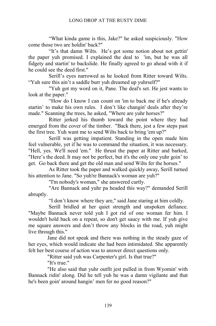"What kinda game is this, Jake?" he asked suspiciously. "How come those two are holdin' back?"

 "It's that damn Wilts. He's got some notion about not gettin' the paper yuh promised. I explained the deal to 'im, but he was all fidgety and startin' to backslide. He finally agreed to go ahead with it if he could see the deed first."

 Serill's eyes narrowed as he looked from Ritter toward Wilts. "Yuh sure this ain't a saddle burr yuh dreamed up yuhrself?"

 "Yuh got my word on it, Pane. The deal's set. He jest wants to look at the paper."

 "How do I know I can count on 'im to back me if he's already startin' to make his own rules. I don't like changin' deals after they're made." Scanning the trees, he asked, "Where are yuhr horses?"

 Ritter jerked his thumb toward the point where they had emerged from the cover of the timber. "Back there, jest a few steps past the first tree. Yuh want me to send Wilts back to bring 'em up?"

 Serill was getting impatient. Standing in the open made him feel vulnerable, yet if he was to command the situation, it was necessary. "Hell, yes. We'll need 'em." He thrust the paper at Ritter and barked, "Here's the deed. It may not be perfect, but it's the only one yuhr goin' to get. Go back there and get the old man and send Wilts fer the horses."

 As Ritter took the paper and walked quickly away, Serill turned his attention to Jane. "So yuh're Bannack's woman are yuh?"

"I'm nobody's woman," she answered curtly.

 "Are Bannack and yuhr pa headed this way?" demanded Serill abruptly.

"I don't know where they are," said Jane staring at him coldly.

 Serill bridled at her quiet strength and unspoken defiance. "Maybe Bannack never told yuh I got rid of one woman fer him. I wouldn't hold back on a repeat, so don't get saucy with me. If yuh give me square answers and don't throw any blocks in the road, yuh might live through this."

 Jane did not speak and there was nothing in the steady gaze of her eyes, which would indicate she had been intimidated. She apparently felt her best course of action was to answer direct questions only.

"Ritter said yuh was Carpenter's girl. Is that true?"

"It's true."

 "He also said that yuhr outfit jest pulled in from Wyomin' with Bannack ridin' along. Did he tell yuh he was a damn vigilante and that he's been goin' around hangin' men fer no good reason?"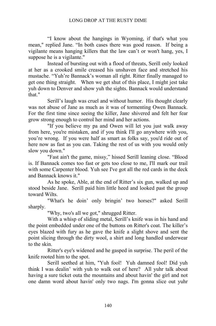"I know about the hangings in Wyoming, if that's what you mean," replied Jane. "In both cases there was good reason. If being a vigilante means hanging killers that the law can't or won't hang, yes, I suppose he is a vigilante."

 Instead of bursting out with a flood of threats, Serill only looked at her as a crooked smile creased his unshaven face and stretched his mustache. "Yuh're Bannack's woman all right. Ritter finally managed to get one thing straight. When we get shut of this place, I might jest take yuh down to Denver and show yuh the sights. Bannack would understand that."

 Serill's laugh was cruel and without humor. His thought clearly was not abuse of Jane as much as it was of tormenting Owen Bannack. For the first time since seeing the killer, Jane shivered and felt her fear grow strong enough to control her mind and her actions.

 "If you believe my pa and Owen will let you just walk away from here, you're mistaken, and if you think I'll go anywhere with you, you're wrong. If you were half as smart as folks say, you'd ride out of here now as fast as you can. Taking the rest of us with you would only slow you down."

 "Fast ain't the game, missy," hissed Serill leaning close. "Blood is. If Bannack comes too fast or gets too close to me, I'll mark our trail with some Carpenter blood. Yuh see I've got all the red cards in the deck and Bannack knows it."

 As he spoke, Able, at the end of Ritter's six gun, walked up and stood beside Jane. Serill paid him little heed and looked past the group toward Wilts.

 "What's he doin' only bringin' two horses?" asked Serill sharply.

"Why, two's all we got," shrugged Ritter.

 With a whisp of sliding metal, Serill's knife was in his hand and the point embedded under one of the buttons on Ritter's coat. The killer's eyes blazed with fury as he gave the knife a slight shove and sent the point slicing through the dirty wool, a shirt and long handled underwear to the skin.

 Ritter's eye's widened and he gasped in surprise. The peril of the knife rooted him to the spot.

 Serill seethed at him, "Yuh fool! Yuh damned fool! Did yuh think I was dealin' with yuh to walk out of here? All yuhr talk about having a sure ticket outa the mountains and about havin' the girl and not one damn word about havin' only two nags. I'm gonna slice out yuhr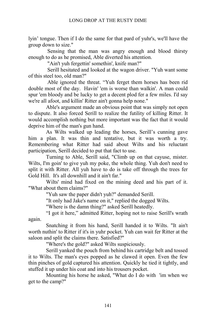lyin' tongue. Then if I do the same for that pard of yuhr's, we'll have the group down to size."

 Sensing that the man was angry enough and blood thirsty enough to do as he promised, Able diverted his attention.

"Ain't yuh fergettin' somethin', knife man?"

 Serill hesitated and looked at the wagon driver. "Yuh want some of this steel too, old man?"

 Able ignored the threat. "Yuh ferget them horses has been rid double most of the day. Havin' 'em is worse than walkin'. A man could spur 'em bloody and be lucky to get a decent plod fer a few miles. I'd say we're all afoot, and killin' Ritter ain't gonna help none."

Able's argument made an obvious point that was simply not open to dispute. It also forced Serill to realize the futility of killing Ritter. It would accomplish nothing but more important was the fact that it would deprive him of the man's gun hand.

As Wilts walked up leading the horses, Serill's cunning gave him a plan. It was thin and tentative, but it was worth a try. Remembering what Ritter had said about Wilts and his reluctant participation, Serill decided to put that fact to use.

Turning to Able, Serill said, "Climb up on that cayuse, mister. Wilts, I'm goin' to give yuh my poke, the whole thing. Yuh don't need to split it with Ritter. All yuh have to do is take off through the trees fer Gold Hill. It's all downhill and it ain't far."

Wilts' mind had fixed on the mining deed and his part of it. "What about them claims?"

"Yuh saw the paper didn't yuh?" demanded Serill.

"It only had Jake's name on it," replied the dogged Wilts.

"Where is the damn thing?" asked Serill heatedly.

"I got it here," admitted Ritter, hoping not to raise Serill's wrath again.

Snatching it from his hand, Serill handed it to Wilts. "It ain't worth nuthin' to Ritter if it's in yuhr pocket. Yuh can wait fer Ritter at the saloon and split the claims there. Satisfied?"

"Where's the gold?" asked Wilts suspiciously.

Serill yanked the pouch from behind his cartridge belt and tossed it to Wilts. The man's eyes popped as he clawed it open. Even the few thin pinches of gold captured his attention. Quickly he tied it tightly, and stuffed it up under his coat and into his trousers pocket.

Mounting his horse he asked, "What do I do with 'im when we get to the camp?"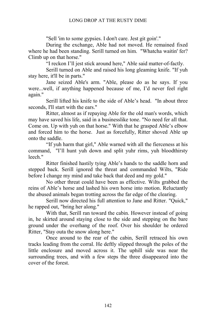"Sell 'im to some gypsies. I don't care. Jest git goin'."

During the exchange, Able had not moved. He remained fixed where he had been standing. Serill turned on him. "Whatcha waitin' fer? Climb up on that horse."

"I reckon I'll jest stick around here," Able said matter-of-factly.

Serill turned on Able and raised his long gleaming knife. "If yuh stay here, it'll be in parts."

Jane seized Able's arm. "Able, please do as he says. If you were...well, if anything happened because of me, I'd never feel right again."

Serill lifted his knife to the side of Able's head. "In about three seconds, I'll start with the ears."

Ritter, almost as if repaying Able for the old man's words, which may have saved his life, said in a businesslike tone. "No need fer all that. Come on. Up with yuh on that horse." With that he grasped Able's elbow and forced him to the horse. Just as forcefully, Ritter shoved Able up onto the saddle.

"If yuh harm that girl," Able warned with all the fierceness at his command, "I'll hunt yuh down and split yuhr rims, yuh bloodthirsty leech."

Ritter finished hastily tying Able's hands to the saddle horn and stepped back. Serill ignored the threat and commanded Wilts, "Ride before I change my mind and take back that deed and my gold."

No other threat could have been as effective. Wilts grabbed the reins of Able's horse and lashed his own horse into motion. Reluctantly the abused animals began trotting across the far edge of the clearing.

Serill now directed his full attention to Jane and Ritter. "Quick," he rapped out, "bring her along."

With that, Serill ran toward the cabin. However instead of going in, he skirted around staying close to the side and stepping on the bare ground under the overhang of the roof. Over his shoulder he ordered Ritter, "Stay outa the snow along here."

Once around to the rear of the cabin, Serill retraced his own tracks leading from the corral. He deftly slipped through the poles of the little enclosure and moved across it. The uphill side was near the surrounding trees, and with a few steps the three disappeared into the cover of the forest.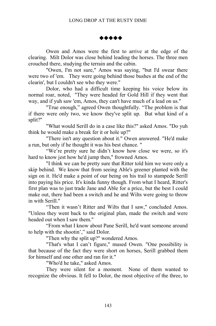◆◆◆◆◆

Owen and Amos were the first to arrive at the edge of the clearing. Milt Dolor was close behind leading the horses. The three men crouched there, studying the terrain and the cabin.

"Owen, I'm not sure," Amos was saying, "but I'd swear there were two of 'em. They were going behind those bushes at the end of the clearin', but I couldn't see who they were."

Dolor, who had a difficult time keeping his voice below its normal roar, noted, "They were headed fer Gold Hill if they went that way, and if yuh saw 'em, Amos, they can't have much of a lead on us."

"True enough," agreed Owen thoughtfully. "The problem is that if there were only two, we know they've split up. But what kind of a split?"

"What would Serill do in a case like this?" asked Amos. "Do yuh think he would make a break fer it or hole up?"

"There isn't any question about it." Owen answered. "He'd make a run, but only if he thought it was his best chance. "

"We're pretty sure he didn't know how close we were, so it's hard to know jest how he'd jump then," frowned Amos.

"I think we can be pretty sure that Ritter told him we were only a skip behind. We know that from seeing Able's greener planted with the sign on it. He'd make a point of our being on his trail to stampede Serill into paying his price. It's kinda funny though. From what I heard, Ritter's first plan was to just trade Jane and Able for a price, but the best I could make out, there had been a switch and he and Wilts were going to throw in with Serill<sup>"</sup>

"Then it wasn't Ritter and Wilts that I saw," concluded Amos. "Unless they went back to the original plan, made the switch and were headed out when I saw them."

"From what I know about Pane Serill, he'd want someone around to help with the shootin'," said Dolor.

"Then why the split up?" wondered Amos.

"That's what I can't figure," mused Owen. "One possibility is that because of the fact they were short on horses, Serill grabbed them for himself and one other and ran for it."

"Who'd he take," asked Amos.

They were silent for a moment. None of them wanted to recognize the obvious. It fell to Dolor, the most objective of the three, to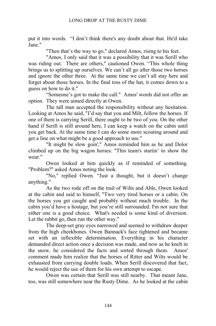put it into words. "I don't think there's any doubt about that. He'd take Jane."

"Then that's the way to go," declared Amos, rising to his feet.

"Amos, I only said that it was a possibility that it was Serill who was riding out. There are others," cautioned Owen. "This whole thing brings us to splitting up ourselves. We can't all go after those two horses and ignore the other three. At the same time we can't all stay here and forget about those horses. In the final toss of the hat, it comes down to a guess on how to do it."

"Someone's got to make the call." Amos' words did not offer an option. They were aimed directly at Owen.

The tall man accepted the responsibility without any hesitation. Looking at Amos he said, "I'd say that you and Milt, follow the horses. If one of them is carrying Serill, there ought to be two of you. On the other hand if Serill is still around here, I can keep a watch on the cabin until you get back. At the same time I can do some more scouting around and get a line on what might be a good approach to use."

"It might be slow goin'," Amos reminded him as he and Dolor climbed up on the big wagon horses. "This team's startin' to show the wear."

Owen looked at him quickly as if reminded of something. "Problem?" asked Amos noting the look.

"No," replied Owen. "Just a thought, but it doesn't change anything."

As the two rode off on the trail of Wilts and Able, Owen looked at the cabin and said to himself, "Two very tired horses or a cabin. On the horses you get caught and probably without much trouble. In the cabin you'd have a hostage, but you're still surrounded. I'm not sure that either one is a good choice. What's needed is some kind of diversion. Let the rabbit go, then run the other way."

The deep-set gray eyes narrowed and seemed to withdraw deeper from the high cheekbones. Owen Bannack's face tightened and became set with an inflexible determination. Everything in his character demanded direct action once a decision was made, and now as he knelt in the snow, he considered the facts and sorted through them. Amos' comment made him realize that the horses of Ritter and Wilts would be exhausted from carrying double loads. When Serill discovered that fact, he would reject the use of them for his own attempt to escape.

Owen was certain that Serill was still nearby. That meant Jane, too, was still somewhere near the Rusty Dime. As he looked at the cabin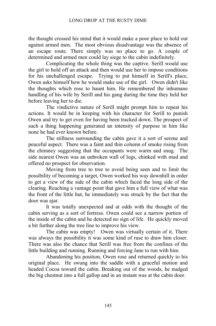the thought crossed his mind that it would make a poor place to hold out against armed men. The most obvious disadvantage was the absence of an escape route. There simply was no place to go. A couple of determined and armed men could lay siege to the cabin indefinitely.

Complicating the whole thing was the captive. Serill would use the girl to hold off an attack and then would use her to impose conditions for his unchallenged escape. Trying to put himself in Serill's place, Owen asks himself how he would make use of the girl. Owen didn't like the thoughts which rose to haunt him. He remembered the inhumane handling of his wife by Serill and his gang during the time they held her before leaving her to die.

The vindictive nature of Serill might prompt him to repeat his actions. It would be in keeping with his character for Serill to punish Owen and try to get even for having been tracked down. The prospect of such a thing happening generated an intensity of purpose in him like none he had ever known before.

The stillness surrounding the cabin gave it a sort of serene and peaceful aspect. There was a faint and thin column of smoke rising from the chimney suggesting that the occupants were warm and snug. The side nearest Owen was an unbroken wall of logs, chinked with mud and offered no prospect for observation.

Moving from tree to tree to avoid being seen and to limit the possibility of becoming a target, Owen worked his way downhill in order to get a view of the side of the cabin which faced the long side of the clearing. Reaching a vantage point that gave him a full view of what was the front of the little hut, he immediately was struck by the fact that the door was ajar.

It was totally unexpected and at odds with the thought of the cabin serving as a sort of fortress. Owen could see a narrow portion of the inside of the cabin and he detected no sign of life. He quickly moved a bit further along the tree line to improve his view.

The cabin was empty! Owen was virtually certain of it. There was always the possibility it was some kind of ruse to draw him closer. There was also the chance that Serill was free from the confines of the little building and running. Running and forcing Jane to run with him.

Abandoning his position, Owen rose and returned quickly to his original place. He swung into the saddle with a graceful motion and headed Cocoa toward the cabin. Breaking out of the woods, he nudged the big chestnut into a full gallop and in an instant was at the cabin door.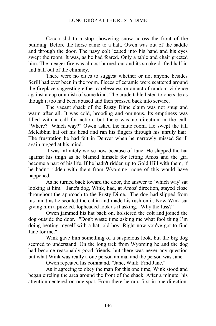Cocoa slid to a stop showering snow across the front of the building. Before the horse came to a halt, Owen was out of the saddle and through the door. The navy colt leaped into his hand and his eyes swept the room. It was, as he had feared. Only a table and chair greeted him. The meager fire was almost burned out and its smoke drifted half in and half out of the chimney.

There were no clues to suggest whether or not anyone besides Serill had ever been in the room. Pieces of ceramic were scattered around the fireplace suggesting either carelessness or an act of random violence against a cup or a dish of some kind. The crude table listed to one side as though it too had been abused and then pressed back into service.

The vacant shack of the Rusty Dime claim was not snug and warm after all. It was cold, brooding and ominous. Its emptiness was filled with a call for action, but there was no direction in the call. "Where? Which way?" Owen asked the mute room. He swept the tall McKibbin hat off his head and ran his fingers through his unruly hair. The frustration he had felt in Denver when he narrowly missed Serill again tugged at his mind.

It was infinitely worse now because of Jane. He slapped the hat against his thigh as he blamed himself for letting Amos and the girl become a part of his life. If he hadn't ridden up to Gold Hill with them, if he hadn't ridden with them from Wyoming, none of this would have happened.

As he turned back toward the door, the answer to `which way' sat looking at him. Jane's dog, Wink, had, at Amos' direction, stayed close throughout the approach to the Rusty Dime. The dog had slipped from his mind as he scouted the cabin and made his rush on it. Now Wink sat giving him a puzzled, lopheaded look as if asking, "Why the fuss?"

Owen jammed his hat back on, holstered the colt and joined the dog outside the door. "Don't waste time asking me what fool thing I'm doing beating myself with a hat, old boy. Right now you've got to find Jane for me."

Wink gave him something of a suspicious look, but the big dog seemed to understand. On the long trek from Wyoming he and the dog had become reasonably good friends, but there was never any question but what Wink was really a one person animal and the person was Jane.

Owen repeated his command, "Jane, Wink. Find Jane."

As if agreeing to obey the man for this one time, Wink stood and began circling the area around the front of the shack. After a minute, his attention centered on one spot. From there he ran, first in one direction,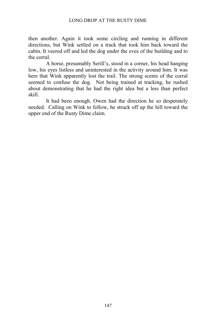then another. Again it took some circling and running in different directions, but Wink settled on a track that took him back toward the cabin. It veered off and led the dog under the eves of the building and to the corral.

A horse, presumably Serill's, stood in a corner, his head hanging low, his eyes listless and uninterested in the activity around him. It was here that Wink apparently lost the trail. The strong scents of the corral seemed to confuse the dog. Not being trained at tracking, he rushed about demonstrating that he had the right idea but a less than perfect skill.

It had been enough. Owen had the direction he so desperately needed. Calling on Wink to follow, he struck off up the hill toward the upper end of the Rusty Dime claim.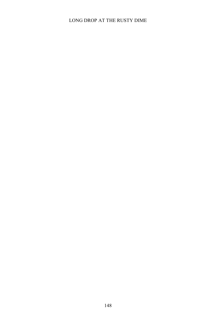#### LONG DROP AT THE RUSTY DIME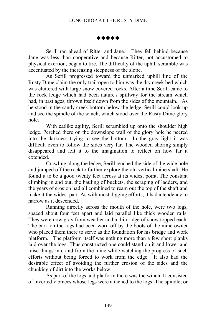

Serill ran ahead of Ritter and Jane. They fell behind because Jane was less than cooperative and because Ritter, not accustomed to physical exertion, began to tire. The difficulty of the uphill scramble was accentuated by the increasing steepness of the slope.

As Serill progressed toward the unmarked uphill line of the Rusty Dime claim the only trail open to him was the dry creek bed which was cluttered with large snow covered rocks. After a time Serill came to the rock ledge which had been nature's spillway for the stream which had, in past ages, thrown itself down from the sides of the mountain. As he stood in the sandy creek bottom below the ledge, Serill could look up and see the spindle of the winch, which stood over the Rusty Dime glory hole.

With catlike agility, Serill scrambled up onto the shoulder high ledge. Perched there on the downslope wall of the glory hole he peered into the darkness trying to see the bottom. In the gray light it was difficult even to follow the sides very far. The wooden shoring simply disappeared and left it to the imagination to reflect on how far it extended.

Crawling along the ledge, Serill reached the side of the wide hole and jumped off the rock to further explore the old vertical mine shaft. He found it to be a good twenty feet across at its widest point. The constant climbing in and out, the hauling of buckets, the scraping of ladders, and the years of erosion had all combined to ream out the top of the shaft and make it the widest part. As with most digging efforts, it had a tendency to narrow as it descended.

Running directly across the mouth of the hole, were two logs, spaced about four feet apart and laid parallel like thick wooden rails. They were now gray from weather and a thin ridge of snow topped each. The bark on the logs had been worn off by the boots of the mine owner who placed them there to serve as the foundation for his bridge and work platform. The platform itself was nothing more than a few short planks laid over the logs. Thus constructed one could stand on it and lower and raise things into and from the mine while watching the progress of such efforts without being forced to work from the edge. It also had the desirable effect of avoiding the further erosion of the sides and the chunking of dirt into the works below.

As part of the logs and platform there was the winch. It consisted of inverted v braces whose legs were attached to the logs. The spindle, or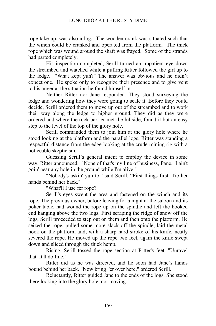rope take up, was also a log. The wooden crank was situated such that the winch could be cranked and operated from the platform. The thick rope which was wound around the shaft was frayed. Some of the strands had parted completely.

His inspection completed, Serill turned an impatient eye down the streambed and watched while a puffing Ritter followed the girl up to the ledge. "What kept yuh?" The answer was obvious and he didn't expect one. He spoke only to recognize their presence and to give vent to his anger at the situation he found himself in.

Neither Ritter nor Jane responded. They stood surveying the ledge and wondering how they were going to scale it. Before they could decide, Serill ordered them to move up out of the streambed and to work their way along the ledge to higher ground. They did as they were ordered and where the rock barrier met the hillside, found it but an easy step to the level of the top of the glory hole.

Serill commanded them to join him at the glory hole where he stood looking at the platform and the parallel logs. Ritter was standing a respectful distance from the edge looking at the crude mining rig with a noticeable skepticism.

Guessing Serill's general intent to employ the device in some way, Ritter announced, "None of that's my line of business, Pane. I ain't goin' near any hole in the ground while I'm alive."

"Nobody's askin' yuh to," said Serill. "First things first. Tie her hands behind her back."

"What'll I use fer rope?"

Serill's eyes swept the area and fastened on the winch and its rope. The previous owner, before leaving for a night at the saloon and its poker table, had wound the rope up on the spindle and left the hooked end hanging above the two logs. First scraping the ridge of snow off the logs, Serill proceeded to step out on them and then onto the platform. He seized the rope, pulled some more slack off the spindle, laid the metal hook on the platform and, with a sharp hard stroke of his knife, neatly severed the rope. He moved up the rope two feet, again the knife swept down and sliced through the thick hemp.

Rising, Serill tossed the rope section at Ritter's feet. "Unravel that. It'll do fine."

Ritter did as he was directed, and he soon had Jane's hands bound behind her back. "Now bring 'er over here," ordered Serill.

Reluctantly, Ritter guided Jane to the ends of the logs. She stood there looking into the glory hole, not moving.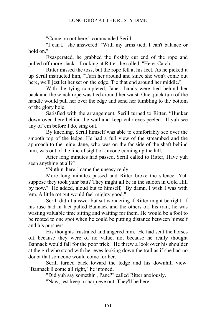"Come on out here," commanded Serill.

"I can't," she answered. "With my arms tied, I can't balance or hold on."

Exasperated, he grabbed the freshly cut end of the rope and pulled off more slack. Looking at Ritter, he called, "Here. Catch."

Ritter missed the toss, but the rope fell at his feet. As he picked it up Serill instructed him, "Turn her around and since she won't come out here, we'll jest let her set on the edge. Tie that end around her middle."

With the tying completed, Jane's hands were tied behind her back and the winch rope was tied around her waist. One quick turn of the handle would pull her over the edge and send her tumbling to the bottom of the glory hole.

Satisfied with the arrangement, Serill turned to Ritter. "Hunker down over there behind the wall and keep yuhr eyes peeled. If yuh see any of 'em before I do, sing out."

By kneeling, Serill himself was able to comfortably see over the smooth top of the ledge. He had a full view of the streambed and the approach to the mine. Jane, who was on the far side of the shaft behind him, was out of the line of sight of anyone coming up the hill.

After long minutes had passed, Serill called to Ritter, Have yuh seen anything at all?"

"Nuthin' here," came the uneasy reply.

More long minutes passed and Ritter broke the silence. Yuh suppose they took yuhr bait? They might all be in the saloon in Gold Hill by now." He added, aloud but to himself, "By damn, I wish I was with 'em. A little rot gut would feel mighty good."

Serill didn't answer but sat wondering if Ritter might be right. If his ruse had in fact pulled Bannack and the others off his trail, he was wasting valuable time sitting and waiting for them. He would be a fool to be rooted to one spot when he could be putting distance between himself and his pursuers.

His thoughts frustrated and angered him. He had sent the horses off because they were of no value, not because he really thought Bannack would fall for the poor trick. He threw a look over his shoulder at the girl who stood with her eyes looking down the trail as if she had no doubt that someone would come for her.

Serill turned back toward the ledge and his downhill view. "Bannack'll come all right," he intoned.

"Did yuh say somethin', Pane?" called Ritter anxiously.

"Naw, jest keep a sharp eye out. They'll be here."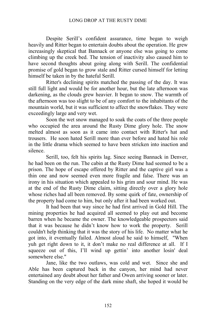Despite Serill's confident assurance, time began to weigh heavily and Ritter began to entertain doubts about the operation. He grew increasingly skeptical that Bannack or anyone else was going to come climbing up the creek bed. The tension of inactivity also caused him to have second thoughts about going along with Serill. The confidential promise of gold began to grow stale and Ritter cursed himself for letting himself be taken in by the hateful Serill.

Ritter's declining spirits matched the passing of the day. It was still full light and would be for another hour, but the late afternoon was darkening, as the clouds grew heavier. It began to snow. The warmth of the afternoon was too slight to be of any comfort to the inhabitants of the mountain world, but it was sufficient to affect the snowflakes. They were exceedingly large and very wet.

Soon the wet snow managed to soak the coats of the three people who occupied the area around the Rusty Dime glory hole. The snow melted almost as soon as it came into contact with Ritter's hat and trousers. He soon hated Serill more than ever before and hated his role in the little drama which seemed to have been stricken into inaction and silence.

Serill, too, felt his spirits lag. Since seeing Bannack in Denver, he had been on the run. The cabin at the Rusty Dime had seemed to be a prison. The hope of escape offered by Ritter and the captive girl was a thin one and now seemed even more fragile and false. There was an irony in his situation which appealed to his grim and sour mind. He was at the end of the Rusty Dime claim, sitting directly over a glory hole whose riches had all been removed. By some quirk of fate, ownership of the property had come to him, but only after it had been worked out.

It had been that way since he had first arrived in Gold Hill. The mining properties he had acquired all seemed to play out and become barren when he became the owner. The knowledgeable prospectors said that it was because he didn't know how to work the property. Serill couldn't help thinking that it was the story of his life. No matter what he got into, it eventually failed. Almost aloud he said to himself, "When yuh get right down to it, it don't make no real difference at all. If I squeeze out of this, I'll wind up gettin' into another losin' deal somewhere else."

Jane, like the two outlaws, was cold and wet. Since she and Able has been captured back in the canyon, her mind had never entertained any doubt about her father and Owen arriving sooner or later. Standing on the very edge of the dark mine shaft, she hoped it would be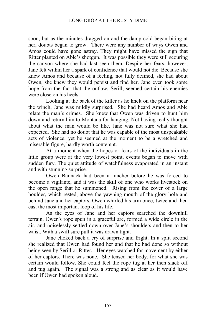soon, but as the minutes dragged on and the damp cold began biting at her, doubts began to grow. There were any number of ways Owen and Amos could have gone astray. They might have missed the sign that Ritter planted on Able's shotgun. It was possible they were still scouring the canyon where she had last seen them. Despite her fears, however, Jane felt within her a spark of confidence that would not die. Because she knew Amos and because of a feeling, not fully defined, she had about Owen, she knew they would persist and find her. Jane even took some hope from the fact that the outlaw, Serill, seemed certain his enemies were close on his heels.

Looking at the back of the killer as he knelt on the platform near the winch, Jane was mildly surprised. She had heard Amos and Able relate the man's crimes. She knew that Owen was driven to hunt him down and return him to Montana for hanging. Not having really thought about what the man would be like, Jane was not sure what she had expected. She had no doubt that he was capable of the most unspeakable acts of violence, yet he seemed at the moment to be a wretched and miserable figure, hardly worth contempt.

At a moment when the hopes or fears of the individuals in the little group were at the very lowest point, events began to move with sudden fury. The quiet attitude of watchfulness evaporated in an instant and with stunning surprise.

Owen Bannack had been a rancher before he was forced to become a vigilante, and it was the skill of one who works livestock on the open range that he summoned. Rising from the cover of a large boulder, which rested, above the yawning mouth of the glory hole and behind Jane and her captors, Owen whirled his arm once, twice and then cast the most important loop of his life.

As the eyes of Jane and her captors searched the downhill terrain, Owen's rope spun in a graceful arc, formed a wide circle in the air, and noiselessly settled down over Jane's shoulders and then to her waist. With a swift sure pull it was drawn tight.

Jane choked back a cry of surprise and fright. In a split second she realized that Owen had found her and that he had done so without being seen by Serill or Ritter. Her eyes watched for movement by either of her captors. There was none. She tensed her body, for what she was certain would follow. She could feel the rope tug at her then slack off and tug again. The signal was a strong and as clear as it would have been if Owen had spoken aloud.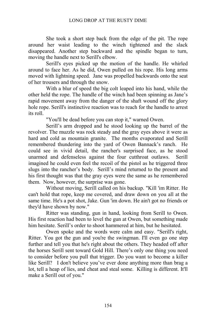She took a short step back from the edge of the pit. The rope around her waist leading to the winch tightened and the slack disappeared. Another step backward and the spindle began to turn, moving the handle next to Serill's elbow.

Serill's eyes picked up the motion of the handle. He whirled around to face her. As he did, Owen pulled on his rope. His long arms moved with lightning speed. Jane was propelled backwards onto the seat of her trousers and through the snow.

With a blur of speed the big colt leaped into his hand, while the other held the rope. The handle of the winch had been spinning as Jane's rapid movement away from the danger of the shaft wound off the glory hole rope. Serill's instinctive reaction was to reach for the handle to arrest its roll.

"You'll be dead before you can stop it," warned Owen.

Serill's arm dropped and he stood looking up the barrel of the revolver. The muzzle was rock steady and the gray eyes above it were as hard and cold as mountain granite. The months evaporated and Serill remembered thundering into the yard of Owen Bannack's ranch. He could see in vivid detail, the rancher's surprised face, as he stood unarmed and defenseless against the four cutthroat outlaws. Serill imagined he could even feel the recoil of the pistol as he triggered three slugs into the rancher's body. Serill's mind returned to the present and his first thought was that the gray eyes were the same as he remembered them. Now, however, the surprise was gone.

Without moving, Serill called on his backup. "Kill 'im Ritter. He can't hold that rope, keep me covered, and draw down on you all at the same time. He's a pot shot, Jake. Gun 'im down. He ain't got no friends or they'd have shown by now."

Ritter was standing, gun in hand, looking from Serill to Owen. His first reaction had been to level the gun at Owen, but something made him hesitate. Serill's order to shoot hammered at him, but he hesitated.

Owen spoke and the words were calm and easy. "Serill's right, Ritter. You got the gun and you're the swingman. I'll even go one step further and tell you that he's right about the others. They headed off after the horses Serill sent toward Gold Hill. There's only one thing you need to consider before you pull that trigger. Do you want to become a killer like Serill? I don't believe you've ever done anything more than brag a lot, tell a heap of lies, and cheat and steal some. Killing is different. It'll make a Serill out of you."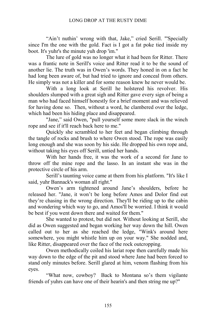"Ain't nuthin' wrong with that, Jake," cried Serill. "'Specially since I'm the one with the gold. Fact is I got a fat poke tied inside my boot. It's yuhr's the minute yuh drop 'im."

The lure of gold was no longer what it had been for Ritter. There was a frantic note in Serill's voice and Ritter read it to be the sound of another lie. The truth was in Owen's words. They honed in on a fact he had long been aware of, but had tried to ignore and conceal from others. He simply was not a killer and for some reason knew he never would be.

With a long look at Serill he holstered his revolver. His shoulders slumped with a great sigh and Ritter gave every sign of being a man who had faced himself honestly for a brief moment and was relieved for having done so. Then, without a word, he clambered over the ledge, which had been his hiding place and disappeared.

"Jane," said Owen, "pull yourself some more slack in the winch rope and see if it'll reach back here to me."

Quickly she scrambled to her feet and began climbing through the tangle of rocks and brush to where Owen stood. The rope was easily long enough and she was soon by his side. He dropped his own rope and, without taking his eyes off Serill, untied her hands.

With her hands free, it was the work of a second for Jane to throw off the mine rope and the lasso. In an instant she was in the protective circle of his arm.

Serill's taunting voice came at them from his platform. "It's like I said, yuhr Bannack's woman all right."

Owen's arm tightened around Jane's shoulders, before he released her. "Jane, it won't be long before Amos and Dolor find out they're chasing in the wrong direction. They'll be riding up to the cabin and wondering which way to go, and Amos'll be worried. I think it would be best if you went down there and waited for them."

She wanted to protest, but did not. Without looking at Serill, she did as Owen suggested and began working her way down the hill. Owen called out to her as she reached the ledge, "Wink's around here somewhere, you might whistle him up on your way." She nodded and, like Ritter, disappeared over the face of the rock outcropping.

Owen methodically coiled his lariat rope then carefully made his way down to the edge of the pit and stood where Jane had been forced to stand only minutes before. Serill glared at him, venom flashing from his eyes.

"What now, cowboy? Back to Montana so's them vigilante friends of yuhrs can have one of their hearin's and then string me up?"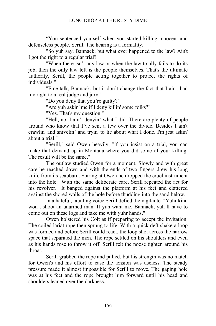"You sentenced yourself when you started killing innocent and defenseless people, Serill. The hearing is a formality."

"So yuh say, Bannack, but what ever happened to the law? Ain't I got the right to a regular trial?"

"When there isn't any law or when the law totally fails to do its job, then the only law left is the people themselves. That's the ultimate authority, Serill, the people acting together to protect the rights of individuals."

"Fine talk, Bannack, but it don't change the fact that I ain't had my right to a real judge and jury."

"Do you deny that you're guilty?"

"Are yuh askin' me if I deny killin' some folks?"

"Yes. That's my question."

"Hell, no. I ain't denyin' what I did. There are plenty of people around who know that I've sent a few over the divide. Besides I ain't crawlin' and snivelin' and tryin' to lie about what I done. I'm jest askin' about a trial."

"Serill," said Owen heavily, "if you insist on a trial, you can make that demand up in Montana where you did some of your killing. The result will be the same."

The outlaw studied Owen for a moment. Slowly and with great care he reached down and with the ends of two fingers drew his long knife from its scabbard. Staring at Owen he dropped the cruel instrument into the hole. With the same deliberate care, Serill repeated the act for his revolver. It banged against the platform at his feet and clattered against the shored walls of the hole before thudding into the sand below.

In a hateful, taunting voice Serill defied the vigilante. "Yuhr kind won't shoot an unarmed man. If yuh want me, Bannack, yuh'll have to come out on these logs and take me with yuhr hands."

Owen holstered his Colt as if preparing to accept the invitation. The coiled lariat rope then sprung to life. With a quick deft shake a loop was formed and before Serill could react, the loop shot across the narrow space that separated the men. The rope settled on his shoulders and even as his hands rose to throw it off, Serill felt the noose tighten around his throat.

Serill grabbed the rope and pulled, but his strength was no match for Owen's and his effort to ease the tension was useless. The steady pressure made it almost impossible for Serill to move. The gaping hole was at his feet and the rope brought him forward until his head and shoulders leaned over the darkness.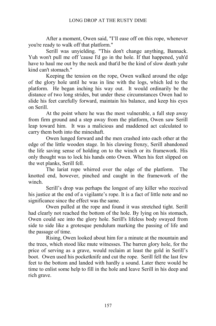After a moment, Owen said, "I'll ease off on this rope, whenever you're ready to walk off that platform."

Serill was unyielding. "This don't change anything, Bannack. Yuh won't pull me off 'cause I'd go in the hole. If that happened, yuh'd have to haul me out by the neck and that'd be the kind of slow death yuhr kind can't stomach."

Keeping the tension on the rope, Owen walked around the edge of the glory hole until he was in line with the logs, which led to the platform. He began inching his way out. It would ordinarily be the distance of two long strides, but under these circumstances Owen had to slide his feet carefully forward, maintain his balance, and keep his eyes on Serill.

At the point where he was the most vulnerable, a full step away from firm ground and a step away from the platform, Owen saw Serill leap toward him. It was a malicious and maddened act calculated to carry them both into the mineshaft.

Owen lunged forward and the men crashed into each other at the edge of the little wooden stage. In his clawing frenzy, Serill abandoned the life saving sense of holding on to the winch or its framework. His only thought was to lock his hands onto Owen. When his feet slipped on the wet planks, Serill fell.

The lariat rope whirred over the edge of the platform. The knotted end, however, pinched and caught in the framework of the winch.

Serill's drop was perhaps the longest of any killer who received his justice at the end of a vigilante's rope. It is a fact of little note and no significance since the effect was the same.

Owen pulled at the rope and found it was stretched tight. Serill had clearly not reached the bottom of the hole. By lying on his stomach, Owen could see into the glory hole. Serill's lifeless body swayed from side to side like a grotesque pendulum marking the passing of life and the passage of time.

Rising, Owen looked about him for a minute at the mountain and the trees, which stood like mute witnesses. The barren glory hole, for the price of serving as a grave, would reclaim at least the gold in Serill's boot. Owen used his pocketknife and cut the rope. Serill fell the last few feet to the bottom and landed with hardly a sound. Later there would be time to enlist some help to fill in the hole and leave Serill in his deep and rich grave.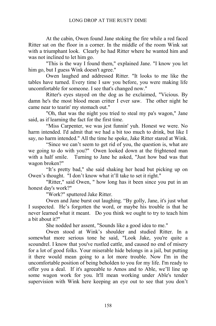At the cabin, Owen found Jane stoking the fire while a red faced Ritter sat on the floor in a corner. In the middle of the room Wink sat with a triumphant look. Clearly he had Ritter where he wanted him and was not inclined to let him go.

"This is the way I found them," explained Jane. "I know you let him go, but I guess Wink doesn't agree."

Owen laughed and addressed Ritter. "It looks to me like the tables have turned. Every time I saw you before, you were making life uncomfortable for someone. I see that's changed now."

Ritter's eyes stayed on the dog as he exclaimed, "Vicious. By damn he's the most blood mean critter I ever saw. The other night he came near to tearin' my stomach out."

"Oh, that was the night you tried to steal my pa's wagon," Jane said, as if learning the fact for the first time.

"Miss Carpenter, we was jest funnin' yuh. Honest we were. No harm intended. I'd admit that we had a bit too much to drink, but like I say, no harm intended." All the time he spoke, Jake Ritter stared at Wink.

"Since we can't seem to get rid of you, the question is, what are we going to do with you?" Owen looked down at the frightened man with a half smile. Turning to Jane he asked, "Just how bad was that wagon broken?"

"It's pretty bad," she said shaking her head but picking up on Owen's thought. "I don't know what it'll take to set it right."

"Ritter," said Owen, " how long has it been since you put in an honest day's work?"

"Work?" sputtered Jake Ritter.

Owen and Jane burst out laughing. "By golly, Jane, it's just what I suspected. He's forgotten the word, or maybe his trouble is that he never learned what it meant. Do you think we ought to try to teach him a bit about it?"

She nodded her assent, "Sounds like a good idea to me."

Owen stood at Wink's shoulder and studied Ritter. In a somewhat more serious tone he said, "Look Jake, you're quite a scoundrel. I know that you've rustled cattle, and caused no end of misery for a lot of good folks. Your miserable hide belongs in a jail, but putting it there would mean going to a lot more trouble. Now I'm in the uncomfortable position of being beholden to you for my life. I'm ready to offer you a deal. If it's agreeable to Amos and to Able, we'll line up some wagon work for you. It'll mean working under Able's tender supervision with Wink here keeping an eye out to see that you don't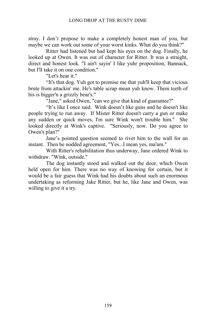stray. I don't propose to make a completely honest man of you, but maybe we can work out some of your worst kinks. What do you think?"

Ritter had listened but had kept his eyes on the dog. Finally, he looked up at Owen. It was out of character for Ritter. It was a straight, direct and honest look. "I ain't sayin' I like yuhr proposition, Bannack, but I'll take it on one condition."

"Let's hear it."

"It's that dog. Yuh got to promise me that yuh'll keep that vicious brute from attackin' me. He's table scrap mean yuh know. Them teeth of his is bigger'n a grizzly bear's."

"Jane," asked Owen, "can we give that kind of guarantee?"

"It's like I once said. Wink doesn't like guns and he doesn't like people trying to run away. If Mister Ritter doesn't carry a gun or make any sudden or quick moves, I'm sure Wink won't trouble him." She looked directly at Wink's captive. "Seriously, now. Do you agree to Owen's plan?"

Jane's pointed question seemed to rivet him to the wall for an instant. Then he nodded agreement, "Yes...I mean yes, ma'am."

With Ritter's rehabilitation thus underway, Jane ordered Wink to withdraw. "Wink, outside."

The dog instantly stood and walked out the door, which Owen held open for him. There was no way of knowing for certain, but it would be a fair guess that Wink had his doubts about such an enormous undertaking as reforming Jake Ritter, but he, like Jane and Owen, was willing to give it a try.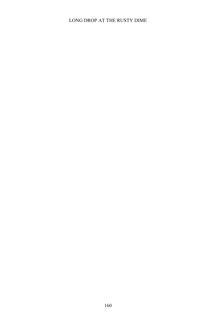#### LONG DROP AT THE RUSTY DIME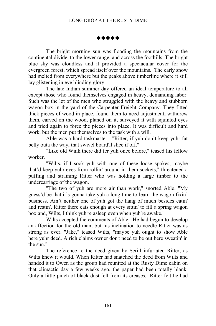#### LONG DROP AT THE RUSTY DIME



The bright morning sun was flooding the mountains from the continental divide, to the lower range, and across the foothills. The bright blue sky was cloudless and it provided a spectacular cover for the evergreen forest, which spread itself over the mountains. The early snow had melted from everywhere but the peaks above timberline where it still lay glistening in eye blinding glory.

The late Indian summer day offered an ideal temperature to all except those who found themselves engaged in heavy, demanding labor. Such was the lot of the men who struggled with the heavy and stubborn wagon box in the yard of the Carpenter Freight Company. They fitted thick pieces of wood in place, found them to need adjustment, withdrew them, carved on the wood, planed on it, surveyed it with squinted eyes and tried again to force the pieces into place. It was difficult and hard work, but the men put themselves to the task with a will.

Able was a hard taskmaster. "Ritter, if yuh don't keep yuhr fat belly outa the way, that swivel board'll slice if off."

"Like old Wink there did fer yuh once before," teased his fellow worker.

"Wilts, if I sock yuh with one of these loose spokes, maybe that'd keep yuhr eyes from rollin' around in them sockets," threatened a puffing and straining Ritter who was holding a large timber to the undercarriage of the wagon.

"The two of yuh are more air than work," snorted Able. "My guess'd be that it's gonna take yuh a long time to learn the wagon fixin' business. Ain't neither one of yuh got the hang of much besides eatin' and restin'. Ritter there eats enough at every sittin' to fill a spring wagon box and, Wilts, I think yuh're asleep even when yuh're awake."

Wilts accepted the comments of Able. He had begun to develop an affection for the old man, but his inclination to needle Ritter was as strong as ever. "Jake," teased Wilts, "maybe yuh ought to show Able here yuhr deed. A rich claims owner don't need to be out here sweatin' in the sun."

The reference to the deed given by Serill infuriated Ritter, as Wilts knew it would. When Ritter had snatched the deed from Wilts and handed it to Owen as the group had reunited at the Rusty Dime cabin on that climactic day a few weeks ago, the paper had been totally blank. Only a little pinch of black dust fell from its creases. Ritter felt he had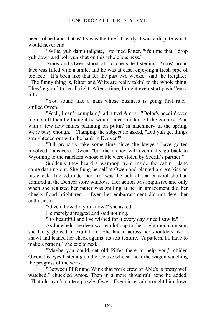been robbed and that Wilts was the thief. Clearly it was a dispute which would never end.

"Wilts, yuh damn tailgate," stormed Ritter, "it's time that I drop yuh down and bolt yuh shut on this whole business."

Amos and Owen stood off to one side listening. Amos' broad face was filled with a smile, and he was at ease, enjoying a fresh pipe of tobacco. "It's been like that fer the past two weeks," said the freighter. "The funny thing is, Ritter and Wilts are really takin' to the whole thing. They're goin' to be all right. After a time, I might even start payin' 'em a little."

"You sound like a man whose business is going first rate," smiled Owen.

"Well, I can't complain," admitted Amos. "Dolor's needin' even more stuff than he thought he would since Gulder left the country. And with a few new mines planning on puttin' in machinery in the spring, we're busy enough." Changing the subject he asked, "Did yuh get things straightened out with the bank in Denver?"

"It'll probably take some time since the lawyers have gotten involved," answered Owen, "but the money will eventually go back to Wyoming to the ranchers whose cattle were stolen by Seerill's partner."

Suddenly they heard a warhoop from inside the cabin. Jane came dashing out. She flung herself at Owen and planted a great kiss on his cheek. Tucked under her arm was the bolt of scarlet wool she had admired in the Denver store window. Her action was impulsive and only when she realized her father was smiling at her in amazement did her cheeks flood bright red. Even her embarrassment did not deter her enthusiasm.

"Owen, how did you know?" she asked.

He merely shrugged and said nothing.

"It's beautiful and I've wished for it every day since I saw it."

As Jane held the deep scarlet cloth up to the bright mountain sun, she fairly glowed in exultation. She laid it across her shoulders like a shawl and leaned her cheek against its soft texture. "A pattern, I'll have to make a pattern," she exclaimed.

"Maybe you could get old Pilfer there to help you," chided Owen, his eyes fastening on the recluse who sat near the wagon watching the progress of the work.

"Between Pilfer and Wink that work crew of Able's is pretty well watched," chuckled Amos. Then in a more thoughtful tone he added, "That old man's quite a puzzle, Owen. Ever since yuh brought him down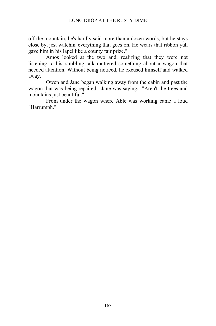off the mountain, he's hardly said more than a dozen words, but he stays close by, jest watchin' everything that goes on. He wears that ribbon yuh gave him in his lapel like a county fair prize."

Amos looked at the two and, realizing that they were not listening to his rambling talk muttered something about a wagon that needed attention. Without being noticed, he excused himself and walked away.

Owen and Jane began walking away from the cabin and past the wagon that was being repaired. Jane was saying, "Aren't the trees and mountains just beautiful."

From under the wagon where Able was working came a loud "Harrumph."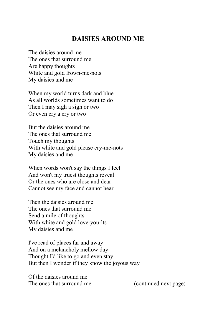## **DAISIES AROUND ME**

The daisies around me The ones that surround me Are happy thoughts White and gold frown-me-nots My daisies and me

When my world turns dark and blue As all worlds sometimes want to do Then I may sigh a sigh or two Or even cry a cry or two

But the daisies around me The ones that surround me Touch my thoughts With white and gold please cry-me-nots My daisies and me

When words won't say the things I feel And won't my truest thoughts reveal Or the ones who are close and dear Cannot see my face and cannot hear

Then the daisies around me The ones that surround me Send a mile of thoughts With white and gold love-you-lts My daisies and me

I've read of places far and away And on a melancholy mellow day Thought I'd like to go and even stay But then I wonder if they know the joyous way

Of the daisies around me The ones that surround me (continued next page)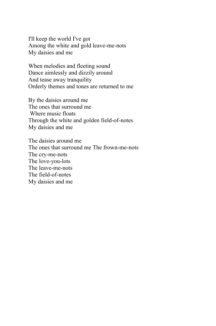I'll keep the world I've got Among the white and gold leave-me-nots My daisies and me

When melodies and fleeting sound Dance aimlessly and dizzily around And tease away tranquility Orderly themes and tones are returned to me

By the daisies around me The ones that surround me Where music floats Through the white and golden field-of-notes My daisies and me

The daisies around me The ones that surround me The frown-me-nots The cry-me-nots The love-you-lots The leave-me-nots The field-of-notes My daisies and me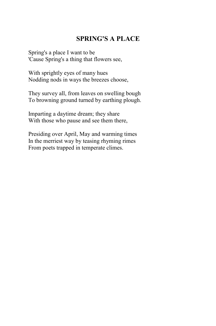## **SPRING'S A PLACE**

Spring's a place I want to be 'Cause Spring's a thing that flowers see,

With sprightly eyes of many hues Nodding nods in ways the breezes choose,

They survey all, from leaves on swelling bough To browning ground turned by earthing plough.

Imparting a daytime dream; they share With those who pause and see them there,

Presiding over April, May and warming times In the merriest way by teasing rhyming rimes From poets trapped in temperate climes.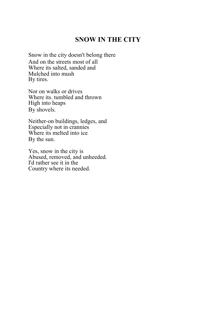#### **SNOW IN THE CITY**

Snow in the city doesn't belong there And on the streets most of all Where its salted, sanded and Mulched into mush By tires.

Nor on walks or drives Where its. tumbled and thrown High into heaps By shovels.

Neither-on buildings, ledges, and Especially not in crannies Where its melted into ice By the sun.

Yes, snow in the city is Abused, removed, and unheeded. I'd rather see it in the Country where its needed.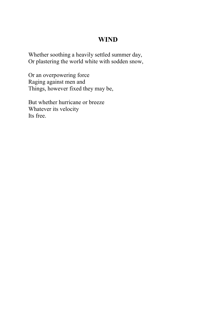## **WIND**

Whether soothing a heavily settled summer day, Or plastering the world white with sodden snow,

Or an overpowering force Raging against men and Things, however fixed they may be,

But whether hurricane or breeze Whatever its velocity Its free.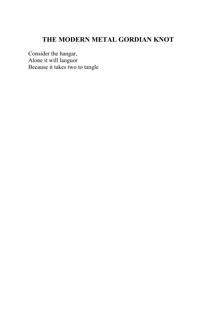# **THE MODERN METAL GORDIAN KNOT**

Consider the hangar, Alone it will languor Because it takes two to tangle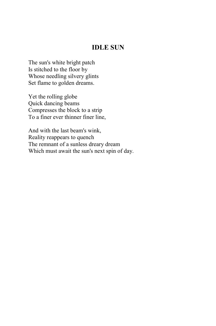## **IDLE SUN**

The sun's white bright patch Is stitched to the floor by Whose needling silvery glints Set flame to golden dreams.

Yet the rolling globe Quick dancing beams Compresses the block to a strip To a finer ever thinner finer line,

And with the last beam's wink, Reality reappears to quench The remnant of a sunless dreary dream Which must await the sun's next spin of day.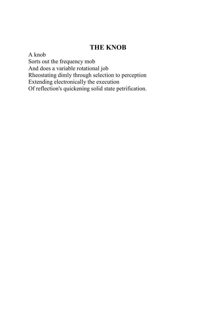## **THE KNOB**

A knob Sorts out the frequency mob And does a variable rotational job Rheostating dimly through selection to perception Extending electronically the execution Of reflection's quickening solid state petrification.